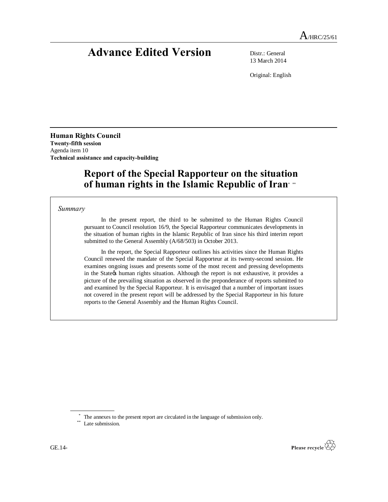# **Advance Edited Version** Distr.: General

13 March 2014

Original: English

**Human Rights Council Twenty-fifth session** Agenda item 10 **Technical assistance and capacity-building**

# **Report of the Special Rapporteur on the situation of human rights in the Islamic Republic of Iran\* \*\***

### *Summary*

In the present report, the third to be submitted to the Human Rights Council pursuant to Council resolution 16/9, the Special Rapporteur communicates developments in the situation of human rights in the Islamic Republic of Iran since his third interim report submitted to the General Assembly (A/68/503) in October 2013.

In the report, the Special Rapporteur outlines his activities since the Human Rights Council renewed the mandate of the Special Rapporteur at its twenty-second session. He examines ongoing issues and presents some of the most recent and pressing developments in the Stategs human rights situation. Although the report is not exhaustive, it provides a picture of the prevailing situation as observed in the preponderance of reports submitted to and examined by the Special Rapporteur. It is envisaged that a number of important issues not covered in the present report will be addressed by the Special Rapporteur in his future reports to the General Assembly and the Human Rights Council.



<sup>\*</sup> The annexes to the present report are circulated in the language of submission only. \*\* Late submission.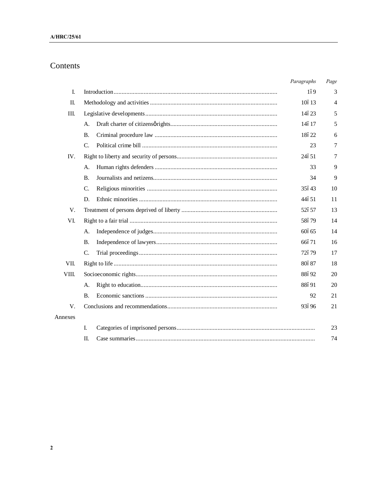# Contents

|         |           | Paragraphs | Page           |
|---------|-----------|------------|----------------|
| L.      |           | 169        | 3              |
| П.      |           | 10613      | $\overline{4}$ |
| III.    |           | 14623      | 5              |
|         | А.        | 14617      | 5              |
|         | <b>B.</b> | 18622      | 6              |
|         | C.        | 23         | 7              |
| IV.     |           | 24651      | 7              |
|         | А.        | 33         | 9              |
|         | <b>B.</b> | 34         | 9              |
|         | C.        | 35643      | 10             |
|         | D.        | 44651      | 11             |
| V.      |           | 52657      | 13             |
| VI.     |           | 58679      | 14             |
|         | А.        | 60665      | 14             |
|         | <b>B.</b> | 66671      | 16             |
|         | C.        | 72679      | 17             |
| VII.    |           | 80687      | 18             |
| VIII.   |           | 88692      | 20             |
|         | А.        | 88691      | 20             |
|         | В.        | 92         | 21             |
| V.      |           | 93696      | 21             |
| Annexes |           |            |                |
|         | I.        |            | 23             |
|         | II.       |            | 74             |

 $\mathbf 2$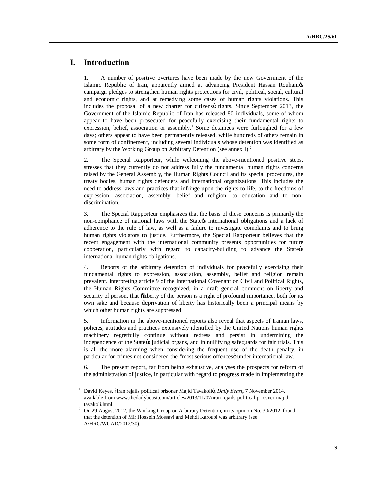## **I. Introduction**

1. A number of positive overtures have been made by the new Government of the Islamic Republic of Iran, apparently aimed at advancing President Hassan Rouhanigs campaign pledges to strengthen human rights protections for civil, political, social, cultural and economic rights, and at remedying some cases of human rights violations. This includes the proposal of a new charter for citizens  $\varphi$  rights. Since September 2013, the Government of the Islamic Republic of Iran has released 80 individuals, some of whom appear to have been prosecuted for peacefully exercising their fundamental rights to expression, belief, association or assembly.<sup>1</sup> Some detainees were furloughed for a few days; others appear to have been permanently released, while hundreds of others remain in some form of confinement, including several individuals whose detention was identified as arbitrary by the Working Group on Arbitrary Detention (see annex I).2

2. The Special Rapporteur, while welcoming the above-mentioned positive steps, stresses that they currently do not address fully the fundamental human rights concerns raised by the General Assembly, the Human Rights Council and its special procedures, the treaty bodies, human rights defenders and international organizations. This includes the need to address laws and practices that infringe upon the rights to life, to the freedoms of expression, association, assembly, belief and religion, to education and to nondiscrimination.

3. The Special Rapporteur emphasizes that the basis of these concerns is primarily the non-compliance of national laws with the State international obligations and a lack of adherence to the rule of law, as well as a failure to investigate complaints and to bring human rights violators to justice. Furthermore, the Special Rapporteur believes that the recent engagement with the international community presents opportunities for future cooperation, particularly with regard to capacity-building to advance the Stategs international human rights obligations.

4. Reports of the arbitrary detention of individuals for peacefully exercising their fundamental rights to expression, association, assembly, belief and religion remain prevalent. Interpreting article 9 of the International Covenant on Civil and Political Rights, the Human Rights Committee recognized, in a draft general comment on liberty and security of person, that õliberty of the person is a right of profound importance, both for its own sake and because deprivation of liberty has historically been a principal means by which other human rights are suppressed.

5. Information in the above-mentioned reports also reveal that aspects of Iranian laws, policies, attitudes and practices extensively identified by the United Nations human rights machinery regretfully continue without redress and persist in undermining the independence of the Stategs judicial organs, and in nullifying safeguards for fair trials. This is all the more alarming when considering the frequent use of the death penalty, in particular for crimes not considered the  $\ddot{o}$  most serious offences $\ddot{o}$  under international law.

6. The present report, far from being exhaustive, analyses the prospects for reform of the administration of justice, in particular with regard to progress made in implementing the

<sup>&</sup>lt;sup>1</sup> David Keyes, õlran rejails political prisoner Majid Tavakoliö, *Daily Beast*, 7 November 2014, available from www.thedailybeast.com/articles/2013/11/07/iran-rejails-political-priosner-majidtavakoli.html.

<sup>&</sup>lt;sup>2</sup> On 29 August 2012, the Working Group on Arbitrary Detention, in its opinion No. 30/2012, found that the detention of Mir Hossein Mossavi and Mehdi Karoubi was arbitrary (see A/HRC/WGAD/2012/30).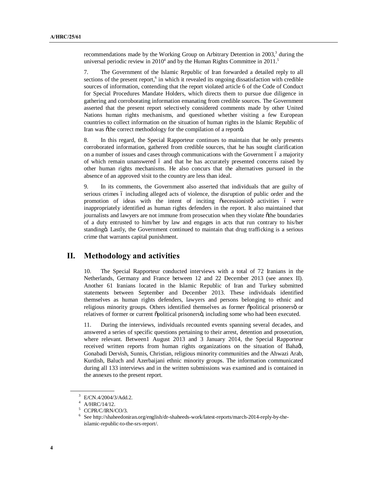recommendations made by the Working Group on Arbitrary Detention in  $2003$ <sup>3</sup> during the universal periodic review in  $2010<sup>4</sup>$  and by the Human Rights Committee in  $2011<sup>5</sup>$ 

7. The Government of the Islamic Republic of Iran forwarded a detailed reply to all sections of the present report,<sup>6</sup> in which it revealed its ongoing dissatisfaction with credible sources of information, contending that the report violated article 6 of the Code of Conduct for Special Procedures Mandate Holders, which directs them to pursue due diligence in gathering and corroborating information emanating from credible sources. The Government asserted that the present report selectively considered comments made by other United Nations human rights mechanisms, and questioned whether visiting a few European countries to collect information on the situation of human rights in the Islamic Republic of Iran was õthe correct methodology for the compilation of a reportö.

8. In this regard, the Special Rapporteur continues to maintain that he only presents corroborated information, gathered from credible sources, that he has sought clarification on a number of issues and cases through communications with the Government 6 a majority of which remain unanswered 6 and that he has accurately presented concerns raised by other human rights mechanisms. He also concurs that the alternatives pursued in the absence of an approved visit to the country are less than ideal.

9. In its comments, the Government also asserted that individuals that are guilty of serious crimes 6 including alleged acts of violence, the disruption of public order and the promotion of ideas with the intent of inciting osecessionisto activities 6 were inappropriately identified as human rights defenders in the report. It also maintained that journalists and lawyers are not immune from prosecution when they violate õthe boundaries of a duty entrusted to him/her by law and engages in acts that run contrary to his/her standingö. Lastly, the Government continued to maintain that drug trafficking is a serious crime that warrants capital punishment.

### **II. Methodology and activities**

10. The Special Rapporteur conducted interviews with a total of 72 Iranians in the Netherlands, Germany and France between 12 and 22 December 2013 (see annex II). Another 61 Iranians located in the Islamic Republic of Iran and Turkey submitted statements between September and December 2013. These individuals identified themselves as human rights defenders, lawyers and persons belonging to ethnic and religious minority groups. Others identified themselves as former õpolitical prisonersö or relatives of former or current  $\delta$ political prisoners $\ddot{o}$ , including some who had been executed.

11. During the interviews, individuals recounted events spanning several decades, and answered a series of specific questions pertaining to their arrest, detention and prosecution, where relevant. Between1 August 2013 and 3 January 2014, the Special Rapporteur received written reports from human rights organizations on the situation of Baha'i, Gonabadi Dervish, Sunnis, Christian, religious minority communities and the Ahwazi Arab, Kurdish, Baluch and Azerbaijani ethnic minority groups. The information communicated during all 133 interviews and in the written submissions was examined and is contained in the annexes to the present report.

<sup>3</sup> E/CN.4/2004/3/Add.2.

<sup>4</sup> A/HRC/14/12.

CCPR/C/IRN/CO/3.

<sup>6</sup> See http://shaheedoniran.org/english/dr-shaheeds-work/latest-reports/march-2014-reply-by-theislamic-republic-to-the-srs-report/.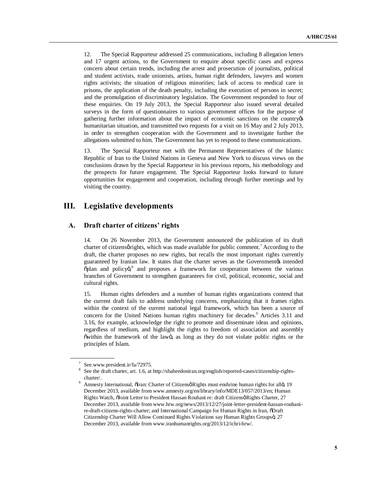12. The Special Rapporteur addressed 25 communications, including 8 allegation letters and 17 urgent actions, to the Government to enquire about specific cases and express concern about certain trends, including the arrest and prosecution of journalists, political and student activists, trade unionists, artists, human right defenders, lawyers and women rights activists; the situation of religious minorities; lack of access to medical care in prisons, the application of the death penalty, including the execution of persons in secret; and the promulgation of discriminatory legislation. The Government responded to four of these enquiries. On 19 July 2013, the Special Rapporteur also issued several detailed surveys in the form of questionnaires to various government offices for the purpose of gathering further information about the impact of economic sanctions on the country humanitarian situation, and transmitted two requests for a visit on 16 May and 2 July 2013, in order to strengthen cooperation with the Government and to investigate further the allegations submitted to him. The Government has yet to respond to these communications.

13. The Special Rapporteur met with the Permanent Representatives of the Islamic Republic of Iran to the United Nations in Geneva and New York to discuss views on the conclusions drawn by the Special Rapporteur in his previous reports, his methodology and the prospects for future engagement. The Special Rapporteur looks forward to future opportunities for engagement and cooperation, including through further meetings and by visiting the country.

### **III. Legislative developments**

#### **A. Draft charter of citizens' rights**

14. On 26 November 2013, the Government announced the publication of its draft charter of citizens *orights*, which was made available for public comment.<sup>7</sup> According to the draft, the charter proposes no new rights, but recalls the most important rights currently guaranteed by Iranian law. It states that the charter serves as the Governmentøs intended õplan and policyö,<sup>8</sup> and proposes a framework for cooperation between the various branches of Government to strengthen guarantees for civil, political, economic, social and cultural rights.

15. Human rights defenders and a number of human rights organizations contend that the current draft fails to address underlying concerns, emphasizing that it frames rights within the context of the current national legal framework, which has been a source of concern for the United Nations human rights machinery for decades.<sup>9</sup> Articles 3.11 and 3.16, for example, acknowledge the right to promote and disseminate ideas and opinions, regardless of medium, and highlight the rights to freedom of association and assembly õwithin the framework of the lawö, as long as they do not violate public rights or the principles of Islam.

<sup>7</sup> See.www.president.ir/fa/72975.

<sup>8</sup> See the draft charter, art. 1.6, at http://shaheedoniran.org/english/reported-cases/citizenship-rightscharter/.

Amnesty International, ölran: Charter of Citizensø Rights must enshrine human rights for allö, 19 December 2013, available from www.amnesty.org/en/library/info/MDE13/057/2013/en; Human Rights Watch,  $\tilde{a}$ Joint Letter to President Hassan Rouhani re: draft Citizensø Rights Charter, 27 December 2013, available from www.hrw.org/news/2013/12/27/joint-letter-president-hassan-rouhanire-draft-citizens-rights-charter; and International Campaign for Human Rights in Iran, öDraft Citizenship Charter Will Allow Continued Rights Violations say Human Rights Groupsö, 27 December 2013, available from www.iranhumanrights.org/2013/12/ichri-hrw/.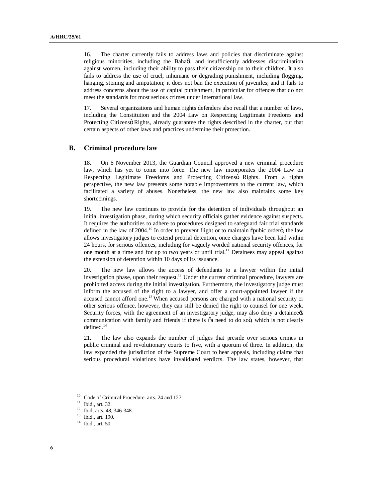16. The charter currently fails to address laws and policies that discriminate against religious minorities, including the Baha $\alpha$ , and insufficiently addresses discrimination against women, including their ability to pass their citizenship on to their children. It also fails to address the use of cruel, inhumane or degrading punishment, including flogging, hanging, stoning and amputation; it does not ban the execution of juveniles; and it fails to address concerns about the use of capital punishment, in particular for offences that do not meet the standards for most serious crimes under international law.

17. Several organizations and human rights defenders also recall that a number of laws, including the Constitution and the 2004 Law on Respecting Legitimate Freedoms and Protecting Citizensø Rights, already guarantee the rights described in the charter, but that certain aspects of other laws and practices undermine their protection.

### **B. Criminal procedure law**

18. On 6 November 2013, the Guardian Council approved a new criminal procedure law, which has yet to come into force. The new law incorporates the 2004 Law on Respecting Legitimate Freedoms and Protecting Citizens oRights. From a rights perspective, the new law presents some notable improvements to the current law, which facilitated a variety of abuses. Nonetheless, the new law also maintains some key shortcomings.

19. The new law continues to provide for the detention of individuals throughout an initial investigation phase, during which security officials gather evidence against suspects. It requires the authorities to adhere to procedures designed to safeguard fair trial standards defined in the law of  $2004$ .<sup>10</sup> In order to prevent flight or to maintain  $\delta$ pubic order $\ddot{o}$ , the law allows investigatory judges to extend pretrial detention, once charges have been laid within 24 hours, for serious offences, including for vaguely worded national security offences, for one month at a time and for up to two years or until trial.11 Detainees may appeal against the extension of detention within 10 days of its issuance.

20. The new law allows the access of defendants to a lawyer within the initial investigation phase, upon their request.<sup>12</sup> Under the current criminal procedure, lawyers are prohibited access during the initial investigation. Furthermore, the investigatory judge must inform the accused of the right to a lawyer, and offer a court-appointed lawyer if the accused cannot afford one.<sup>13</sup> When accused persons are charged with a national security or other serious offence, however, they can still be denied the right to counsel for one week. Security forces, with the agreement of an investigatory judge, may also deny a detainee  $\alpha$ communication with family and friends if there is  $\tilde{\alpha}$  need to do soo, which is not clearly defined.<sup>14</sup>

21. The law also expands the number of judges that preside over serious crimes in public criminal and revolutionary courts to five, with a quorum of three. In addition, the law expanded the jurisdiction of the Supreme Court to hear appeals, including claims that serious procedural violations have invalidated verdicts. The law states, however, that

<sup>&</sup>lt;sup>10</sup> Code of Criminal Procedure. arts. 24 and 127.<br><sup>11</sup> Ibid., art. 32.

<sup>12</sup> Ibid, arts. 48, 346-348.

<sup>13</sup> Ibid., art. 190.

<sup>14</sup> Ibid., art. 50.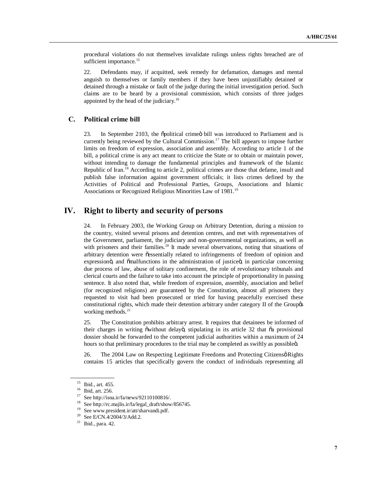procedural violations do not themselves invalidate rulings unless rights breached are of sufficient importance.<sup>15</sup>

22. Defendants may, if acquitted, seek remedy for defamation, damages and mental anguish to themselves or family members if they have been unjustifiably detained or detained through a mistake or fault of the judge during the initial investigation period. Such claims are to be heard by a provisional commission, which consists of three judges appointed by the head of the judiciary.<sup>16</sup>

#### **C. Political crime bill**

23. In September 2103, the opolitical crime ibill was introduced to Parliament and is currently being reviewed by the Cultural Commission.<sup>17</sup> The bill appears to impose further limits on freedom of expression, association and assembly. According to article 1 of the bill, a political crime is any act meant to criticize the State or to obtain or maintain power, without intending to damage the fundamental principles and framework of the Islamic Republic of Iran.<sup>18</sup> According to article 2, political crimes are those that defame, insult and publish false information against government officials; it lists crimes defined by the Activities of Political and Professional Parties, Groups, Associations and Islamic Associations or Recognized Religious Minorities Law of 1981.<sup>19</sup>

## **IV. Right to liberty and security of persons**

24. In February 2003, the Working Group on Arbitrary Detention, during a mission to the country, visited several prisons and detention centres, and met with representatives of the Government, parliament, the judiciary and non-governmental organizations, as well as with prisoners and their families.<sup>20</sup> It made several observations, noting that situations of arbitrary detention were õessentially related to infringements of freedom of opinion and expressionö, and õmalfunctions in the administration of justiceö, in particular concerning due process of law, abuse of solitary confinement, the role of revolutionary tribunals and clerical courts and the failure to take into account the principle of proportionality in passing sentence. It also noted that, while freedom of expression, assembly, association and belief (for recognized religions) are guaranteed by the Constitution, almost all prisoners they requested to visit had been prosecuted or tried for having peacefully exercised these constitutional rights, which made their detention arbitrary under category II of the Groupos working methods. $21$ 

25. The Constitution prohibits arbitrary arrest. It requires that detainees be informed of their charges in writing  $\ddot{\text{ow}}$  ithout delayo, stipulating in its article 32 that  $\ddot{\text{aa}}$  provisional dossier should be forwarded to the competent judicial authorities within a maximum of 24 hours so that preliminary procedures to the trial may be completed as swiftly as possibleö.

26. The 2004 Law on Respecting Legitimate Freedoms and Protecting Citizens o Rights contains 15 articles that specifically govern the conduct of individuals representing all

<sup>15</sup> Ibid., art. 455.

<sup>16</sup> Ibid, art. 256.

 $17$  See http://isna.ir/fa/news/92110100816/.

<sup>&</sup>lt;sup>18</sup> See http://rc.majlis.ir/fa/legal\_draft/show/856745.

See www.president.ir/att/sharvandi.pdf.

<sup>20</sup> See E/CN.4/2004/3/Add.2.

<sup>21</sup> Ibid., para. 42.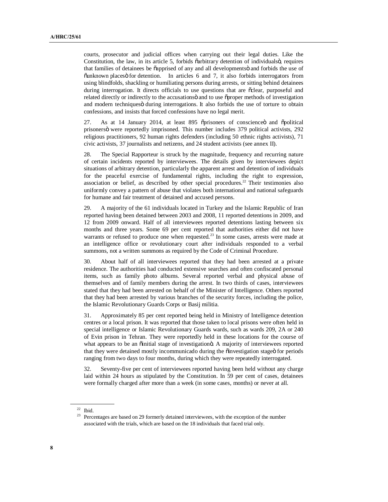courts, prosecutor and judicial offices when carrying out their legal duties. Like the Constitution, the law, in its article 5, forbids  $\delta$  arbitrary detention of individuals $\ddot{\delta}$ , requires that families of detainees be  $\ddot{\text{o}}$ apprised of any and all developments and forbids the use of  $\tilde{v}$ unknown places $\tilde{v}$  for detention. In articles 6 and 7, it also forbids interrogators from using blindfolds, shackling or humiliating persons during arrests, or sitting behind detainees during interrogation. It directs officials to use questions that are osclear, purposeful and related directly or indirectly to the accusations and to use  $\tilde{\sigma}$  proper methods of investigation and modern techniquesö during interrogations. It also forbids the use of torture to obtain confessions, and insists that forced confessions have no legal merit.

27. As at 14 January 2014, at least 895 oprisoners of conscience and opolitical prisonersö were reportedly imprisoned. This number includes 379 political activists, 292 religious practitioners, 92 human rights defenders (including 50 ethnic rights activists), 71 civic activists, 37 journalists and netizens, and 24 student activists (see annex II).

28. The Special Rapporteur is struck by the magnitude, frequency and recurring nature of certain incidents reported by interviewees. The details given by interviewees depict situations of arbitrary detention, particularly the apparent arrest and detention of individuals for the peaceful exercise of fundamental rights, including the right to expression, association or belief, as described by other special procedures.<sup>22</sup> Their testimonies also uniformly convey a pattern of abuse that violates both international and national safeguards for humane and fair treatment of detained and accused persons.

29. A majority of the 61 individuals located in Turkey and the Islamic Republic of Iran reported having been detained between 2003 and 2008, 11 reported detentions in 2009, and 12 from 2009 onward. Half of all interviewees reported detentions lasting between six months and three years. Some 69 per cent reported that authorities either did not have warrants or refused to produce one when requested. $^{23}$  In some cases, arrests were made at an intelligence office or revolutionary court after individuals responded to a verbal summons, not a written summons as required by the Code of Criminal Procedure.

30. About half of all interviewees reported that they had been arrested at a private residence. The authorities had conducted extensive searches and often confiscated personal items, such as family photo albums. Several reported verbal and physical abuse of themselves and of family members during the arrest. In two thirds of cases, interviewees stated that they had been arrested on behalf of the Minister of Intelligence. Others reported that they had been arrested by various branches of the security forces, including the police, the Islamic Revolutionary Guards Corps or Basij militia.

31. Approximately 85 per cent reported being held in Ministry of Intelligence detention centres or a local prison. It was reported that those taken to local prisons were often held in special intelligence or Islamic Revolutionary Guards wards, such as wards 209, 2A or 240 of Evin prison in Tehran. They were reportedly held in these locations for the course of what appears to be an  $\ddot{\text{o}}$  initial stage of investigation d. A majority of interviewees reported that they were detained mostly incommunicado during the  $\ddot{o}$  investigation stage of for periods ranging from two days to four months, during which they were repeatedly interrogated.

32. Seventy-five per cent of interviewees reported having been held without any charge laid within 24 hours as stipulated by the Constitution. In 59 per cent of cases, detainees were formally charged after more than a week (in some cases, months) or never at all.

 $22$  Ibid.

<sup>&</sup>lt;sup>23</sup> Percentages are based on 29 formerly detained interviewees, with the exception of the number associated with the trials, which are based on the 18 individuals that faced trial only.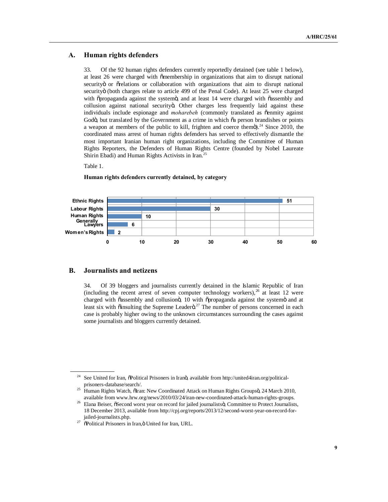### **A. Human rights defenders**

33. Of the 92 human rights defenders currently reportedly detained (see table 1 below), at least 26 were charged with õmembership in organizations that aim to disrupt national securityö or õrelations or collaboration with organizations that aim to disrupt national securityö (both charges relate to article 499 of the Penal Code). At least 25 were charged with  $\tilde{\text{opropag}}$  and at least 14 were charged with  $\tilde{\text{o}}$  assembly and collusion against national security o. Other charges less frequently laid against these individuals include espionage and *moharebeh* (commonly translated as oenmity against Godö, but translated by the Government as a crime in which  $\tilde{o}a$  person brandishes or points a weapon at members of the public to kill, frighten and coerce themo).<sup>24</sup> Since 2010, the coordinated mass arrest of human rights defenders has served to effectively dismantle the most important Iranian human right organizations, including the Committee of Human Rights Reporters, the Defenders of Human Rights Centre (founded by Nobel Laureate Shirin Ebadi) and Human Rights Activists in Iran.<sup>25</sup>

#### Table 1.



#### **Human rights defenders currently detained, by category**

### **B. Journalists and netizens**

34. Of 39 bloggers and journalists currently detained in the Islamic Republic of Iran (including the recent arrest of seven computer technology workers), $^{26}$  at least 12 were charged with õassembly and collusionö, 10 with õpropaganda against the systemö and at least six with  $\tilde{o}$  insulting the Supreme Leader $\tilde{o}$ <sup>27</sup>. The number of persons concerned in each case is probably higher owing to the unknown circumstances surrounding the cases against some journalists and bloggers currently detained.

<sup>&</sup>lt;sup>24</sup> See United for Iran,  $\tilde{O}$ Political Prisoners in Iranö, available from http://united4iran.org/politicalprisoners-database/search/.

<sup>&</sup>lt;sup>25</sup> Human Rights Watch, õlran: New Coordinated Attack on Human Rights Groupsö, 24 March 2010, available from www.hrw.org/news/2010/03/24/iran-new-coordinated-attack-human-rights-groups.

<sup>&</sup>lt;sup>26</sup> Elana Beiser, õSecond worst year on record for jailed journalistsö, Committee to Protect Journalists, 18 December 2013, available from http://cpj.org/reports/2013/12/second-worst-year-on-record-forjailed-journalists.php.

 $27$   $\sigma$ Political Prisoners in Iran, $\ddot{\sigma}$  United for Iran, URL.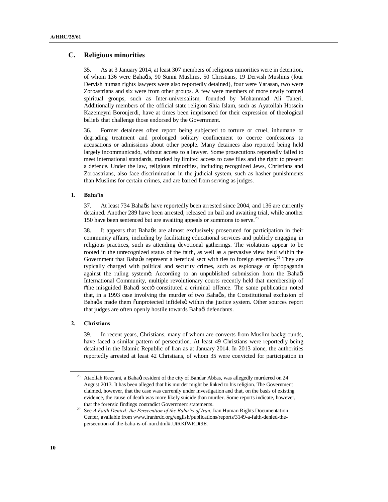### **C. Religious minorities**

35. As at 3 January 2014, at least 307 members of religious minorities were in detention, of whom 136 were Bahads, 90 Sunni Muslims, 50 Christians, 19 Dervish Muslims (four Dervish human rights lawyers were also reportedly detained), four were Yarasan, two were Zoroastrians and six were from other groups. A few were members of more newly formed spiritual groups, such as Inter-universalism, founded by Mohammad Ali Taheri. Additionally members of the official state religion Shia Islam, such as Ayatollah Hossein Kazemeyni Boroujerdi, have at times been imprisoned for their expression of theological beliefs that challenge those endorsed by the Government.

36. Former detainees often report being subjected to torture or cruel, inhumane or degrading treatment and prolonged solitary confinement to coerce confessions to accusations or admissions about other people. Many detainees also reported being held largely incommunicado, without access to a lawyer. Some prosecutions reportedly failed to meet international standards, marked by limited access to case files and the right to present a defence. Under the law, religious minorities, including recognized Jews, Christians and Zoroastrians, also face discrimination in the judicial system, such as hasher punishments than Muslims for certain crimes, and are barred from serving as judges.

#### **1. Baha'is**

37. At least 734 Bahagis have reportedly been arrested since 2004, and 136 are currently detained. Another 289 have been arrested, released on bail and awaiting trial, while another 150 have been sentenced but are awaiting appeals or summons to serve.<sup>28</sup>

38. It appears that Bahagis are almost exclusively prosecuted for participation in their community affairs, including by facilitating educational services and publicly engaging in religious practices, such as attending devotional gatherings. The violations appear to be rooted in the unrecognized status of the faith, as well as a pervasive view held within the Government that Bahads represent a heretical sect with ties to foreign enemies.<sup>29</sup> They are typically charged with political and security crimes, such as espionage or  $\ddot{\text{o}}$ propaganda against the ruling systemö. According to an unpublished submission from the Bahaøi International Community, multiple revolutionary courts recently held that membership of  $\ddot{\text{o}}$ the misguided Baha $\dot{q}$  secto constituted a criminal offence. The same publication noted that, in a 1993 case involving the murder of two Bahagis, the Constitutional exclusion of Bahagis made them  $\ddot{\text{o}}$ unprotected infidels $\ddot{\text{o}}$  within the justice system. Other sources report that judges are often openly hostile towards Bahaøi defendants.

### **2. Christians**

39. In recent years, Christians, many of whom are converts from Muslim backgrounds, have faced a similar pattern of persecution. At least 49 Christians were reportedly being detained in the Islamic Republic of Iran as at January 2014. In 2013 alone, the authorities reportedly arrested at least 42 Christians, of whom 35 were convicted for participation in

Ataollah Rezvani, a Bahagi resident of the city of Bandar Abbas, was allegedly murdered on 24 August 2013. It has been alleged that his murder might be linked to his religion. The Government claimed, however, that the case was currently under investigation and that, on the basis of existing evidence, the cause of death was more likely suicide than murder. Some reports indicate, however, that the forensic findings contradict Government statements.

<sup>29</sup> See *A Faith Denied: the Persecution of the Baha'is of Iran*, Iran Human Rights Documentation Center, available from www.iranhrdc.org/english/publications/reports/3149-a-faith-denied-thepersecution-of-the-baha-is-of-iran.html#.UtRKfWRDt9E.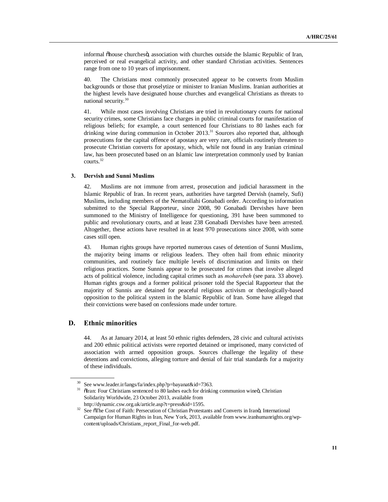informal õhouse churchesö, association with churches outside the Islamic Republic of Iran, perceived or real evangelical activity, and other standard Christian activities. Sentences range from one to 10 years of imprisonment.

40. The Christians most commonly prosecuted appear to be converts from Muslim backgrounds or those that proselytize or minister to Iranian Muslims. Iranian authorities at the highest levels have designated house churches and evangelical Christians as threats to national security.<sup>30</sup>

41. While most cases involving Christians are tried in revolutionary courts for national security crimes, some Christians face charges in public criminal courts for manifestation of religious beliefs; for example, a court sentenced four Christians to 80 lashes each for drinking wine during communion in October 2013.<sup>31</sup> Sources also reported that, although prosecutions for the capital offence of apostasy are very rare, officials routinely threaten to prosecute Christian converts for apostasy, which, while not found in any Iranian criminal law, has been prosecuted based on an Islamic law interpretation commonly used by Iranian courts.32

#### **3. Dervish and Sunni Muslims**

42. Muslims are not immune from arrest, prosecution and judicial harassment in the Islamic Republic of Iran. In recent years, authorities have targeted Dervish (namely, Sufi) Muslims, including members of the Nematollahi Gonabadi order. According to information submitted to the Special Rapporteur, since 2008, 90 Gonabadi Dervishes have been summoned to the Ministry of Intelligence for questioning, 391 have been summoned to public and revolutionary courts, and at least 238 Gonabadi Dervishes have been arrested. Altogether, these actions have resulted in at least 970 prosecutions since 2008, with some cases still open.

43. Human rights groups have reported numerous cases of detention of Sunni Muslims, the majority being imams or religious leaders. They often hail from ethnic minority communities, and routinely face multiple levels of discrimination and limits on their religious practices. Some Sunnis appear to be prosecuted for crimes that involve alleged acts of political violence, including capital crimes such as *moharebeh* (see para. 33 above). Human rights groups and a former political prisoner told the Special Rapporteur that the majority of Sunnis are detained for peaceful religious activism or theologically-based opposition to the political system in the Islamic Republic of Iran. Some have alleged that their convictions were based on confessions made under torture.

### **D. Ethnic minorities**

44. As at January 2014, at least 50 ethnic rights defenders, 28 civic and cultural activists and 200 ethnic political activists were reported detained or imprisoned, many convicted of association with armed opposition groups. Sources challenge the legality of these detentions and convictions, alleging torture and denial of fair trial standards for a majority of these individuals.

<sup>30</sup> See www.leader.ir/langs/fa/index.php?p=bayanat&id=7363.

<sup>&</sup>lt;sup>31</sup> õlran: Four Christians sentenced to 80 lashes each for drinking communion wineö, Christian Solidarity Worldwide, 23 October 2013, available from http://dynamic.csw.org.uk/article.asp?t=press&id=1595.

<sup>&</sup>lt;sup>32</sup> See  $\delta$ The Cost of Faith: Persecution of Christian Protestants and Converts in Iranö, International Campaign for Human Rights in Iran, New York, 2013, available from www.iranhumanrights.org/wpcontent/uploads/Christians\_report\_Final\_for-web.pdf.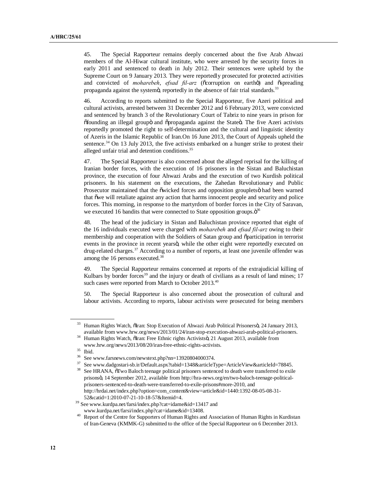45. The Special Rapporteur remains deeply concerned about the five Arab Ahwazi members of the Al-Hiwar cultural institute, who were arrested by the security forces in early 2011 and sentenced to death in July 2012. Their sentences were upheld by the Supreme Court on 9 January 2013. They were reportedly prosecuted for protected activities and convicted of *moharebeh*, *efsad fil-arz* (ocorruption on eartho) and ospreading propaganda against the systemö, reportedly in the absence of fair trial standards.<sup>3</sup>

46. According to reports submitted to the Special Rapporteur, five Azeri political and cultural activists, arrested between 31 December 2012 and 6 February 2013, were convicted and sentenced by branch 3 of the Revolutionary Court of Tabriz to nine years in prison for  $\delta$ founding an illegal groupö and  $\delta$ propaganda against the Stateö. The five Azeri activists reportedly promoted the right to self-determination and the cultural and linguistic identity of Azeris in the Islamic Republic of Iran.On 16 June 2013, the Court of Appeals upheld the sentence.<sup>34</sup> On 13 July 2013, the five activists embarked on a hunger strike to protest their alleged unfair trial and detention conditions.<sup>35</sup>

47. The Special Rapporteur is also concerned about the alleged reprisal for the killing of Iranian border forces, with the execution of 16 prisoners in the Sistan and Baluchistan province, the execution of four Ahwazi Arabs and the execution of two Kurdish political prisoners. In his statement on the executions, the Zahedan Revolutionary and Public Prosecutor maintained that the  $\ddot{\text{owicked}}$  forces and opposition grouplets had been warned that "we will retaliate against any action that harms innocent people and security and police forces. This morning, in response to the martyrdom of border forces in the City of Saravan, we executed 16 bandits that were connected to State opposition groups. $\ddot{\mathrm{o}}^{36}$ 

48. The head of the judiciary in Sistan and Baluchistan province reported that eight of the 16 individuals executed were charged with *moharebeh* and *efsad fil-arz* owing to their membership and cooperation with the Soldiers of Satan group and õparticipation in terrorist events in the province in recent yearsö, while the other eight were reportedly executed on drug-related charges.<sup>37</sup> According to a number of reports, at least one juvenile offender was among the 16 persons executed.<sup>38</sup>

49. The Special Rapporteur remains concerned at reports of the extrajudicial killing of Kulbars by border forces<sup>39</sup> and the injury or death of civilians as a result of land mines;  $17$ such cases were reported from March to October 2013.<sup>40</sup>

50. The Special Rapporteur is also concerned about the prosecution of cultural and labour activists. According to reports, labour activists were prosecuted for being members

Human Rights Watch, ölran: Stop Execution of Ahwazi Arab Political Prisonersö, 24 January 2013, available from www.hrw.org/news/2013/01/24/iran-stop-execution-ahwazi-arab-political-prisoners.

Human Rights Watch, õlran: Free Ethnic rights Activistsö, 21 August 2013, available from www.hrw.org/news/2013/08/20/iran-free-ethnic-rights-activists.

<sup>&</sup>lt;sup>35</sup> Ibid.<br><sup>36</sup> See www.farsnews.com/newstext.php?nn=13920804000374.<br><sup>37</sup> See www.dadoostari-sh.ir/Default.aspx?tabid=1348&articleT

<sup>37</sup> See www.dadgostari-sb.ir/Default.aspx?tabid=1348&articleType=ArticleView&articleId=78845.

<sup>&</sup>lt;sup>38</sup> See HRANA,  $\tilde{o}$ Two Baloch teenage political prisoners sentenced to death were transferred to exile prisons", 14 September 2012, available from http://hra-news.org/en/two-baloch-teenage-politicalprisoners-sentenced-to-death-were-transferred-to-exile-prisons#more-2010, and http://hrdai.net/index.php?option=com\_content&view=article&id=1440:1392-08-05-08-31- 52&catid=1:2010-07-21-10-18-57&Itemid=4.

<sup>39</sup> See www.kurdpa.net/farsi/index.php?cat=idame&id=13417 and www.kurdpa.net/farsi/index.php?cat=idame&id=13408.

<sup>&</sup>lt;sup>40</sup> Report of the Centre for Supporters of Human Rights and Association of Human Rights in Kurdistan of Iran-Geneva (KMMK-G) submitted to the office of the Special Rapporteur on 6 December 2013.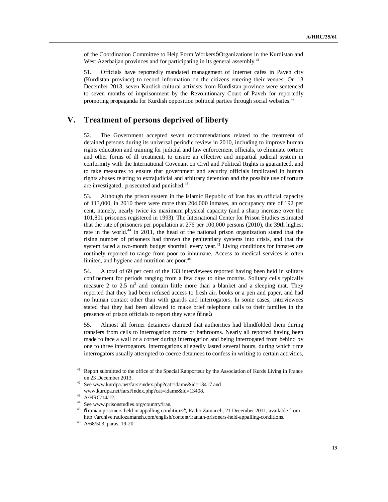of the Coordination Committee to Help Form Workersø Organizations in the Kurdistan and West Azerbaijan provinces and for participating in its general assembly.<sup>41</sup>

51. Officials have reportedly mandated management of Internet cafes in Paveh city (Kurdistan province) to record information on the citizens entering their venues. On 13 December 2013, seven Kurdish cultural activists from Kurdistan province were sentenced to seven months of imprisonment by the Revolutionary Court of Paveh for reportedly promoting propaganda for Kurdish opposition political parties through social websites.<sup>42</sup>

# **V. Treatment of persons deprived of liberty**

52. The Government accepted seven recommendations related to the treatment of detained persons during its universal periodic review in 2010, including to improve human rights education and training for judicial and law enforcement officials, to eliminate torture and other forms of ill treatment, to ensure an effective and impartial judicial system in conformity with the International Covenant on Civil and Political Rights is guaranteed, and to take measures to ensure that government and security officials implicated in human rights abuses relating to extrajudicial and arbitrary detention and the possible use of torture are investigated, prosecuted and punished.<sup>43</sup>

53. Although the prison system in the Islamic Republic of Iran has an official capacity of 113,000, in 2010 there were more than 204,000 inmates, an occupancy rate of 192 per cent, namely, nearly twice its maximum physical capacity (and a sharp increase over the 101,801 prisoners registered in 1993). The International Center for Prison Studies estimated that the rate of prisoners per population at 276 per 100,000 persons (2010), the 39th highest rate in the world.<sup>44</sup> In 2011, the head of the national prison organization stated that the rising number of prisoners had thrown the penitentiary systems into crisis, and that the system faced a two-month budget shortfall every year.<sup>45</sup> Living conditions for inmates are routinely reported to range from poor to inhumane. Access to medical services is often limited, and hygiene and nutrition are poor.<sup>46</sup>

54. A total of 69 per cent of the 133 interviewees reported having been held in solitary confinement for periods ranging from a few days to nine months. Solitary cells typically measure 2 to 2.5  $m^2$  and contain little more than a blanket and a sleeping mat. They reported that they had been refused access to fresh air, books or a pen and paper, and had no human contact other than with guards and interrogators. In some cases, interviewees stated that they had been allowed to make brief telephone calls to their families in the presence of prison officials to report they were offined.

55. Almost all former detainees claimed that authorities had blindfolded them during transfers from cells to interrogation rooms or bathrooms. Nearly all reported having been made to face a wall or a corner during interrogation and being interrogated from behind by one to three interrogators. Interrogations allegedly lasted several hours, during which time interrogators usually attempted to coerce detainees to confess in writing to certain activities,

<sup>&</sup>lt;sup>41</sup> Report submitted to the office of the Special Rapporteur by the Association of Kurds Living in France on 23 December 2013.

<sup>42</sup> See www.kurdpa.net/farsi/index.php?cat=idame&id=13417 and www.kurdpa.net/farsi/index.php?cat=idame&id=13408.

<sup>43</sup> A/HRC/14/12.

<sup>&</sup>lt;sup>44</sup> See www.prisonstudies.org/country/iran.

õIranian prisoners held in appalling conditionsö, Radio Zamaneh, 21 December 2011, available from http://archive.radiozamaneh.com/english/content/iranian-prisoners-held-appalling-conditions.

<sup>46</sup> A/68/503, paras. 19-20.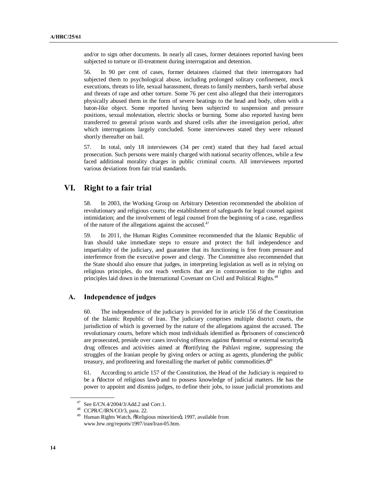and/or to sign other documents. In nearly all cases, former detainees reported having been subjected to torture or ill-treatment during interrogation and detention.

56. In 90 per cent of cases, former detainees claimed that their interrogators had subjected them to psychological abuse, including prolonged solitary confinement, mock executions, threats to life, sexual harassment, threats to family members, harsh verbal abuse and threats of rape and other torture. Some 76 per cent also alleged that their interrogators physically abused them in the form of severe beatings to the head and body, often with a baton-like object. Some reported having been subjected to suspension and pressure positions, sexual molestation, electric shocks or burning. Some also reported having been transferred to general prison wards and shared cells after the investigation period, after which interrogations largely concluded. Some interviewees stated they were released shortly thereafter on bail.

57. In total, only 18 interviewees (34 per cent) stated that they had faced actual prosecution. Such persons were mainly charged with national security offences, while a few faced additional morality charges in public criminal courts. All interviewees reported various deviations from fair trial standards.

# **VI. Right to a fair trial**

58. In 2003, the Working Group on Arbitrary Detention recommended the abolition of revolutionary and religious courts; the establishment of safeguards for legal counsel against intimidation; and the involvement of legal counsel from the beginning of a case, regardless of the nature of the allegations against the accused.<sup>47</sup>

59. In 2011, the Human Rights Committee recommended that the Islamic Republic of Iran should take immediate steps to ensure and protect the full independence and impartiality of the judiciary, and guarantee that its functioning is free from pressure and interference from the executive power and clergy. The Committee also recommended that the State should also ensure that judges, in interpreting legislation as well as in relying on religious principles, do not reach verdicts that are in contravention to the rights and principles laid down in the International Covenant on Civil and Political Rights.<sup>48</sup>

### **A. Independence of judges**

60. The independence of the judiciary is provided for in article 156 of the Constitution of the Islamic Republic of Iran. The judiciary comprises multiple district courts, the jurisdiction of which is governed by the nature of the allegations against the accused. The revolutionary courts, before which most individuals identified as  $\ddot{\text{opr}}$  isoners of conscience  $\ddot{\text{o}}$ are prosecuted, preside over cases involving offences against õinternal or external securityö, drug offences and activities aimed at "fortifying the Pahlavi regime, suppressing the struggles of the Iranian people by giving orders or acting as agents, plundering the public treasury, and profiteering and forestalling the market of public commodities. $\ddot{o}^{49}$ 

61. According to article 157 of the Constitution, the Head of the Judiciary is required to be a  $\ddot{\text{o}}$  doctor of religious lawo and to possess knowledge of judicial matters. He has the power to appoint and dismiss judges, to define their jobs, to issue judicial promotions and

<sup>&</sup>lt;sup>47</sup> See E/CN.4/2004/3/Add.2 and Corr.1.<br><sup>48</sup> CCPR/C/IRN/CO/3, para. 22.

<sup>&</sup>lt;sup>49</sup> Human Rights Watch, õReligious minoritiesö, 1997, available from www.hrw.org/reports/1997/iran/Iran-05.htm.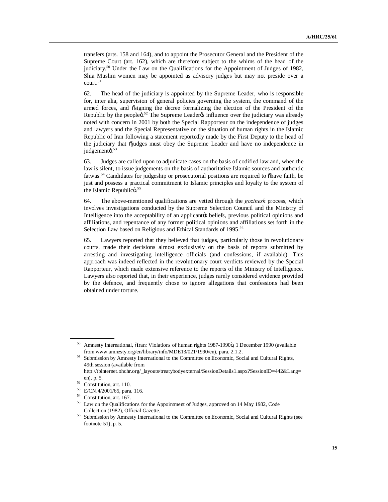transfers (arts. 158 and 164), and to appoint the Prosecutor General and the President of the Supreme Court (art. 162), which are therefore subject to the whims of the head of the judiciary.<sup>50</sup> Under the Law on the Qualifications for the Appointment of Judges of 1982, Shia Muslim women may be appointed as advisory judges but may not preside over a court.<sup>51</sup>

62. The head of the judiciary is appointed by the Supreme Leader, who is responsible for, inter alia, supervision of general policies governing the system, the command of the armed forces, and ösigning the decree formalizing the election of the President of the Republic by the people $\ddot{\text{o}}^{52}$  The Supreme Leader $\alpha$  influence over the judiciary was already noted with concern in 2001 by both the Special Rapporteur on the independence of judges and lawyers and the Special Representative on the situation of human rights in the Islamic Republic of Iran following a statement reportedly made by the First Deputy to the head of the judiciary that "judges must obey the Supreme Leader and have no independence in judgementö.<sup>53</sup>

63. Judges are called upon to adjudicate cases on the basis of codified law and, when the law is silent, to issue judgements on the basis of authoritative Islamic sources and authentic fatwas.<sup>54</sup> Candidates for judgeship or prosecutorial positions are required to othave faith, be just and possess a practical commitment to Islamic principles and loyalty to the system of the Islamic Republicö.<sup>55</sup>

64. The above-mentioned qualifications are vetted through the *gozinesh* process, which involves investigations conducted by the Supreme Selection Council and the Ministry of Intelligence into the acceptability of an applicant a beliefs, previous political opinions and affiliations, and repentance of any former political opinions and affiliations set forth in the Selection Law based on Religious and Ethical Standards of 1995.<sup>56</sup>

65. Lawyers reported that they believed that judges, particularly those in revolutionary courts, made their decisions almost exclusively on the basis of reports submitted by arresting and investigating intelligence officials (and confessions, if available). This approach was indeed reflected in the revolutionary court verdicts reviewed by the Special Rapporteur, which made extensive reference to the reports of the Ministry of Intelligence. Lawyers also reported that, in their experience, judges rarely considered evidence provided by the defence, and frequently chose to ignore allegations that confessions had been obtained under torture.

Amnesty International, õIran: Violations of human rights 1987-1990ö, 1 December 1990 (available from www.amnesty.org/en/library/info/MDE13/021/1990/en), para. 2.1.2.

<sup>51</sup> Submission by Amnesty International to the Committee on Economic, Social and Cultural Rights, 49th session (available from

http://tbinternet.ohchr.org/\_layouts/treatybodyexternal/SessionDetails1.aspx?SessionID=442&Lang= en), p. 5.

 $52$  Constitution, art. 110.

<sup>53</sup> E/CN.4/2001/65, para. 116.

<sup>54</sup> Constitution, art. 167.

<sup>55</sup> Law on the Qualifications for the Appointment of Judges, approved on 14 May 1982, Code Collection (1982), Official Gazette.

<sup>&</sup>lt;sup>56</sup> Submission by Amnesty International to the Committee on Economic, Social and Cultural Rights (see footnote 51), p. 5.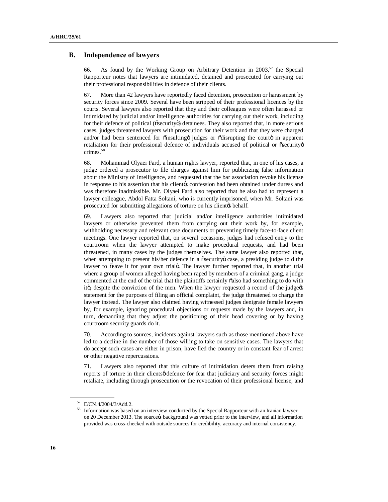### **B. Independence of lawyers**

66. As found by the Working Group on Arbitrary Detention in  $2003$ <sup>57</sup>, the Special Rapporteur notes that lawyers are intimidated, detained and prosecuted for carrying out their professional responsibilities in defence of their clients.

67. More than 42 lawyers have reportedly faced detention, prosecution or harassment by security forces since 2009. Several have been stripped of their professional licences by the courts. Several lawyers also reported that they and their colleagues were often harassed or intimidated by judicial and/or intelligence authorities for carrying out their work, including for their defence of political ( $\ddot{\text{os}$ ecurity $\ddot{\text{o}}$ ) detainees. They also reported that, in more serious cases, judges threatened lawyers with prosecution for their work and that they were charged and/or had been sentenced for õinsultingö judges or õdisrupting the courtö in apparent retaliation for their professional defence of individuals accused of political or  $\tilde{o}$  security $\tilde{o}$ crimes.58

68. Mohammad Olyaei Fard, a human rights lawyer, reported that, in one of his cases, a judge ordered a prosecutor to file charges against him for publicizing false information about the Ministry of Intelligence, and requested that the bar association revoke his license in response to his assertion that his clientes confession had been obtained under duress and was therefore inadmissible. Mr. Olyaei Fard also reported that he also had to represent a lawyer colleague, Abdol Fatta Soltani, who is currently imprisoned, when Mr. Soltani was prosecuted for submitting allegations of torture on his client to behalf.

69. Lawyers also reported that judicial and/or intelligence authorities intimidated lawyers or otherwise prevented them from carrying out their work by, for example, withholding necessary and relevant case documents or preventing timely face-to-face client meetings. One lawyer reported that, on several occasions, judges had refused entry to the courtroom when the lawyer attempted to make procedural requests, and had been threatened, in many cases by the judges themselves. The same lawyer also reported that, when attempting to present his/her defence in a osecurity case, a presiding judge told the lawyer to  $\tilde{\text{os}}$ ave it for your own trial . The lawyer further reported that, in another trial where a group of women alleged having been raped by members of a criminal gang, a judge commented at the end of the trial that the plaintiffs certainly  $\tilde{\text{o}}$  also had something to do with itö, despite the conviction of the men. When the lawyer requested a record of the judget statement for the purposes of filing an official complaint, the judge threatened to charge the lawyer instead. The lawyer also claimed having witnessed judges denigrate female lawyers by, for example, ignoring procedural objections or requests made by the lawyers and, in turn, demanding that they adjust the positioning of their head covering or by having courtroom security guards do it.

70. According to sources, incidents against lawyers such as those mentioned above have led to a decline in the number of those willing to take on sensitive cases. The lawyers that do accept such cases are either in prison, have fled the country or in constant fear of arrest or other negative repercussions.

71. Lawyers also reported that this culture of intimidation deters them from raising reports of torture in their clientsø defence for fear that judiciary and security forces might retaliate, including through prosecution or the revocation of their professional license, and

<sup>57</sup> E/CN.4/2004/3/Add.2.

<sup>58</sup> Information was based on an interview conducted by the Special Rapporteur with an Iranian lawyer on 20 December 2013. The source ts background was vetted prior to the interview, and all information provided was cross-checked with outside sources for credibility, accuracy and internal consistency.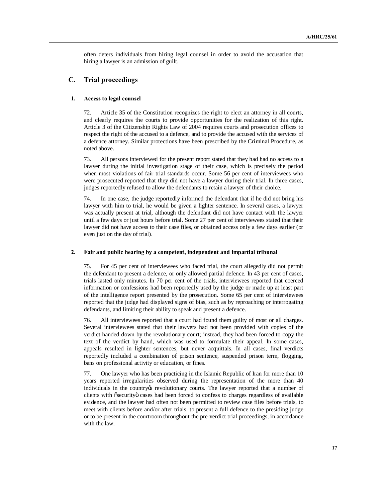often deters individuals from hiring legal counsel in order to avoid the accusation that hiring a lawyer is an admission of guilt.

### **C. Trial proceedings**

#### **1. Access to legal counsel**

72. Article 35 of the Constitution recognizes the right to elect an attorney in all courts, and clearly requires the courts to provide opportunities for the realization of this right. Article 3 of the Citizenship Rights Law of 2004 requires courts and prosecution offices to respect the right of the accused to a defence, and to provide the accused with the services of a defence attorney. Similar protections have been prescribed by the Criminal Procedure, as noted above.

73. All persons interviewed for the present report stated that they had had no access to a lawyer during the initial investigation stage of their case, which is precisely the period when most violations of fair trial standards occur. Some 56 per cent of interviewees who were prosecuted reported that they did not have a lawyer during their trial. In three cases, judges reportedly refused to allow the defendants to retain a lawyer of their choice.

74. In one case, the judge reportedly informed the defendant that if he did not bring his lawyer with him to trial, he would be given a lighter sentence. In several cases, a lawyer was actually present at trial, although the defendant did not have contact with the lawyer until a few days or just hours before trial. Some 27 per cent of interviewees stated that their lawyer did not have access to their case files, or obtained access only a few days earlier (or even just on the day of trial).

#### **2. Fair and public hearing by a competent, independent and impartial tribunal**

75. For 45 per cent of interviewees who faced trial, the court allegedly did not permit the defendant to present a defence, or only allowed partial defence. In 43 per cent of cases, trials lasted only minutes. In 70 per cent of the trials, interviewees reported that coerced information or confessions had been reportedly used by the judge or made up at least part of the intelligence report presented by the prosecution. Some 65 per cent of interviewees reported that the judge had displayed signs of bias, such as by reproaching or interrogating defendants, and limiting their ability to speak and present a defence.

76. All interviewees reported that a court had found them guilty of most or all charges. Several interviewees stated that their lawyers had not been provided with copies of the verdict handed down by the revolutionary court; instead, they had been forced to copy the text of the verdict by hand, which was used to formulate their appeal. In some cases, appeals resulted in lighter sentences, but never acquittals. In all cases, final verdicts reportedly included a combination of prison sentence, suspended prison term, flogging, bans on professional activity or education, or fines.

77. One lawyer who has been practicing in the Islamic Republic of Iran for more than 10 years reported irregularities observed during the representation of the more than 40 individuals in the country ts revolutionary courts. The lawyer reported that a number of clients with  $\tilde{o}$  security $\ddot{o}$  cases had been forced to confess to charges regardless of available evidence, and the lawyer had often not been permitted to review case files before trials, to meet with clients before and/or after trials, to present a full defence to the presiding judge or to be present in the courtroom throughout the pre-verdict trial proceedings, in accordance with the law.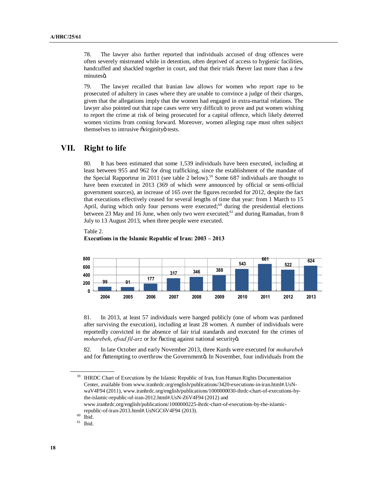78. The lawyer also further reported that individuals accused of drug offences were often severely mistreated while in detention, often deprived of access to hygienic facilities, handcuffed and shackled together in court, and that their trials onever last more than a few minutesö.

79. The lawyer recalled that Iranian law allows for women who report rape to be prosecuted of adultery in cases where they are unable to convince a judge of their charges, given that the allegations imply that the women had engaged in extra-marital relations. The lawyer also pointed out that rape cases were very difficult to prove and put women wishing to report the crime at risk of being prosecuted for a capital offence, which likely deterred women victims from coming forward. Moreover, women alleging rape must often subject themselves to intrusive õvirginityö tests.

## **VII. Right to life**

80. It has been estimated that some 1,539 individuals have been executed, including at least between 955 and 962 for drug trafficking, since the establishment of the mandate of the Special Rapporteur in 2011 (see table 2 below). <sup>59</sup> Some 687 individuals are thought to have been executed in 2013 (369 of which were announced by official or semi-official government sources), an increase of 165 over the figures recorded for 2012, despite the fact that executions effectively ceased for several lengths of time that year: from 1 March to 15 April, during which only four persons were executed; $60$  during the presidential elections between 23 May and 16 June, when only two were executed;<sup>61</sup> and during Ramadan, from 8 July to 13 August 2013, when three people were executed.



#### **Executions in the Islamic Republic of Iran: 2003 – 2013**



81. In 2013, at least 57 individuals were hanged publicly (one of whom was pardoned after surviving the execution), including at least 28 women. A number of individuals were reportedly convicted in the absence of fair trial standards and executed for the crimes of *moharebeh, efsad fil-arz* or for õacting against national securityö.

82. In late October and early November 2013, three Kurds were executed for *moharebeh*  and for õattempting to overthrow the Governmentö. In November, four individuals from the

<sup>&</sup>lt;sup>59</sup> IHRDC Chart of Executions by the Islamic Republic of Iran, Iran Human Rights Documentation Center, available from www.iranhrdc.org/english/publications/3420-executions-in-iran.html#.UsNwaV4F94 (2011), www.iranhrdc.org/english/publications/1000000030-ihrdc-chart-of-executions-bythe-islamic-republic-of-iran-2012.html#.UsN-Z6V4F94 (2012) and www.iranhrdc.org/english/publications/1000000225-ihrdc-chart-of-executions-by-the-islamic-

republic-of-iran-2013.html#.UsNGC6V4F94 (2013).<br>  $^{60}$  Ibid.<br>  $^{61}$  Ibid.

Ibid.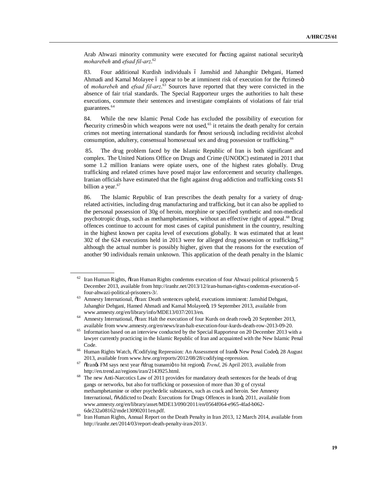Arab Ahwazi minority community were executed for  $\tilde{c}$  acting against national security. *moharebeh* and *efsad fil-arz*. 62

83. Four additional Kurdish individuals 6 Jamshid and Jahanghir Dehgani, Hamed Ahmadi and Kamal Molayee ó appear to be at imminent risk of execution for the õcrimesö of *moharebeh* and *efsad fil-arz*. <sup>63</sup> Sources have reported that they were convicted in the absence of fair trial standards. The Special Rapporteur urges the authorities to halt these executions, commute their sentences and investigate complaints of violations of fair trial guarantees.<sup>64</sup>

84. While the new Islamic Penal Code has excluded the possibility of execution for  $\delta$ security crimes $\ddot{o}$  in which weapons were not used, $\delta$ <sup>5</sup> it retains the death penalty for certain crimes not meeting international standards for õmost seriousö, including recidivist alcohol consumption, adultery, consensual homosexual sex and drug possession or trafficking.<sup>66</sup>

85. The drug problem faced by the Islamic Republic of Iran is both significant and complex. The United Nations Office on Drugs and Crime (UNODC) estimated in 2011 that some 1.2 million Iranians were opiate users, one of the highest rates globally. Drug trafficking and related crimes have posed major law enforcement and security challenges. Iranian officials have estimated that the fight against drug addiction and trafficking costs \$1 billion a year. $67$ 

86. The Islamic Republic of Iran prescribes the death penalty for a variety of drugrelated activities, including drug manufacturing and trafficking, but it can also be applied to the personal possession of 30g of heroin, morphine or specified synthetic and non-medical psychotropic drugs, such as methamphetamines, without an effective right of appeal.<sup>68</sup> Drug offences continue to account for most cases of capital punishment in the country, resulting in the highest known per capita level of executions globally. It was estimated that at least 302 of the 624 executions held in 2013 were for alleged drug possession or trafficking,<sup>69</sup> although the actual number is possibly higher, given that the reasons for the execution of another 90 individuals remain unknown. This application of the death penalty in the Islamic

Iran Human Rights, ölran Human Rights condemns execution of four Ahwazi political prisonersö, 5 December 2013, available from http://iranhr.net/2013/12/iran-human-rights-condemns-execution-offour-ahwazi-political-prisoners-3/.<br>
<sup>63</sup> Amnesty International, õlran: Death sentences upheld, executions imminent: Jamshid Dehgani,

Jahanghir Dehgani, Hamed Ahmadi and Kamal Molayeeö, 19 September 2013, available from www.amnesty.org/en/library/info/MDE13/037/2013/en.<br>Amnesty International, õIran: Halt the execution of four Kurds on death rowö, 20 September 2013,

available from www.amnesty.org/en/news/iran-halt-execution-four-kurds-death-row-2013-09-20.

<sup>65</sup> Information based on an interview conducted by the Special Rapporteur on 20 December 2013 with a lawyer currently practicing in the Islamic Republic of Iran and acquainted with the New Islamic Penal Code.<br><sup>66</sup> Human Rights Watch,  $\tilde{c}$ Codifying Repression: An Assessment of Iran⁄s New Penal Codeö, 28 August

<sup>2013,</sup> available from www.hrw.org/reports/2012/08/28/codifying-repression.

<sup>67</sup> "Iran's FM says next year "drug tsunami" to hit region", *Trend*, 26 April 2013, available from http://en.trend.az/regions/iran/2143925.html.

The new Anti-Narcotics Law of 2011 provides for mandatory death sentences for the heads of drug gangs or networks, but also for trafficking or possession of more than 30 g of crystal methamphetamine or other psychedelic substances, such as crack and heroin. See Amnesty International,  $\delta$ Addicted to Death: Executions for Drugs Offences in Irano, 2011, available from www.amnesty.org/en/library/asset/MDE13/090/2011/en/0564f064-e965-4fad-b062- 6de232a08162/mde130902011en.pdf.

 $^{69}$  Iran Human Rights, Annual Report on the Death Penalty in Iran 2013, 12 March 2014, available from http://iranhr.net/2014/03/report-death-penalty-iran-2013/.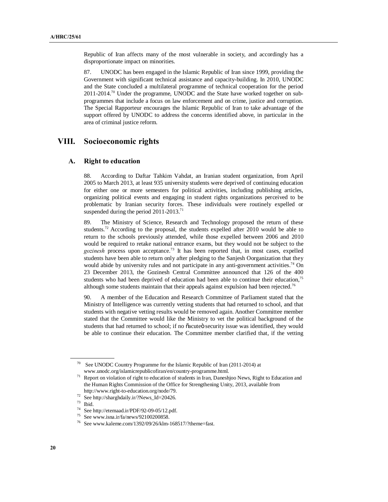Republic of Iran affects many of the most vulnerable in society, and accordingly has a disproportionate impact on minorities.

87. UNODC has been engaged in the Islamic Republic of Iran since 1999, providing the Government with significant technical assistance and capacity-building. In 2010, UNODC and the State concluded a multilateral programme of technical cooperation for the period  $2011$ -2014.<sup>70</sup> Under the programme, UNODC and the State have worked together on subprogrammes that include a focus on law enforcement and on crime, justice and corruption. The Special Rapporteur encourages the Islamic Republic of Iran to take advantage of the support offered by UNODC to address the concerns identified above, in particular in the area of criminal justice reform.

### **VIII. Socioeconomic rights**

#### **A. Right to education**

88. According to Daftar Tahkim Vahdat, an Iranian student organization, from April 2005 to March 2013, at least 935 university students were deprived of continuing education for either one or more semesters for political activities, including publishing articles, organizing political events and engaging in student rights organizations perceived to be problematic by Iranian security forces. These individuals were routinely expelled or suspended during the period  $2011$ - $2013$ <sup>71</sup>

89. The Ministry of Science, Research and Technology proposed the return of these students.<sup>72</sup> According to the proposal, the students expelled after 2010 would be able to return to the schools previously attended, while those expelled between 2006 and 2010 would be required to retake national entrance exams, but they would not be subject to the *gozinesh* process upon acceptance.73 It has been reported that, in most cases, expelled students have been able to return only after pledging to the Sanjesh Oorganization that they would abide by university rules and not participate in any anti-government activities.<sup>74</sup> On 23 December 2013, the Gozinesh Central Committee announced that 126 of the 400 students who had been deprived of education had been able to continue their education,<sup>75</sup> although some students maintain that their appeals against expulsion had been rejected.<sup>76</sup>

90. A member of the Education and Research Committee of Parliament stated that the Ministry of Intelligence was currently vetting students that had returned to school, and that students with negative vetting results would be removed again. Another Committee member stated that the Committee would like the Ministry to vet the political background of the students that had returned to school; if no  $\tilde{o}$  acute  $\tilde{o}$  security issue was identified, they would be able to continue their education. The Committee member clarified that, if the vetting

<sup>70</sup> See UNODC Country Programme for the Islamic Republic of Iran (2011-2014) at

www.unodc.org/islamicrepublicofiran/en/country-programme.html.<br><sup>71</sup> Report on violation of right to education of students in Iran, Daneshjoo News, Right to Education and the Human Rights Commission of the Office for Strengthening Unity, 2013, available from http://www.right-to-education.org/node/79.

 $72$  See http://sharghdaily.ir/?News\_Id=20426.

 $\frac{73}{74}$  Ibid.

<sup>&</sup>lt;sup>74</sup> See http://etemaad.ir/PDF/92-09-05/12.pdf.<br><sup>75</sup> See www.jens.ir/fo/payve/02100200859

See www.isna.ir/fa/news/92100200858.

<sup>&</sup>lt;sup>76</sup> See www.kaleme.com/1392/09/26/klm-168517/?theme=fast.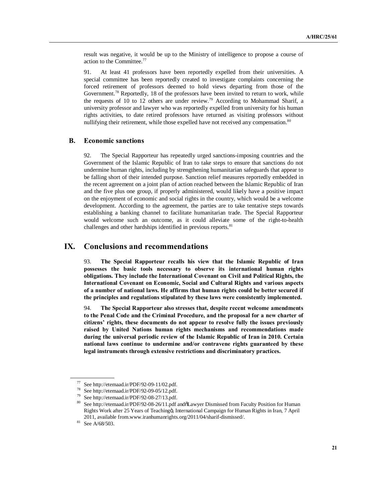result was negative, it would be up to the Ministry of intelligence to propose a course of action to the Committee.77

91. At least 41 professors have been reportedly expelled from their universities. A special committee has been reportedly created to investigate complaints concerning the forced retirement of professors deemed to hold views departing from those of the Government.<sup>78</sup> Reportedly, 18 of the professors have been invited to return to work, while the requests of  $10$  to  $12$  others are under review.<sup>79</sup> According to Mohammad Sharif, a university professor and lawyer who was reportedly expelled from university for his human rights activities, to date retired professors have returned as visiting professors without nullifying their retirement, while those expelled have not received any compensation.<sup>80</sup>

### **B. Economic sanctions**

92. The Special Rapporteur has repeatedly urged sanctions-imposing countries and the Government of the Islamic Republic of Iran to take steps to ensure that sanctions do not undermine human rights, including by strengthening humanitarian safeguards that appear to be falling short of their intended purpose. Sanction relief measures reportedly embedded in the recent agreement on a joint plan of action reached between the Islamic Republic of Iran and the five plus one group, if properly administered, would likely have a positive impact on the enjoyment of economic and social rights in the country, which would be a welcome development. According to the agreement, the parties are to take tentative steps towards establishing a banking channel to facilitate humanitarian trade. The Special Rapporteur would welcome such an outcome, as it could alleviate some of the right-to-health challenges and other hardships identified in previous reports.<sup>81</sup>

### **IX. Conclusions and recommendations**

93. **The Special Rapporteur recalls his view that the Islamic Republic of Iran possesses the basic tools necessary to observe its international human rights obligations. They include the International Covenant on Civil and Political Rights, the International Covenant on Economic, Social and Cultural Rights and various aspects of a number of national laws. He affirms that human rights could be better secured if the principles and regulations stipulated by these laws were consistently implemented.**

94. **The Special Rapporteur also stresses that, despite recent welcome amendments to the Penal Code and the Criminal Procedure, and the proposal for a new charter of citizens' rights, these documents do not appear to resolve fully the issues previously raised by United Nations human rights mechanisms and recommendations made during the universal periodic review of the Islamic Republic of Iran in 2010. Certain national laws continue to undermine and/or contravene rights guaranteed by these legal instruments through extensive restrictions and discriminatory practices.**

<sup>77</sup> See http://etemaad.ir/PDF/92-09-11/02.pdf.

<sup>78</sup> See http://etemaad.ir/PDF/92-09-05/12.pdf.

<sup>79</sup> See http://etemaad.ir/PDF/92-08-27/13.pdf.

 $80$  See http://etemaad.ir/PDF/92-08-26/11.pdf and  $\delta$ Lawyer Dismissed from Faculty Position for Human Rights Work after 25 Years of Teachingö, International Campaign for Human Rights in Iran, 7 April 2011, available from.www.iranhumanrights.org/2011/04/sharif-dismissed/.

<sup>81</sup> See A/68/503.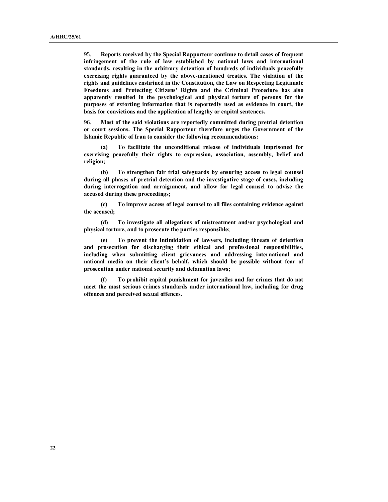95. **Reports received by the Special Rapporteur continue to detail cases of frequent infringement of the rule of law established by national laws and international standards, resulting in the arbitrary detention of hundreds of individuals peacefully exercising rights guaranteed by the above-mentioned treaties. The violation of the rights and guidelines enshrined in the Constitution, the Law on Respecting Legitimate Freedoms and Protecting Citizens' Rights and the Criminal Procedure has also apparently resulted in the psychological and physical torture of persons for the purposes of extorting information that is reportedly used as evidence in court, the basis for convictions and the application of lengthy or capital sentences.**

96. **Most of the said violations are reportedly committed during pretrial detention or court sessions. The Special Rapporteur therefore urges the Government of the Islamic Republic of Iran to consider the following recommendations:**

**(a) To facilitate the unconditional release of individuals imprisoned for exercising peacefully their rights to expression, association, assembly, belief and religion;** 

**(b) To strengthen fair trial safeguards by ensuring access to legal counsel during all phases of pretrial detention and the investigative stage of cases, including during interrogation and arraignment, and allow for legal counsel to advise the accused during these proceedings;**

**(c) To improve access of legal counsel to all files containing evidence against the accused;** 

**(d) To investigate all allegations of mistreatment and/or psychological and physical torture, and to prosecute the parties responsible;** 

**(e) To prevent the intimidation of lawyers, including threats of detention and prosecution for discharging their ethical and professional responsibilities, including when submitting client grievances and addressing international and national media on their client's behalf, which should be possible without fear of prosecution under national security and defamation laws;** 

**(f) To prohibit capital punishment for juveniles and for crimes that do not meet the most serious crimes standards under international law, including for drug offences and perceived sexual offences.**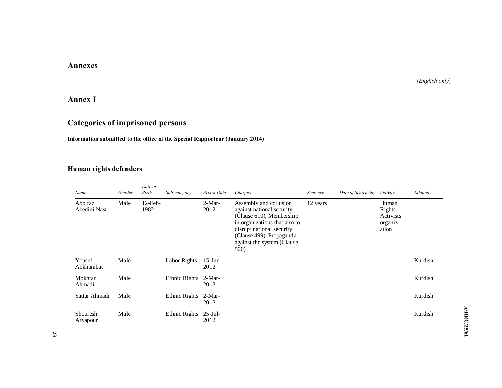# **Annexes**

## *[English only*]

# **Annex I**

# **Categories of imprisoned persons**

## **Information submitted to the office of the Special Rapporteur (January 2014)**

# **Human rights defenders**

| Name                     | Gender | Date of<br>Birth   | Sub-category         | Arrest Date        | Charges                                                                                                                                                                                                         | Sentence | Date of Sentencing Activity |                                                   | Ethnicity |
|--------------------------|--------|--------------------|----------------------|--------------------|-----------------------------------------------------------------------------------------------------------------------------------------------------------------------------------------------------------------|----------|-----------------------------|---------------------------------------------------|-----------|
| Abolfazl<br>Abedini Nasr | Male   | $12$ -Feb-<br>1982 |                      | $2-Mar-$<br>2012   | Assembly and collusion<br>against national security<br>(Clause 610), Membership<br>in organizations that aim to<br>disrupt national security<br>(Clause 499), Propaganda<br>against the system (Clause)<br>500) | 12 years |                             | Human<br>Rights<br>Activists<br>organiz-<br>ation |           |
| Yousef<br>Abkharabat     | Male   |                    | Labor Rights         | $15$ -Jun-<br>2012 |                                                                                                                                                                                                                 |          |                             |                                                   | Kurdish   |
| Mokhtar<br>Ahmadi        | Male   |                    | Ethnic Rights 2-Mar- | 2013               |                                                                                                                                                                                                                 |          |                             |                                                   | Kurdish   |
| Sattar Ahmadi            | Male   |                    | Ethnic Rights        | $2-Mar-$<br>2013   |                                                                                                                                                                                                                 |          |                             |                                                   | Kurdish   |
| Shouresh<br>Aryapour     | Male   |                    | Ethnic Rights        | $25$ -Jul-<br>2012 |                                                                                                                                                                                                                 |          |                             |                                                   | Kurdish   |

A/HRC/25/61 **A/HRC/25/61**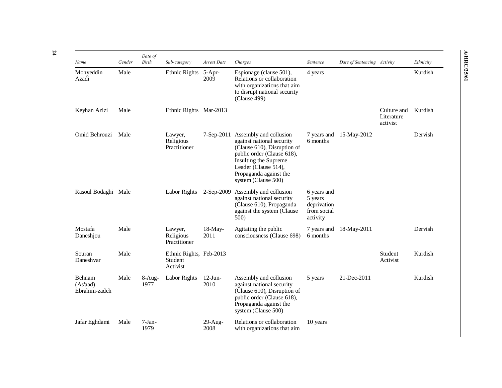| Name                                | Gender | Date of<br>Birth | Sub-category                                   | Arrest Date        | Charges                                                                                                                                                                                                            | Sentence                                                         | Date of Sentencing Activity |                                       | Ethnicity |
|-------------------------------------|--------|------------------|------------------------------------------------|--------------------|--------------------------------------------------------------------------------------------------------------------------------------------------------------------------------------------------------------------|------------------------------------------------------------------|-----------------------------|---------------------------------------|-----------|
| Mohyeddin<br>Azadi                  | Male   |                  | Ethnic Rights                                  | $5-Apr-$<br>2009   | Espionage (clause 501),<br>Relations or collaboration<br>with organizations that aim<br>to disrupt national security<br>(Clause 499)                                                                               | 4 years                                                          |                             |                                       | Kurdish   |
| Keyhan Azizi                        | Male   |                  | Ethnic Rights Mar-2013                         |                    |                                                                                                                                                                                                                    |                                                                  |                             | Culture and<br>Literature<br>activist | Kurdish   |
| Omid Behrouzi                       | Male   |                  | Lawyer,<br>Religious<br>Practitioner           | 7-Sep-2011         | Assembly and collusion<br>against national security<br>(Clause 610), Disruption of<br>public order (Clause 618),<br>Insulting the Supreme<br>Leader (Clause 514),<br>Propaganda against the<br>system (Clause 500) | 7 years and<br>6 months                                          | 15-May-2012                 |                                       | Dervish   |
| Rasoul Bodaghi Male                 |        |                  | Labor Rights                                   | $2-Sep-2009$       | Assembly and collusion<br>against national security<br>(Clause 610), Propaganda<br>against the system (Clause<br>500)                                                                                              | 6 years and<br>5 years<br>deprivation<br>from social<br>activity |                             |                                       |           |
| Mostafa<br>Daneshjou                | Male   |                  | Lawyer,<br>Religious<br>Practitioner           | $18-May-$<br>2011  | Agitating the public<br>consciousness (Clause 698)                                                                                                                                                                 | 7 years and<br>6 months                                          | 18-May-2011                 |                                       | Dervish   |
| Souran<br>Daneshvar                 | Male   |                  | Ethnic Rights, Feb-2013<br>Student<br>Activist |                    |                                                                                                                                                                                                                    |                                                                  |                             | Student<br>Activist                   | Kurdish   |
| Behnam<br>(As'aad)<br>Ebrahim-zadeh | Male   | $8-Aug-$<br>1977 | <b>Labor Rights</b>                            | $12$ -Jun-<br>2010 | Assembly and collusion<br>against national security<br>(Clause 610), Disruption of<br>public order (Clause 618),<br>Propaganda against the<br>system (Clause 500)                                                  | 5 years                                                          | 21-Dec-2011                 |                                       | Kurdish   |
| Jafar Eghdami                       | Male   | $7-Jan-$<br>1979 |                                                | $29$ -Aug-<br>2008 | Relations or collaboration<br>with organizations that aim                                                                                                                                                          | 10 years                                                         |                             |                                       |           |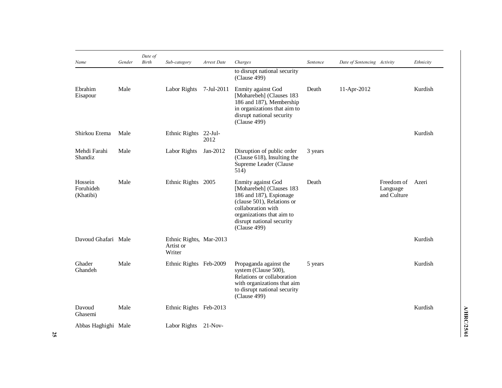| Name                              | Gender | Date of<br>Birth | Sub-category                                   | Arrest Date        | Charges                                                                                                                                                                                                 | Sentence | Date of Sentencing Activity |                                       | Ethnicity |
|-----------------------------------|--------|------------------|------------------------------------------------|--------------------|---------------------------------------------------------------------------------------------------------------------------------------------------------------------------------------------------------|----------|-----------------------------|---------------------------------------|-----------|
|                                   |        |                  |                                                |                    | to disrupt national security<br>(Clause 499)                                                                                                                                                            |          |                             |                                       |           |
| Ebrahim<br>Eisapour               | Male   |                  | Labor Rights                                   | 7-Jul-2011         | Enmity against God<br>[Moharebeh] (Clauses 183<br>186 and 187), Membership<br>in organizations that aim to<br>disrupt national security<br>(Clause 499)                                                 | Death    | 11-Apr-2012                 |                                       | Kurdish   |
| Shirkou Etema                     | Male   |                  | Ethnic Rights                                  | $22$ -Jul-<br>2012 |                                                                                                                                                                                                         |          |                             |                                       | Kurdish   |
| Mehdi Farahi<br>Shandiz           | Male   |                  | Labor Rights                                   | Jan-2012           | Disruption of public order<br>(Clause 618), Insulting the<br>Supreme Leader (Clause<br>514)                                                                                                             | 3 years  |                             |                                       |           |
| Hossein<br>Foruhideh<br>(Khatibi) | Male   |                  | Ethnic Rights 2005                             |                    | Enmity against God<br>[Moharebeh] (Clauses 183<br>186 and 187), Espionage<br>(clause 501), Relations or<br>collaboration with<br>organizations that aim to<br>disrupt national security<br>(Clause 499) | Death    |                             | Freedom of<br>Language<br>and Culture | Azeri     |
| Davoud Ghafari Male               |        |                  | Ethnic Rights, Mar-2013<br>Artist or<br>Writer |                    |                                                                                                                                                                                                         |          |                             |                                       | Kurdish   |
| Ghader<br>Ghandeh                 | Male   |                  | Ethnic Rights Feb-2009                         |                    | Propaganda against the<br>system (Clause 500),<br>Relations or collaboration<br>with organizations that aim<br>to disrupt national security<br>(Clause 499)                                             | 5 years  |                             |                                       | Kurdish   |
| Davoud<br>Ghasemi                 | Male   |                  | Ethnic Rights Feb-2013                         |                    |                                                                                                                                                                                                         |          |                             |                                       | Kurdish   |
| Abbas Haghighi Male               |        |                  | Labor Rights 21-Nov-                           |                    |                                                                                                                                                                                                         |          |                             |                                       |           |

A/HRC/25/61 **A/HRC/25/61**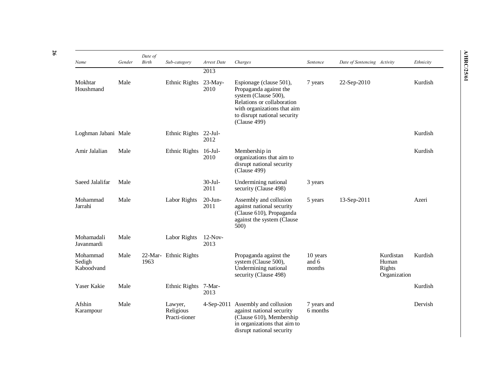| Name                             | Gender | Date of<br>Birth | Sub-category                          | Arrest Date        | Charges                                                                                                                                                                                | Sentence                    | Date of Sentencing Activity |                                              | Ethnicity |
|----------------------------------|--------|------------------|---------------------------------------|--------------------|----------------------------------------------------------------------------------------------------------------------------------------------------------------------------------------|-----------------------------|-----------------------------|----------------------------------------------|-----------|
|                                  |        |                  |                                       | 2013               |                                                                                                                                                                                        |                             |                             |                                              |           |
| Mokhtar<br>Houshmand             | Male   |                  | Ethnic Rights                         | $23$ -May-<br>2010 | Espionage (clause 501),<br>Propaganda against the<br>system (Clause 500),<br>Relations or collaboration<br>with organizations that aim<br>to disrupt national security<br>(Clause 499) | 7 years                     | 22-Sep-2010                 |                                              | Kurdish   |
| Loghman Jabani Male              |        |                  | Ethnic Rights                         | $22-Jul-$<br>2012  |                                                                                                                                                                                        |                             |                             |                                              | Kurdish   |
| Amir Jalalian                    | Male   |                  | Ethnic Rights                         | $16$ -Jul-<br>2010 | Membership in<br>organizations that aim to<br>disrupt national security<br>(Clause 499)                                                                                                |                             |                             |                                              | Kurdish   |
| Saeed Jalalifar                  | Male   |                  |                                       | 30-Jul-<br>2011    | Undermining national<br>security (Clause 498)                                                                                                                                          | 3 years                     |                             |                                              |           |
| Mohammad<br>Jarrahi              | Male   |                  | <b>Labor Rights</b>                   | $20$ -Jun-<br>2011 | Assembly and collusion<br>against national security<br>(Clause 610), Propaganda<br>against the system (Clause<br>500)                                                                  | 5 years                     | 13-Sep-2011                 |                                              | Azeri     |
| Mohamadali<br>Javanmardi         | Male   |                  | Labor Rights                          | $12-Nov-$<br>2013  |                                                                                                                                                                                        |                             |                             |                                              |           |
| Mohammad<br>Sedigh<br>Kaboodvand | Male   | 1963             | 22-Mar- Ethnic Rights                 |                    | Propaganda against the<br>system (Clause 500),<br>Undermining national<br>security (Clause 498)                                                                                        | 10 years<br>and 6<br>months |                             | Kurdistan<br>Human<br>Rights<br>Organization | Kurdish   |
| Yaser Kakie                      | Male   |                  | Ethnic Rights                         | 7-Mar-<br>2013     |                                                                                                                                                                                        |                             |                             |                                              | Kurdish   |
| Afshin<br>Karampour              | Male   |                  | Lawyer,<br>Religious<br>Practi-tioner | $4-Sep-2011$       | Assembly and collusion<br>against national security<br>(Clause 610), Membership<br>in organizations that aim to<br>disrupt national security                                           | 7 years and<br>6 months     |                             |                                              | Dervish   |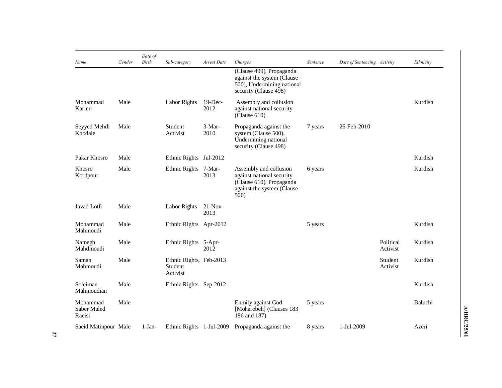| Name                              | Gender | Date of<br>Birth | Sub-category                                   | Arrest Date       | Charges                                                                                                               | Sentence | Date of Sentencing Activity |                       | Ethnicity |
|-----------------------------------|--------|------------------|------------------------------------------------|-------------------|-----------------------------------------------------------------------------------------------------------------------|----------|-----------------------------|-----------------------|-----------|
|                                   |        |                  |                                                |                   | (Clause 499), Propaganda<br>against the system (Clause<br>500), Undermining national<br>security (Clause 498)         |          |                             |                       |           |
| Mohammad<br>Karimi                | Male   |                  | Labor Rights                                   | 19-Dec-<br>2012   | Assembly and collusion<br>against national security<br>(Clause 610)                                                   |          |                             |                       | Kurdish   |
| Seyyed Mehdi<br>Khodaie           | Male   |                  | Student<br>Activist                            | 3-Mar-<br>2010    | Propaganda against the<br>system (Clause 500),<br>Undermining national<br>security (Clause 498)                       | 7 years  | 26-Feb-2010                 |                       |           |
| Pakar Khosro                      | Male   |                  | Ethnic Rights                                  | Jul-2012          |                                                                                                                       |          |                             |                       | Kurdish   |
| Khosro<br>Kordpour                | Male   |                  | Ethnic Rights                                  | 7-Mar-<br>2013    | Assembly and collusion<br>against national security<br>(Clause 610), Propaganda<br>against the system (Clause<br>500) | 6 years  |                             |                       | Kurdish   |
| Javad Lotfi                       | Male   |                  | Labor Rights                                   | $21-Nov-$<br>2013 |                                                                                                                       |          |                             |                       |           |
| Mohammad<br>Mahmoudi              | Male   |                  | Ethnic Rights Apr-2012                         |                   |                                                                                                                       | 5 years  |                             |                       | Kurdish   |
| Namegh<br>Mahdmoudi               | Male   |                  | Ethnic Rights 5-Apr-                           | 2012              |                                                                                                                       |          |                             | Political<br>Activist | Kurdish   |
| Saman<br>Mahmoudi                 | Male   |                  | Ethnic Rights, Feb-2013<br>Student<br>Activist |                   |                                                                                                                       |          |                             | Student<br>Activist   | Kurdish   |
| Soleiman<br>Mahmoudian            | Male   |                  | Ethnic Rights Sep-2012                         |                   |                                                                                                                       |          |                             |                       | Kurdish   |
| Mohammad<br>Saber Maled<br>Raeisi | Male   |                  |                                                |                   | Enmity against God<br>[Moharebeh] (Clauses 183<br>186 and 187)                                                        | 5 years  |                             |                       | Baluchi   |
| Saeid Matinpour Male              |        | $1-Jan-$         | Ethnic Rights 1-Jul-2009                       |                   | Propaganda against the                                                                                                | 8 years  | 1-Jul-2009                  |                       | Azeri     |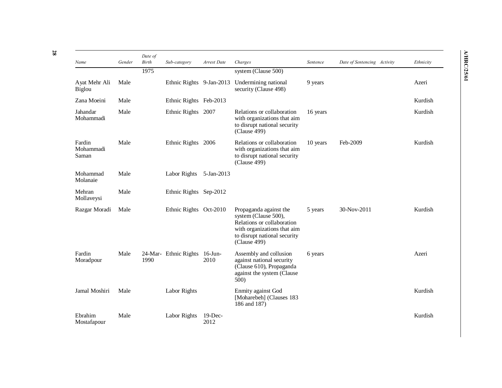| Name                         | Gender | Date of<br>Birth | Sub-category             | Arrest Date        | Charges                                                                                                                                                     | Sentence | Date of Sentencing Activity | Ethnicity |
|------------------------------|--------|------------------|--------------------------|--------------------|-------------------------------------------------------------------------------------------------------------------------------------------------------------|----------|-----------------------------|-----------|
|                              |        | 1975             |                          |                    | system (Clause 500)                                                                                                                                         |          |                             |           |
| Ayat Mehr Ali<br>Biglou      | Male   |                  | Ethnic Rights 9-Jan-2013 |                    | Undermining national<br>security (Clause 498)                                                                                                               | 9 years  |                             | Azeri     |
| Zana Moeini                  | Male   |                  | Ethnic Rights Feb-2013   |                    |                                                                                                                                                             |          |                             | Kurdish   |
| Jahandar<br>Mohammadi        | Male   |                  | Ethnic Rights 2007       |                    | Relations or collaboration<br>with organizations that aim<br>to disrupt national security<br>(Clause 499)                                                   | 16 years |                             | Kurdish   |
| Fardin<br>Mohammadi<br>Saman | Male   |                  | Ethnic Rights 2006       |                    | Relations or collaboration<br>with organizations that aim<br>to disrupt national security<br>(Clause 499)                                                   | 10 years | Feb-2009                    | Kurdish   |
| Mohammad<br>Molanaie         | Male   |                  | Labor Rights             | 5-Jan-2013         |                                                                                                                                                             |          |                             |           |
| Mehran<br>Mollaveysi         | Male   |                  | Ethnic Rights Sep-2012   |                    |                                                                                                                                                             |          |                             |           |
| Razgar Moradi                | Male   |                  | Ethnic Rights Oct-2010   |                    | Propaganda against the<br>system (Clause 500),<br>Relations or collaboration<br>with organizations that aim<br>to disrupt national security<br>(Clause 499) | 5 years  | 30-Nov-2011                 | Kurdish   |
| Fardin<br>Moradpour          | Male   | 1990             | 24-Mar- Ethnic Rights    | $16$ -Jun-<br>2010 | Assembly and collusion<br>against national security<br>(Clause 610), Propaganda<br>against the system (Clause)<br>500)                                      | 6 years  |                             | Azeri     |
| Jamal Moshiri                | Male   |                  | <b>Labor Rights</b>      |                    | Enmity against God<br>[Moharebeh] (Clauses 183<br>186 and 187)                                                                                              |          |                             | Kurdish   |
| Ebrahim<br>Mostafapour       | Male   |                  | Labor Rights             | $19$ -Dec-<br>2012 |                                                                                                                                                             |          |                             | Kurdish   |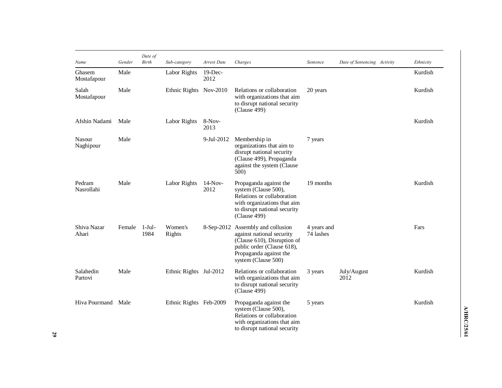| Name                       | Gender | Date of<br>Birth | Sub-category           | Arrest Date        | Charges                                                                                                                                                                      | Sentence                 | Date of Sentencing Activity | Ethnicity |
|----------------------------|--------|------------------|------------------------|--------------------|------------------------------------------------------------------------------------------------------------------------------------------------------------------------------|--------------------------|-----------------------------|-----------|
| Ghasem<br>Mostafapour      | Male   |                  | Labor Rights           | $19$ -Dec-<br>2012 |                                                                                                                                                                              |                          |                             | Kurdish   |
| Salah<br>Mostafapour       | Male   |                  | Ethnic Rights Nov-2010 |                    | Relations or collaboration<br>with organizations that aim<br>to disrupt national security<br>(Clause 499)                                                                    | 20 years                 |                             | Kurdish   |
| Afshin Nadami              | Male   |                  | Labor Rights           | $8-Nov-$<br>2013   |                                                                                                                                                                              |                          |                             | Kurdish   |
| <b>Nasour</b><br>Naghipour | Male   |                  |                        | 9-Jul-2012         | Membership in<br>organizations that aim to<br>disrupt national security<br>(Clause 499), Propaganda<br>against the system (Clause<br>500)                                    | 7 years                  |                             |           |
| Pedram<br>Nasrollahi       | Male   |                  | Labor Rights           | $14-Nov-$<br>2012  | Propaganda against the<br>system (Clause 500),<br>Relations or collaboration<br>with organizations that aim<br>to disrupt national security<br>(Clause 499)                  | 19 months                |                             | Kurdish   |
| Shiva Nazar<br>Ahari       | Female | $1-Jul-$<br>1984 | Women's<br>Rights      |                    | 8-Sep-2012 Assembly and collusion<br>against national security<br>(Clause 610), Disruption of<br>public order (Clause 618),<br>Propaganda against the<br>system (Clause 500) | 4 years and<br>74 lashes |                             | Fars      |
| Salahedin<br>Partovi       | Male   |                  | Ethnic Rights Jul-2012 |                    | Relations or collaboration<br>with organizations that aim<br>to disrupt national security<br>(Clause 499)                                                                    | 3 years                  | July/August<br>2012         | Kurdish   |
| Hiva Pourmand              | Male   |                  | Ethnic Rights Feb-2009 |                    | Propaganda against the<br>system (Clause 500),<br>Relations or collaboration<br>with organizations that aim<br>to disrupt national security                                  | 5 years                  |                             | Kurdish   |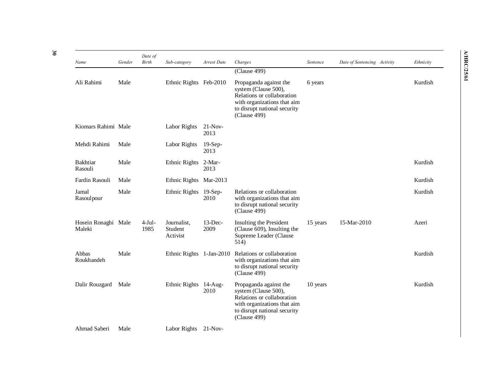| Name                          | Gender | Date of<br>Birth | Sub-category                       | Arrest Date        | Charges                                                                                                                                                     | Sentence | Date of Sentencing Activity | Ethnicity |
|-------------------------------|--------|------------------|------------------------------------|--------------------|-------------------------------------------------------------------------------------------------------------------------------------------------------------|----------|-----------------------------|-----------|
|                               |        |                  |                                    |                    | (Clause 499)                                                                                                                                                |          |                             |           |
| Ali Rahimi                    | Male   |                  | Ethnic Rights Feb-2010             |                    | Propaganda against the<br>system (Clause 500),<br>Relations or collaboration<br>with organizations that aim<br>to disrupt national security<br>(Clause 499) | 6 years  |                             | Kurdish   |
| Kiomars Rahimi Male           |        |                  | Labor Rights                       | $21-Nov-$<br>2013  |                                                                                                                                                             |          |                             |           |
| Mehdi Rahimi                  | Male   |                  | Labor Rights                       | $19-Sep-$<br>2013  |                                                                                                                                                             |          |                             |           |
| <b>Bakhtiar</b><br>Rasouli    | Male   |                  | Ethnic Rights 2-Mar-               | 2013               |                                                                                                                                                             |          |                             | Kurdish   |
| Fardin Rasouli                | Male   |                  | Ethnic Rights Mar-2013             |                    |                                                                                                                                                             |          |                             | Kurdish   |
| Jamal<br>Rasoulpour           | Male   |                  | Ethnic Rights                      | $19-Sep-$<br>2010  | Relations or collaboration<br>with organizations that aim<br>to disrupt national security<br>(Clause 499)                                                   |          |                             | Kurdish   |
| Hosein Ronaghi Male<br>Maleki |        | $4-Jul-$<br>1985 | Journalist,<br>Student<br>Activist | $13$ -Dec-<br>2009 | Insulting the President<br>(Clause 609), Insulting the<br>Supreme Leader (Clause<br>514)                                                                    | 15 years | 15-Mar-2010                 | Azeri     |
| Abbas<br>Roukhandeh           | Male   |                  | Ethnic Rights 1-Jan-2010           |                    | Relations or collaboration<br>with organizations that aim<br>to disrupt national security<br>(Clause 499)                                                   |          |                             | Kurdish   |
| Dalir Rouzgard                | Male   |                  | Ethnic Rights 14-Aug-              | 2010               | Propaganda against the<br>system (Clause 500),<br>Relations or collaboration<br>with organizations that aim<br>to disrupt national security<br>(Clause 499) | 10 years |                             | Kurdish   |
| Ahmad Saberi                  | Male   |                  | Labor Rights 21-Nov-               |                    |                                                                                                                                                             |          |                             |           |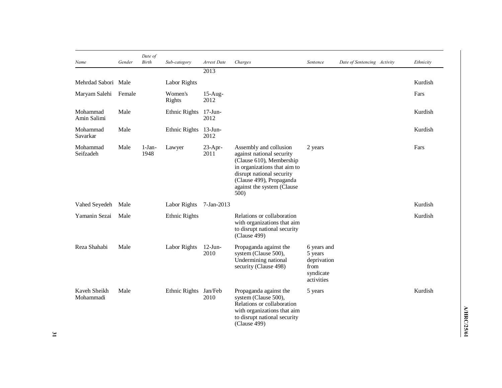| Name                      | Gender | Date of<br>Birth | Sub-category         | Arrest Date        | Charges                                                                                                                                                                                                        | Sentence                                                                 | Date of Sentencing Activity | Ethnicity |
|---------------------------|--------|------------------|----------------------|--------------------|----------------------------------------------------------------------------------------------------------------------------------------------------------------------------------------------------------------|--------------------------------------------------------------------------|-----------------------------|-----------|
|                           |        |                  |                      | 2013               |                                                                                                                                                                                                                |                                                                          |                             |           |
| Mehrdad Sabori Male       |        |                  | Labor Rights         |                    |                                                                                                                                                                                                                |                                                                          |                             | Kurdish   |
| Maryam Salehi             | Female |                  | Women's<br>Rights    | $15-Aug-$<br>2012  |                                                                                                                                                                                                                |                                                                          |                             | Fars      |
| Mohammad<br>Amin Salimi   | Male   |                  | <b>Ethnic Rights</b> | $17$ -Jun-<br>2012 |                                                                                                                                                                                                                |                                                                          |                             | Kurdish   |
| Mohammad<br>Savarkar      | Male   |                  | Ethnic Rights        | $13$ -Jun-<br>2012 |                                                                                                                                                                                                                |                                                                          |                             | Kurdish   |
| Mohammad<br>Seifzadeh     | Male   | $1-Jan-$<br>1948 | Lawyer               | $23-Apr-$<br>2011  | Assembly and collusion<br>against national security<br>(Clause 610), Membership<br>in organizations that aim to<br>disrupt national security<br>(Clause 499), Propaganda<br>against the system (Clause<br>500) | 2 years                                                                  |                             | Fars      |
| Vahed Seyedeh             | Male   |                  | Labor Rights         | $7-Jan-2013$       |                                                                                                                                                                                                                |                                                                          |                             | Kurdish   |
| Yamanin Sezai             | Male   |                  | Ethnic Rights        |                    | Relations or collaboration<br>with organizations that aim<br>to disrupt national security<br>(Clause 499)                                                                                                      |                                                                          |                             | Kurdish   |
| Reza Shahabi              | Male   |                  | Labor Rights         | $12-J$ un-<br>2010 | Propaganda against the<br>system (Clause 500),<br>Undermining national<br>security (Clause 498)                                                                                                                | 6 years and<br>5 years<br>deprivation<br>from<br>syndicate<br>activities |                             |           |
| Kaveh Sheikh<br>Mohammadi | Male   |                  | Ethnic Rights        | Jan/Feb<br>2010    | Propaganda against the<br>system (Clause 500),<br>Relations or collaboration<br>with organizations that aim<br>to disrupt national security<br>(Clause 499)                                                    | 5 years                                                                  |                             | Kurdish   |

A/HRC/25/61 **A/HRC/25/61**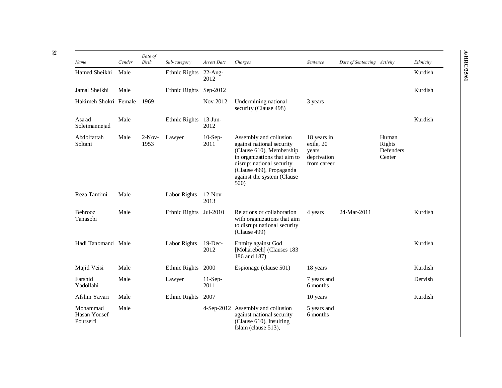| Name                                  | Gender | Date of<br>Birth | Sub-category  | Arrest Date        | Charges                                                                                                                                                                                                        | Sentence                                                        | Date of Sentencing Activity |                                        | Ethnicity |
|---------------------------------------|--------|------------------|---------------|--------------------|----------------------------------------------------------------------------------------------------------------------------------------------------------------------------------------------------------------|-----------------------------------------------------------------|-----------------------------|----------------------------------------|-----------|
| Hamed Sheikhi                         | Male   |                  | Ethnic Rights | $22$ -Aug-<br>2012 |                                                                                                                                                                                                                |                                                                 |                             |                                        | Kurdish   |
| Jamal Sheikhi                         | Male   |                  | Ethnic Rights | Sep-2012           |                                                                                                                                                                                                                |                                                                 |                             |                                        | Kurdish   |
| Hakimeh Shokri Female                 |        | 1969             |               | Nov-2012           | Undermining national<br>security (Clause 498)                                                                                                                                                                  | 3 years                                                         |                             |                                        |           |
| Asa'ad<br>Soleimannejad               | Male   |                  | Ethnic Rights | $13$ -Jun-<br>2012 |                                                                                                                                                                                                                |                                                                 |                             |                                        | Kurdish   |
| Abdolfattah<br>Soltani                | Male   | $2-Nov-$<br>1953 | Lawyer        | $10-Sep-$<br>2011  | Assembly and collusion<br>against national security<br>(Clause 610), Membership<br>in organizations that aim to<br>disrupt national security<br>(Clause 499), Propaganda<br>against the system (Clause<br>500) | 18 years in<br>exile, 20<br>years<br>deprivation<br>from career |                             | Human<br>Rights<br>Defenders<br>Center |           |
| Reza Tamimi                           | Male   |                  | Labor Rights  | $12-Nov-$<br>2013  |                                                                                                                                                                                                                |                                                                 |                             |                                        |           |
| Behrooz<br>Tanasobi                   | Male   |                  | Ethnic Rights | Jul-2010           | Relations or collaboration<br>with organizations that aim<br>to disrupt national security<br>(Clause 499)                                                                                                      | 4 years                                                         | 24-Mar-2011                 |                                        | Kurdish   |
| Hadi Tanomand Male                    |        |                  | Labor Rights  | $19$ -Dec-<br>2012 | Enmity against God<br>[Moharebeh] (Clauses 183<br>186 and 187)                                                                                                                                                 |                                                                 |                             |                                        | Kurdish   |
| Majid Veisi                           | Male   |                  | Ethnic Rights | 2000               | Espionage (clause 501)                                                                                                                                                                                         | 18 years                                                        |                             |                                        | Kurdish   |
| Farshid<br>Yadollahi                  | Male   |                  | Lawyer        | $11-Sep-$<br>2011  |                                                                                                                                                                                                                | 7 years and<br>6 months                                         |                             |                                        | Dervish   |
| Afshin Yavari                         | Male   |                  | Ethnic Rights | 2007               |                                                                                                                                                                                                                | 10 years                                                        |                             |                                        | Kurdish   |
| Mohammad<br>Hasan Yousef<br>Pourseifi | Male   |                  |               |                    | 4-Sep-2012 Assembly and collusion<br>against national security<br>(Clause 610), Insulting<br>Islam (clause 513),                                                                                               | 5 years and<br>6 months                                         |                             |                                        |           |

**A/HRC/25/61**

**A/HRC/25/61** 

**32**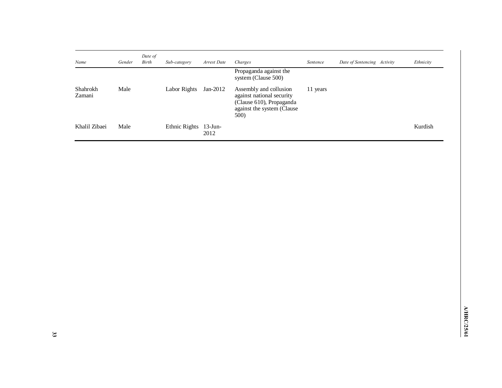| Name               | Gender | Date of<br>Birth | Sub-category  | Arrest Date        | Charges                                                                                                                | Sentence | Date of Sentencing Activity | Ethnicity |
|--------------------|--------|------------------|---------------|--------------------|------------------------------------------------------------------------------------------------------------------------|----------|-----------------------------|-----------|
|                    |        |                  |               |                    | Propaganda against the<br>system (Clause 500)                                                                          |          |                             |           |
| Shahrokh<br>Zamani | Male   |                  | Labor Rights  | Jan-2012           | Assembly and collusion<br>against national security<br>(Clause 610), Propaganda<br>against the system (Clause)<br>500) | 11 years |                             |           |
| Khalil Zibaei      | Male   |                  | Ethnic Rights | $13$ -Jun-<br>2012 |                                                                                                                        |          |                             | Kurdish   |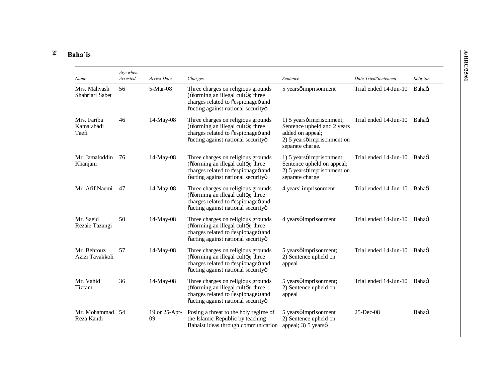#### **34 Baha'is**

| Name                               | Age when<br>Arrested | Arrest Date         | Charges                                                                                                                                              | Sentence                                                                                                                                        | Date Tried/Sentenced        | Religion |
|------------------------------------|----------------------|---------------------|------------------------------------------------------------------------------------------------------------------------------------------------------|-------------------------------------------------------------------------------------------------------------------------------------------------|-----------------------------|----------|
| Mrs. Mahvash<br>Shahriari Sabet    | 56                   | 5-Mar-08            | Three charges on religious grounds<br>(õforming an illegal cultö); three<br>charges related to õespionageö and<br>õacting against national securityö | 5 yearsøimprisonment                                                                                                                            | Trial ended 14-Jun-10       | Bahagi   |
| Mrs. Fariba<br>Kamalabadi<br>Taefi | 46                   | $14$ -May-08        | Three charges on religious grounds<br>(õforming an illegal cultö); three<br>charges related to õespionageö and<br>õacting against national securityö | 1) 5 years <i>o</i> imprisonment;<br>Sentence upheld and 2 years<br>added on appeal;<br>2) 5 years <i>o</i> imprisonment on<br>separate charge. | Trial ended 14-Jun-10       | Bahaoi   |
| Mr. Jamaloddin<br>Khanjani         | -76                  | $14$ -May-08        | Three charges on religious grounds<br>(õforming an illegal cultö); three<br>charges related to õespionageö and<br>õacting against national securityö | 1) 5 yearsøimprisonment;<br>Sentence upheld on appeal;<br>2) 5 years <i>p</i> imprisonment on<br>separate charge                                | Trial ended 14-Jun-10 Bahad |          |
| Mr. Afif Naemi                     | 47                   | $14-May-08$         | Three charges on religious grounds<br>(õforming an illegal cultö); three<br>charges related to õespionageö and<br>õacting against national securityö | 4 years' imprisonment                                                                                                                           | Trial ended 14-Jun-10       | Bahaoi   |
| Mr. Saeid<br>Rezaie Tazangi        | 50                   | $14$ -May-08        | Three charges on religious grounds<br>(õforming an illegal cultö); three<br>charges related to õespionageö and<br>õacting against national securityö | 4 years <i>o</i> imprisonment                                                                                                                   | Trial ended 14-Jun-10       | Bahaoi   |
| Mr. Behrouz<br>Azizi Tavakkoli     | 57                   | 14-May-08           | Three charges on religious grounds<br>(õforming an illegal cultö); three<br>charges related to õespionageö and<br>õacting against national securityö | 5 yearsøimprisonment;<br>2) Sentence upheld on<br>appeal                                                                                        | Trial ended 14-Jun-10       | Bahaoi   |
| Mr. Vahid<br>Tizfam                | 36                   | $14$ -May-08        | Three charges on religious grounds<br>(õforming an illegal cultö); three<br>charges related to õespionageö and<br>õacting against national securityö | 5 years <i>p</i> imprisonment;<br>2) Sentence upheld on<br>appeal                                                                               | Trial ended 14-Jun-10       | Bahaøi   |
| Mr. Mohammad 54<br>Reza Kandi      |                      | 19 or 25-Apr-<br>09 | Posing a threat to the holy regime of<br>the Islamic Republic by teaching<br>Bahaist ideas through communication                                     | 5 years <i>o</i> imprisonment<br>2) Sentence upheld on<br>appeal; 3) $5 \text{ years}$                                                          | $25$ -Dec-08                | Bahaoi   |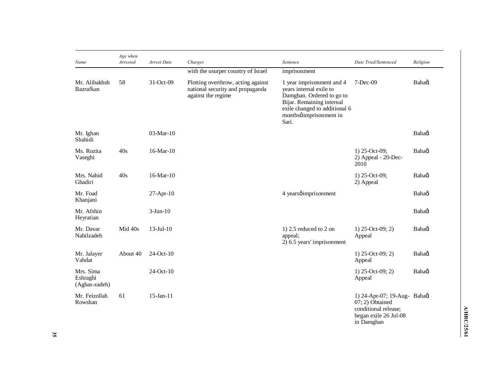| Name                                   | Age when<br>Arrested | Arrest Date     | Charges                                                                                      | Sentence                                                                                                                                                                            | Date Tried/Sentenced                                                                                           | Religion |
|----------------------------------------|----------------------|-----------------|----------------------------------------------------------------------------------------------|-------------------------------------------------------------------------------------------------------------------------------------------------------------------------------------|----------------------------------------------------------------------------------------------------------------|----------|
|                                        |                      |                 | with the usurper country of Israel                                                           | imprisonment                                                                                                                                                                        |                                                                                                                |          |
| Mr. Alibakhsh<br>Bazrafkan             | 58                   | 31-Oct-09       | Plotting overthrow, acting against<br>national security and propaganda<br>against the regime | 1 year imprisonment and 4<br>years internal exile to<br>Damghan. Ordered to go to<br>Bijar. Remaining internal<br>exile changed to additional 6<br>monthsø imprisonment in<br>Sari. | $7-Dec-09$                                                                                                     | Bahagi   |
| Mr. Ighan<br>Shahidi                   |                      | $03-Mar-10$     |                                                                                              |                                                                                                                                                                                     |                                                                                                                | Bahagi   |
| Ms. Rozita<br>Vaseghi                  | 40s                  | 16-Mar-10       |                                                                                              |                                                                                                                                                                                     | 1) 25-Oct-09;<br>2) Appeal - 20-Dec-<br>2010                                                                   | Bahagi   |
| Mrs. Nahid<br>Ghadiri                  | 40s                  | 16-Mar-10       |                                                                                              |                                                                                                                                                                                     | 1) 25-Oct-09;<br>2) Appeal                                                                                     | Bahagi   |
| Mr. Foad<br>Khanjani                   |                      | $27-Apr-10$     |                                                                                              | 4 yearsøimprisonment                                                                                                                                                                |                                                                                                                | Bahagi   |
| Mr. Afshin<br>Heyratian                |                      | $3-Jun-10$      |                                                                                              |                                                                                                                                                                                     |                                                                                                                | Bahaoi   |
| Mr. Davar<br>Nabilzadeh                | Mid 40s              | $13$ -Jul- $10$ |                                                                                              | 1) $2.5$ reduced to $2$ on<br>appeal;<br>2) 6.5 years' imprisonment                                                                                                                 | 1) $25$ -Oct-09; 2)<br>Appeal                                                                                  | Bahagi   |
| Mr. Jalayer<br>Vahdat                  | About 40             | $24-Oct-10$     |                                                                                              |                                                                                                                                                                                     | 1) $25$ -Oct-09; 2)<br>Appeal                                                                                  | Bahagi   |
| Mrs. Sima<br>Eshraghi<br>(Aghas-zadeh) |                      | $24-Oct-10$     |                                                                                              |                                                                                                                                                                                     | 1) $25$ -Oct-09; 2)<br>Appeal                                                                                  | Bahagi   |
| Mr. Feizollah<br>Rowshan               | 61                   | $15$ -Jan- $11$ |                                                                                              |                                                                                                                                                                                     | 1) 24-Apr-07; 19-Aug- Bahagi<br>07; 2) Obtained<br>conditional release;<br>began exile 26 Jul-08<br>in Damghan |          |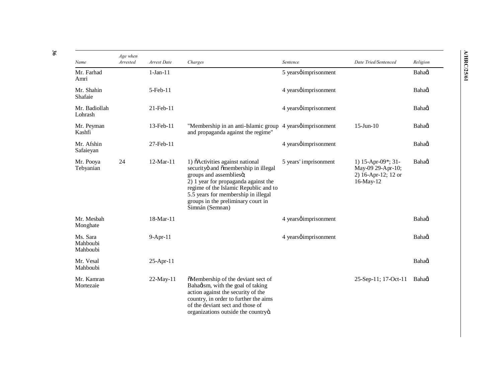| Name                             | Age when<br>Arrested | Arrest Date    | Charges                                                                                                                                                                                                                                                                             | Sentence                      | Date Tried/Sentenced                                                        | Religion |
|----------------------------------|----------------------|----------------|-------------------------------------------------------------------------------------------------------------------------------------------------------------------------------------------------------------------------------------------------------------------------------------|-------------------------------|-----------------------------------------------------------------------------|----------|
| Mr. Farhad<br>Amri               |                      | $1-Jan-11$     |                                                                                                                                                                                                                                                                                     | 5 yearsøimprisonment          |                                                                             | Bahaoi   |
| Mr. Shahin<br>Shafaie            |                      | $5$ -Feb- $11$ |                                                                                                                                                                                                                                                                                     | 4 yearsøimprisonment          |                                                                             | Bahaoi   |
| Mr. Badiollah<br>Lohrash         |                      | 21-Feb-11      |                                                                                                                                                                                                                                                                                     | 4 yearsøimprisonment          |                                                                             | Bahaoi   |
| Mr. Peyman<br>Kashfi             |                      | 13-Feb-11      | "Membership in an anti-Islamic group 4 years <i>o</i> imprisonment<br>and propaganda against the regime"                                                                                                                                                                            |                               | $15$ -Jun- $10$                                                             | Bahaoi   |
| Mr. Afshin<br>Safaieyan          |                      | 27-Feb-11      |                                                                                                                                                                                                                                                                                     | 4 yearsøimprisonment          |                                                                             | Bahagi   |
| Mr. Pooya<br>Tebyanian           | 24                   | 12-Mar-11      | 1) õActivities against national<br>securityö and õmembership in illegal<br>groups and assembliesö;<br>2) 1 year for propaganda against the<br>regime of the Islamic Republic and to<br>5.5 years for membership in illegal<br>groups in the preliminary court in<br>Simnán (Semnan) | 5 years' imprisonment         | 1) 15-Apr-09*; 31-<br>May-09 29-Apr-10;<br>2) 16-Apr-12; 12 or<br>16-May-12 | Bahaoi   |
| Mr. Mesbah<br>Monghate           |                      | 18-Mar-11      |                                                                                                                                                                                                                                                                                     | 4 years <i>o</i> imprisonment |                                                                             | Bahaoi   |
| Ms. Sara<br>Mahboubi<br>Mahboubi |                      | 9-Apr-11       |                                                                                                                                                                                                                                                                                     | 4 yearsøimprisonment          |                                                                             | Bahagi   |
| Mr. Vesal<br>Mahboubi            |                      | 25-Apr-11      |                                                                                                                                                                                                                                                                                     |                               |                                                                             | Bahagi   |
| Mr. Kamran<br>Mortezaie          |                      | $22$ -May-11   | õMembership of the deviant sect of<br>Bahagism, with the goal of taking<br>action against the security of the<br>country, in order to further the aims<br>of the deviant sect and those of<br>organizations outside the countryö.                                                   |                               | 25-Sep-11; 17-Oct-11                                                        | Bahaoi   |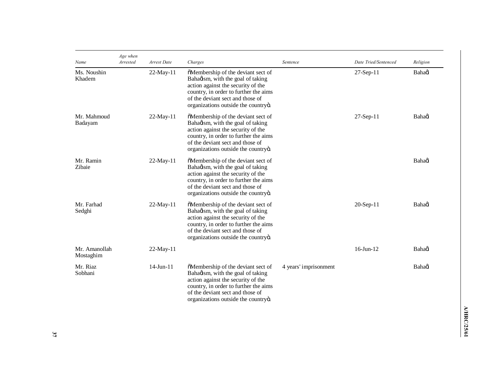| Name                       | Age when<br>Arrested | Arrest Date     | Charges                                                                                                                                                                                                                           | Sentence              | Date Tried/Sentenced | Religion |
|----------------------------|----------------------|-----------------|-----------------------------------------------------------------------------------------------------------------------------------------------------------------------------------------------------------------------------------|-----------------------|----------------------|----------|
| Ms. Noushin<br>Khadem      |                      | $22$ -May-11    | õMembership of the deviant sect of<br>Bahaøism, with the goal of taking<br>action against the security of the<br>country, in order to further the aims<br>of the deviant sect and those of<br>organizations outside the countryö. |                       | $27$ -Sep-11         | Bahaci   |
| Mr. Mahmoud<br>Badayam     |                      | $22$ -May-11    | õMembership of the deviant sect of<br>Bahagism, with the goal of taking<br>action against the security of the<br>country, in order to further the aims<br>of the deviant sect and those of<br>organizations outside the countryö. |                       | $27$ -Sep-11         | Bahaoi   |
| Mr. Ramin<br>Zibaie        |                      | $22$ -May-11    | õMembership of the deviant sect of<br>Bahagism, with the goal of taking<br>action against the security of the<br>country, in order to further the aims<br>of the deviant sect and those of<br>organizations outside the countryö. |                       |                      | Bahaoi   |
| Mr. Farhad<br>Sedghi       |                      | $22-May-11$     | õMembership of the deviant sect of<br>Bahagism, with the goal of taking<br>action against the security of the<br>country, in order to further the aims<br>of the deviant sect and those of<br>organizations outside the countryö. |                       | 20-Sep-11            | Bahaoi   |
| Mr. Amanollah<br>Mostaghim |                      | $22$ -May-11    |                                                                                                                                                                                                                                   |                       | $16$ -Jun- $12$      | Bahaoi   |
| Mr. Riaz<br>Sobhani        |                      | $14$ -Jun- $11$ | õMembership of the deviant sect of<br>Bahagism, with the goal of taking<br>action against the security of the<br>country, in order to further the aims<br>of the deviant sect and those of<br>organizations outside the countryo. | 4 years' imprisonment |                      | Bahaoi   |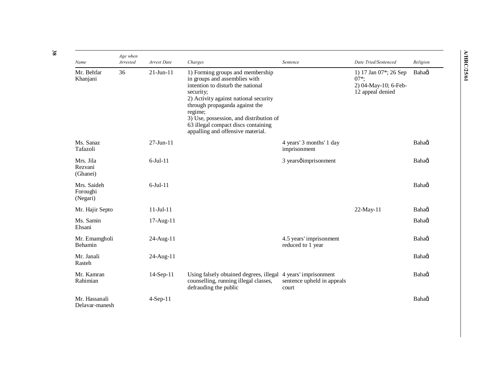| Name                                | Age when<br>Arrested | Arrest Date     | Charges                                                                                                                                                                                                                                                                                                                          | Sentence                                                     | Date Tried/Sentenced                                                         | Religion |
|-------------------------------------|----------------------|-----------------|----------------------------------------------------------------------------------------------------------------------------------------------------------------------------------------------------------------------------------------------------------------------------------------------------------------------------------|--------------------------------------------------------------|------------------------------------------------------------------------------|----------|
| Mr. Behfar<br>Khanjani              | 36                   | $21$ -Jun- $11$ | 1) Forming groups and membership<br>in groups and assemblies with<br>intention to disturb the national<br>security;<br>2) Activity against national security<br>through propaganda against the<br>regime;<br>3) Use, possession, and distribution of<br>63 illegal compact discs containing<br>appalling and offensive material. |                                                              | 1) 17 Jan 07*; 26 Sep<br>$07*$ :<br>2) 04-May-10; 6-Feb-<br>12 appeal denied | Bahaci   |
| Ms. Sanaz<br>Tafazoli               |                      | $27$ -Jun- $11$ |                                                                                                                                                                                                                                                                                                                                  | 4 years' 3 months' 1 day<br>imprisonment                     |                                                                              | Bahagi   |
| Mrs. Jila<br>Rezvani<br>(Ghanei)    |                      | $6$ -Jul- $11$  |                                                                                                                                                                                                                                                                                                                                  | 3 yearsøimprisonment                                         |                                                                              | Bahadi   |
| Mrs. Saideh<br>Foroughi<br>(Negari) |                      | $6$ -Jul- $11$  |                                                                                                                                                                                                                                                                                                                                  |                                                              |                                                                              | Bahagi   |
| Mr. Hajir Septo                     |                      | $11$ -Jul- $11$ |                                                                                                                                                                                                                                                                                                                                  |                                                              | 22-May-11                                                                    | Bahagi   |
| Ms. Samin<br>Ehsani                 |                      | 17-Aug-11       |                                                                                                                                                                                                                                                                                                                                  |                                                              |                                                                              | Bahaoi   |
| Mr. Emamgholi<br>Behamin            |                      | 24-Aug-11       |                                                                                                                                                                                                                                                                                                                                  | 4.5 years' imprisonment<br>reduced to 1 year                 |                                                                              | Bahagi   |
| Mr. Janali<br>Rasteh                |                      | $24$ -Aug-11    |                                                                                                                                                                                                                                                                                                                                  |                                                              |                                                                              | Bahaoi   |
| Mr. Kamran<br>Rahimian              |                      | 14-Sep-11       | Using falsely obtained degrees, illegal<br>counselling, running illegal classes,<br>defrauding the public                                                                                                                                                                                                                        | 4 years' imprisonment<br>sentence upheld in appeals<br>court |                                                                              | Bahaoi   |
| Mr. Hassanali<br>Delavar-manesh     |                      | $4-Sep-11$      |                                                                                                                                                                                                                                                                                                                                  |                                                              |                                                                              | Bahagi   |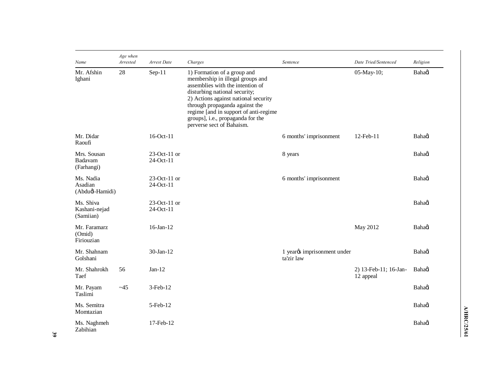| Name                                    | Age when<br>Arrested | Arrest Date                  | Charges                                                                                                                                                                                                                                                                                                                   | Sentence                                               | Date Tried/Sentenced               | Religion |
|-----------------------------------------|----------------------|------------------------------|---------------------------------------------------------------------------------------------------------------------------------------------------------------------------------------------------------------------------------------------------------------------------------------------------------------------------|--------------------------------------------------------|------------------------------------|----------|
| Mr. Afshin<br>Ighani                    | 28                   | $Sep-11$                     | 1) Formation of a group and<br>membership in illegal groups and<br>assemblies with the intention of<br>disturbing national security;<br>2) Actions against national security<br>through propaganda against the<br>regime [and in support of anti-regime<br>groups], i.e., propaganda for the<br>perverse sect of Bahaism. |                                                        | 05-May-10;                         | Bahaoi   |
| Mr. Didar<br>Raoufi                     |                      | 16-Oct-11                    |                                                                                                                                                                                                                                                                                                                           | 6 months' imprisonment                                 | 12-Feb-11                          | Bahaoi   |
| Mrs. Sousan<br>Badavam<br>(Farhangi)    |                      | $23$ -Oct-11 or<br>24-Oct-11 |                                                                                                                                                                                                                                                                                                                           | 8 years                                                |                                    | Bahaoi   |
| Ms. Nadia<br>Asadian<br>(Abdud-Hamidi)  |                      | $23-Oct-11$ or<br>24-Oct-11  |                                                                                                                                                                                                                                                                                                                           | 6 months' imprisonment                                 |                                    | Bahaoi   |
| Ms. Shiva<br>Kashani-nejad<br>(Samiian) |                      | $23-Oct-11$ or<br>24-Oct-11  |                                                                                                                                                                                                                                                                                                                           |                                                        |                                    | Bahagi   |
| Mr. Faramarz<br>(Omid)<br>Firiouzian    |                      | 16-Jan-12                    |                                                                                                                                                                                                                                                                                                                           |                                                        | May 2012                           | Bahaoi   |
| Mr. Shahnam<br>Golshani                 |                      | $30$ -Jan-12                 |                                                                                                                                                                                                                                                                                                                           | 1 year <sub>0</sub> s imprisonment under<br>ta'zir law |                                    | Bahaoi   |
| Mr. Shahrokh<br>Taef                    | 56                   | $Jan-12$                     |                                                                                                                                                                                                                                                                                                                           |                                                        | 2) 13-Feb-11; 16-Jan-<br>12 appeal | Bahaoi   |
| Mr. Payam<br>Taslimi                    | ~145                 | 3-Feb-12                     |                                                                                                                                                                                                                                                                                                                           |                                                        |                                    | Bahagi   |
| Ms. Semitra<br>Momtazian                |                      | $5$ -Feb- $12$               |                                                                                                                                                                                                                                                                                                                           |                                                        |                                    | Bahaoi   |
| Ms. Naghmeh<br>Zabihian                 |                      | 17-Feb-12                    |                                                                                                                                                                                                                                                                                                                           |                                                        |                                    | Bahagi   |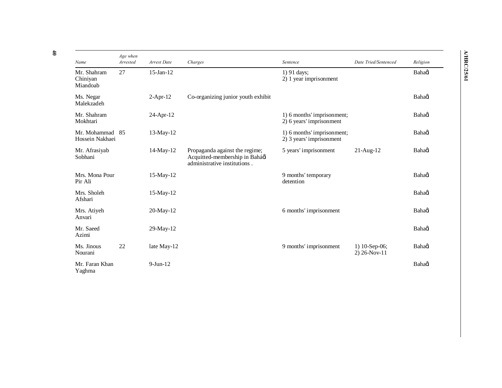| Name                                | Age when<br>Arrested | Arrest Date     | Charges                                                                                          | Sentence                                               | Date Tried/Sentenced            | Religion |
|-------------------------------------|----------------------|-----------------|--------------------------------------------------------------------------------------------------|--------------------------------------------------------|---------------------------------|----------|
| Mr. Shahram<br>Chiniyan<br>Miandoab | 27                   | $15$ -Jan- $12$ |                                                                                                  | 1) 91 days;<br>2) 1 year imprisonment                  |                                 | Bahaoi   |
| Ms. Negar<br>Malekzadeh             |                      | $2-Apr-12$      | Co-organizing junior youth exhibit                                                               |                                                        |                                 | Bahaoi   |
| Mr. Shahram<br>Mokhtari             |                      | 24-Apr-12       |                                                                                                  | 1) 6 months' imprisonment;<br>2) 6 years' imprisonment |                                 | Bahaoi   |
| Mr. Mohammad 85<br>Hossein Nakhaei  |                      | $13$ -May- $12$ |                                                                                                  | 1) 6 months' imprisonment;<br>2) 3 years' imprisonment |                                 | Bahaoi   |
| Mr. Afrasiyab<br>Sobhani            |                      | 14-May-12       | Propaganda against the regime;<br>Acquitted-membership in Baháøí<br>administrative institutions. | 5 years' imprisonment                                  | $21$ -Aug- $12$                 | Bahaoi   |
| Mrs. Mona Pour<br>Pir Ali           |                      | $15$ -May- $12$ |                                                                                                  | 9 months' temporary<br>detention                       |                                 | Bahaoi   |
| Mrs. Sholeh<br>Afshari              |                      | $15$ -May- $12$ |                                                                                                  |                                                        |                                 | Bahaoi   |
| Mrs. Atiyeh<br>Anvari               |                      | 20-May-12       |                                                                                                  | 6 months' imprisonment                                 |                                 | Bahaoi   |
| Mr. Saeed<br>Azimi                  |                      | $29$ -May-12    |                                                                                                  |                                                        |                                 | Bahaoi   |
| Ms. Jinous<br>Nourani               | 22                   | late May-12     |                                                                                                  | 9 months' imprisonment                                 | 1) 10-Sep-06;<br>$2) 26-Nov-11$ | Bahagi   |
| Mr. Faran Khan<br>Yaghma            |                      | $9$ -Jun-12     |                                                                                                  |                                                        |                                 | Bahaoi   |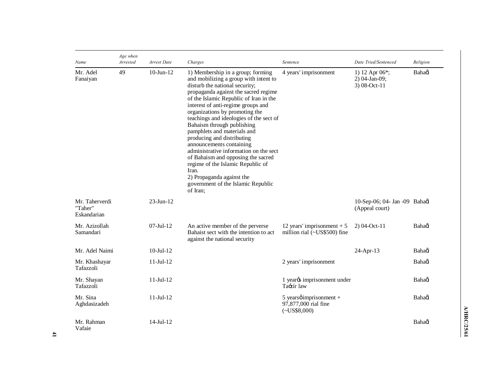| Name                                     | Age when<br>Arrested | Arrest Date            | Charges                                                                                                                                                                                                                                                                                                                                                                                                                                                                                                                                                                                                                                               | Sentence                                                               | Date Tried/Sentenced                              | Religion |
|------------------------------------------|----------------------|------------------------|-------------------------------------------------------------------------------------------------------------------------------------------------------------------------------------------------------------------------------------------------------------------------------------------------------------------------------------------------------------------------------------------------------------------------------------------------------------------------------------------------------------------------------------------------------------------------------------------------------------------------------------------------------|------------------------------------------------------------------------|---------------------------------------------------|----------|
| Mr. Adel<br>Fanaiyan                     | 49                   | $10$ -Jun- $12$        | 1) Membership in a group; forming<br>and mobilizing a group with intent to<br>disturb the national security;<br>propaganda against the sacred regime<br>of the Islamic Republic of Iran in the<br>interest of anti-regime groups and<br>organizations by promoting the<br>teachings and ideologies of the sect of<br>Bahaism through publishing<br>pamphlets and materials and<br>producing and distributing<br>announcements containing<br>administrative information on the sect<br>of Bahaism and opposing the sacred<br>regime of the Islamic Republic of<br>Iran.<br>2) Propaganda against the<br>government of the Islamic Republic<br>of Iran: | 4 years' imprisonment                                                  | 1) 12 Apr 06*;<br>$2)$ 04-Jan-09;<br>3) 08-Oct-11 | Bahagi   |
| Mr. Taherverdi<br>"Taher"<br>Eskandarian |                      | $23$ -Jun-12           |                                                                                                                                                                                                                                                                                                                                                                                                                                                                                                                                                                                                                                                       |                                                                        | 10-Sep-06; 04- Jan -09 Bahagi<br>(Appeal court)   |          |
| Mr. Azizollah<br>Samandari               |                      | $07$ -Jul-12           | An active member of the perverse<br>Bahaist sect with the intention to act<br>against the national security                                                                                                                                                                                                                                                                                                                                                                                                                                                                                                                                           | 12 years' imprisonment $+5$<br>million rial (~US\$500) fine            | $2)$ 04-Oct-11                                    | Bahadi   |
| Mr. Adel Naimi                           |                      | $10 - \text{Jul} - 12$ |                                                                                                                                                                                                                                                                                                                                                                                                                                                                                                                                                                                                                                                       |                                                                        | 24-Apr-13                                         | Bahaoi   |
| Mr. Khashayar<br>Tafazzoli               |                      | $11$ -Jul- $12$        |                                                                                                                                                                                                                                                                                                                                                                                                                                                                                                                                                                                                                                                       | 2 years' imprisonment                                                  |                                                   | Bahadi   |
| Mr. Shayan<br>Tafazzoli                  |                      | $11$ -Jul- $12$        |                                                                                                                                                                                                                                                                                                                                                                                                                                                                                                                                                                                                                                                       | 1 year <sub>0</sub> imprisonment under<br>Ta-zír law                   |                                                   | Bahagi   |
| Mr. Sina<br>Aghdasizadeh                 |                      | $11$ -Jul- $12$        |                                                                                                                                                                                                                                                                                                                                                                                                                                                                                                                                                                                                                                                       | 5 years $\phi$ imprisonment +<br>97,877,000 rial fine<br>$(-USS8,000)$ |                                                   | Bahaoi   |
| Mr. Rahman<br>Vafaie                     |                      | $14$ -Jul- $12$        |                                                                                                                                                                                                                                                                                                                                                                                                                                                                                                                                                                                                                                                       |                                                                        |                                                   | Bahaoi   |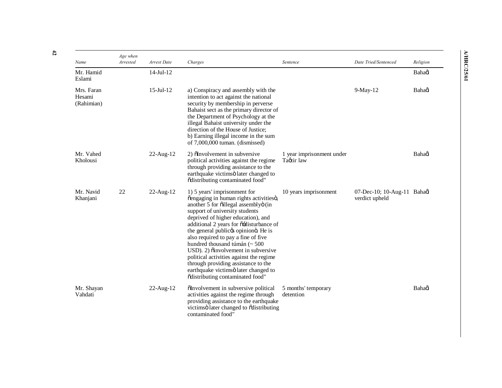| Name                               | Age when<br>Arrested | Arrest Date     | Charges                                                                                                                                                                                                                                                                                                                                                                                                                                                                                                                                                | Sentence                                | Date Tried/Sentenced                          | Religion |
|------------------------------------|----------------------|-----------------|--------------------------------------------------------------------------------------------------------------------------------------------------------------------------------------------------------------------------------------------------------------------------------------------------------------------------------------------------------------------------------------------------------------------------------------------------------------------------------------------------------------------------------------------------------|-----------------------------------------|-----------------------------------------------|----------|
| Mr. Hamid<br>Eslami                |                      | $14$ -Jul- $12$ |                                                                                                                                                                                                                                                                                                                                                                                                                                                                                                                                                        |                                         |                                               | Bahagi   |
| Mrs. Faran<br>Hesami<br>(Rahimian) |                      | $15$ -Jul- $12$ | a) Conspiracy and assembly with the<br>intention to act against the national<br>security by membership in perverse<br>Bahaist sect as the primary director of<br>the Department of Psychology at the<br>illegal Bahaist university under the<br>direction of the House of Justice;<br>b) Earning illegal income in the sum<br>of $7,000,000$ tuman. (dismissed)                                                                                                                                                                                        |                                         | 9-May-12                                      | Bahagi   |
| Mr. Vahed<br>Kholousi              |                      | $22$ -Aug-12    | 2) õlnvolvement in subversive<br>political activities against the regime<br>through providing assistance to the<br>earthquake victimsö later changed to<br>õdistributing contaminated food"                                                                                                                                                                                                                                                                                                                                                            | 1 year imprisonment under<br>Tagzir law |                                               | Bahaoi   |
| Mr. Navid<br>Khanjani              | 22                   | $22$ -Aug-12    | 1) 5 years' imprisonment for<br>õengaging in human rights activitiesö,<br>another 5 for õillegal assemblyö (in<br>support of university students<br>deprived of higher education), and<br>additional 2 years for õ-disturbance of<br>the general publicøs opinionö. He is<br>also required to pay a fine of five<br>hundred thousand túmán (~ 500<br>USD). 2) õinvolvement in subversive<br>political activities against the regime<br>through providing assistance to the<br>earthquake victimsö later changed to<br>õdistributing contaminated food" | 10 years imprisonment                   | 07-Dec-10; 10-Aug-11 Bahaøi<br>verdict upheld |          |
| Mr. Shayan<br>Vahdati              |                      | 22-Aug-12       | õInvolvement in subversive political<br>activities against the regime through<br>providing assistance to the earthquake<br>victims of later changed to originating<br>contaminated food"                                                                                                                                                                                                                                                                                                                                                               | 5 months' temporary<br>detention        |                                               | Bahagi   |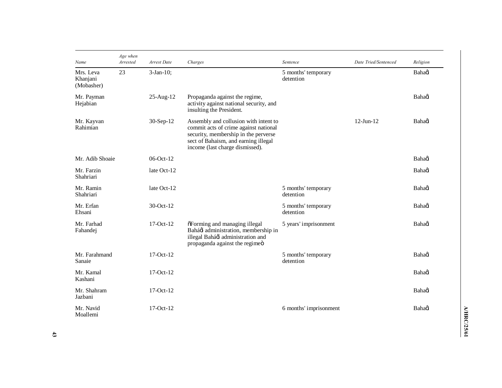| Name                                | Age when<br>Arrested | Arrest Date     | Charges                                                                                                                                                                                           | Sentence                         | Date Tried/Sentenced | Religion |
|-------------------------------------|----------------------|-----------------|---------------------------------------------------------------------------------------------------------------------------------------------------------------------------------------------------|----------------------------------|----------------------|----------|
| Mrs. Leva<br>Khanjani<br>(Mobasher) | 23                   | $3-Jan-10$ ;    |                                                                                                                                                                                                   | 5 months' temporary<br>detention |                      | Bahagi   |
| Mr. Payman<br>Hejabian              |                      | 25-Aug-12       | Propaganda against the regime,<br>activity against national security, and<br>insulting the President.                                                                                             |                                  |                      | Bahagi   |
| Mr. Kayvan<br>Rahimian              |                      | $30-Sep-12$     | Assembly and collusion with intent to<br>commit acts of crime against national<br>security, membership in the perverse<br>sect of Bahaism, and earning illegal<br>income (last charge dismissed). |                                  | $12$ -Jun- $12$      | Bahaoi   |
| Mr. Adib Shoaie                     |                      | $06$ -Oct- $12$ |                                                                                                                                                                                                   |                                  |                      | Bahaoi   |
| Mr. Farzin<br>Shahriari             |                      | late Oct-12     |                                                                                                                                                                                                   |                                  |                      | Bahagi   |
| Mr. Ramin<br>Shahriari              |                      | late Oct-12     |                                                                                                                                                                                                   | 5 months' temporary<br>detention |                      | Bahagi   |
| Mr. Erfan<br>Ehsani                 |                      | 30-Oct-12       |                                                                                                                                                                                                   | 5 months' temporary<br>detention |                      | Bahagi   |
| Mr. Farhad<br>Fahandej              |                      | $17-Oct-12$     | õForming and managing illegal<br>Baháøí administration, membership in<br>illegal Bahágí administration and<br>propaganda against the regimeö                                                      | 5 years' imprisonment            |                      | Bahagi   |
| Mr. Farahmand<br>Sanaie             |                      | $17-Oct-12$     |                                                                                                                                                                                                   | 5 months' temporary<br>detention |                      | Bahagi   |
| Mr. Kamal<br>Kashani                |                      | $17-Oct-12$     |                                                                                                                                                                                                   |                                  |                      | Bahagi   |
| Mr. Shahram<br>Jazbani              |                      | $17-Oct-12$     |                                                                                                                                                                                                   |                                  |                      | Bahaoi   |
| Mr. Navid<br>Moallemi               |                      | $17-Oct-12$     |                                                                                                                                                                                                   | 6 months' imprisonment           |                      | Bahagi   |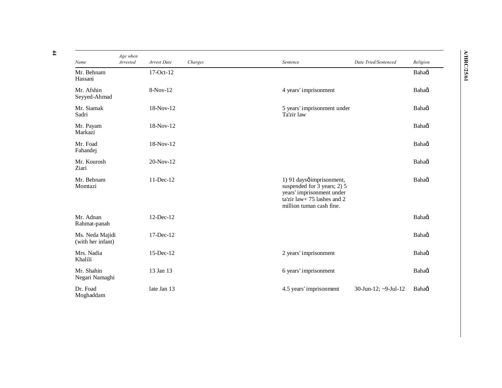| Name                                 | Age when<br>Arrested | Arrest Date | Charges | Sentence                                                                                                                                         | Date Tried/Sentenced | Religion |
|--------------------------------------|----------------------|-------------|---------|--------------------------------------------------------------------------------------------------------------------------------------------------|----------------------|----------|
| Mr. Behnam<br>Hassani                |                      | 17-Oct-12   |         |                                                                                                                                                  |                      | Bahagi   |
| Mr. Afshin<br>Seyyed-Ahmad           |                      | 8-Nov-12    |         | 4 years' imprisonment                                                                                                                            |                      | Bahaoi   |
| Mr. Siamak<br>Sadri                  |                      | 18-Nov-12   |         | 5 years' imprisonment under<br>Ta'zir law                                                                                                        |                      | Bahaoi   |
| Mr. Payam<br>Markazi                 |                      | 18-Nov-12   |         |                                                                                                                                                  |                      | Bahaoi   |
| Mr. Foad<br>Fahandej                 |                      | 18-Nov-12   |         |                                                                                                                                                  |                      | Bahagi   |
| Mr. Kourosh<br>Ziari                 |                      | 20-Nov-12   |         |                                                                                                                                                  |                      | Bahagi   |
| Mr. Behnam<br>Momtazi                |                      | 11-Dec-12   |         | 1) 91 daysø imprisonment,<br>suspended for 3 years; 2) 5<br>years' imprisonment under<br>ta'zir law+ 75 lashes and 2<br>million tuman cash fine. |                      | Bahaoi   |
| Mr. Adnan<br>Rahmat-panah            |                      | 12-Dec-12   |         |                                                                                                                                                  |                      | Bahagi   |
| Ms. Neda Majidi<br>(with her infant) |                      | 17-Dec-12   |         |                                                                                                                                                  |                      | Bahagi   |
| Mrs. Nadia<br>Khalili                |                      | 15-Dec-12   |         | 2 years' imprisonment                                                                                                                            |                      | Bahagi   |
| Mr. Shahin<br>Negari Namaghi         |                      | 13 Jan 13   |         | 6 years' imprisonment                                                                                                                            |                      | Bahaoi   |
| Dr. Foad<br>Moghaddam                |                      | late Jan 13 |         | 4.5 years' imprisonment                                                                                                                          | 30-Jun-12; ~9-Jul-12 | Bahaoi   |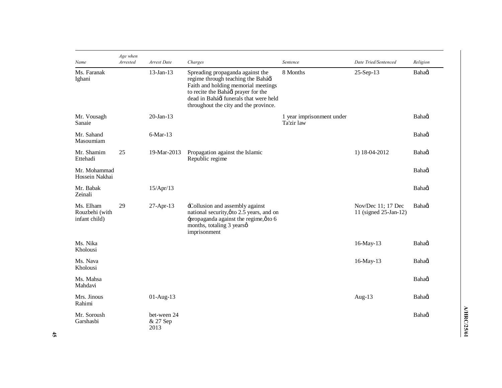| Name                                         | Age when<br>Arrested | Arrest Date                     | Charges                                                                                                                                                                                                                                | Sentence                                | Date Tried/Sentenced                        | Religion |
|----------------------------------------------|----------------------|---------------------------------|----------------------------------------------------------------------------------------------------------------------------------------------------------------------------------------------------------------------------------------|-----------------------------------------|---------------------------------------------|----------|
| Ms. Faranak<br>Ighani                        |                      | $13$ -Jan- $13$                 | Spreading propaganda against the<br>regime through teaching the Bahágí<br>Faith and holding memorial meetings<br>to recite the Baháø prayer for the<br>dead in Bahágí funerals that were held<br>throughout the city and the province. | 8 Months                                | 25-Sep-13                                   | Bahagi   |
| Mr. Vousagh<br>Sanaie                        |                      | $20$ -Jan-13                    |                                                                                                                                                                                                                                        | 1 year imprisonment under<br>Ta'zir law |                                             | Bahagi   |
| Mr. Sahand<br>Masoumiam                      |                      | $6$ -Mar-13                     |                                                                                                                                                                                                                                        |                                         |                                             | Bahaoi   |
| Mr. Shamim<br>Ettehadi                       | 25                   | 19-Mar-2013                     | Propagation against the Islamic<br>Republic regime                                                                                                                                                                                     |                                         | 1) 18-04-2012                               | Bahaoi   |
| Mr. Mohammad<br>Hossein Nakhai               |                      |                                 |                                                                                                                                                                                                                                        |                                         |                                             | Bahagi   |
| Mr. Babak<br>Zeinali                         |                      | 15/Apr/13                       |                                                                                                                                                                                                                                        |                                         |                                             | Bahaoi   |
| Ms. Elham<br>Rouzbehi (with<br>infant child) | 29                   | $27-Apr-13$                     | -Collusion and assembly against<br>national security, $\phi$ to 2.5 years, and on<br>-propaganda against the regime, $\phi$ to 6<br>months, totaling 3 years ø<br>imprisonment                                                         |                                         | Nov/Dec 11; 17 Dec<br>11 (signed 25-Jan-12) | Bahaoi   |
| Ms. Nika<br>Kholousi                         |                      |                                 |                                                                                                                                                                                                                                        |                                         | $16$ -May- $13$                             | Bahadi   |
| Ms. Nava<br>Kholousi                         |                      |                                 |                                                                                                                                                                                                                                        |                                         | 16-May-13                                   | Bahagi   |
| Ms. Mahsa<br>Mahdavi                         |                      |                                 |                                                                                                                                                                                                                                        |                                         |                                             | Bahaoi   |
| Mrs. Jinous<br>Rahimi                        |                      | $01-Aug-13$                     |                                                                                                                                                                                                                                        |                                         | Aug- $13$                                   | Bahadi   |
| Mr. Soroush<br>Garshasbi                     |                      | bet-ween 24<br>& 27 Sep<br>2013 |                                                                                                                                                                                                                                        |                                         |                                             | Bahaoi   |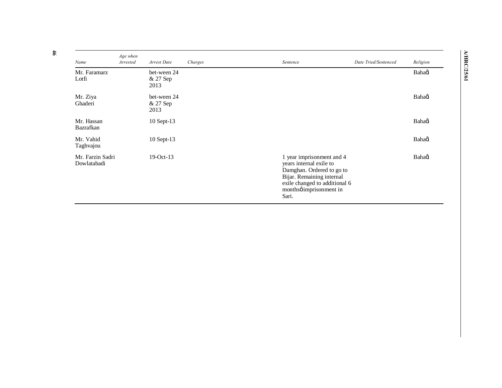| Name                            | Age when<br>Arrested | Arrest Date                     | Charges | Sentence                                                                                                                                                                            | Date Tried/Sentenced | Religion |
|---------------------------------|----------------------|---------------------------------|---------|-------------------------------------------------------------------------------------------------------------------------------------------------------------------------------------|----------------------|----------|
| Mr. Faramarz<br>Lotfi           |                      | bet-ween 24<br>& 27 Sep<br>2013 |         |                                                                                                                                                                                     |                      | Bahaoi   |
| Mr. Ziya<br>Ghaderi             |                      | bet-ween 24<br>& 27 Sep<br>2013 |         |                                                                                                                                                                                     |                      | Bahagi   |
| Mr. Hassan<br>Bazrafkan         |                      | 10 Sept-13                      |         |                                                                                                                                                                                     |                      | Bahagi   |
| Mr. Vahid<br>Taghvajou          |                      | 10 Sept-13                      |         |                                                                                                                                                                                     |                      | Bahagi   |
| Mr. Farzin Sadri<br>Dowlatabadi |                      | $19-Oct-13$                     |         | 1 year imprisonment and 4<br>years internal exile to<br>Damghan. Ordered to go to<br>Bijar. Remaining internal<br>exile changed to additional 6<br>monthsø imprisonment in<br>Sari. |                      | Bahaoi   |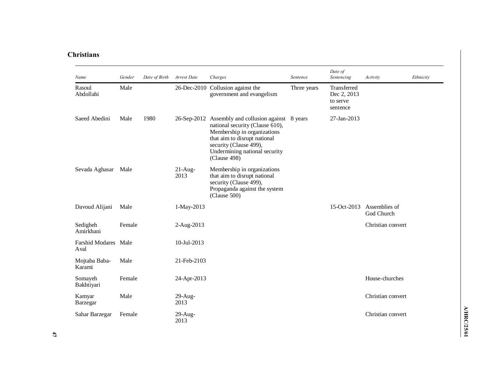## **Christians**

| Name                         | Gender | Date of Birth | Arrest Date        | Charges                                                                                                                                                                                                                         | Sentence    | Date of<br>Sentencing                              | Activity                    | Ethnicity |
|------------------------------|--------|---------------|--------------------|---------------------------------------------------------------------------------------------------------------------------------------------------------------------------------------------------------------------------------|-------------|----------------------------------------------------|-----------------------------|-----------|
| Rasoul<br>Abdollahi          | Male   |               |                    | 26-Dec-2010 Collusion against the<br>government and evangelism                                                                                                                                                                  | Three years | Transferred<br>Dec 2, 2013<br>to serve<br>sentence |                             |           |
| Saeed Abedini                | Male   | 1980          |                    | 26-Sep-2012 Assembly and collusion against 8 years<br>national security (Clause 610),<br>Membership in organizations<br>that aim to disrupt national<br>security (Clause 499),<br>Undermining national security<br>(Clause 498) |             | 27-Jan-2013                                        |                             |           |
| Sevada Aghasar               | Male   |               | $21$ -Aug-<br>2013 | Membership in organizations<br>that aim to disrupt national<br>security (Clause 499),<br>Propaganda against the system<br>(Clause 500)                                                                                          |             |                                                    |                             |           |
| Davoud Alijani               | Male   |               | 1-May-2013         |                                                                                                                                                                                                                                 |             | $15-Oct-2013$                                      | Assemblies of<br>God Church |           |
| Sedigheh<br>Amirkhani        | Female |               | 2-Aug-2013         |                                                                                                                                                                                                                                 |             |                                                    | Christian convert           |           |
| Farshid Modares Male<br>Aval |        |               | 10-Jul-2013        |                                                                                                                                                                                                                                 |             |                                                    |                             |           |
| Mojtaba Baba-<br>Karami      | Male   |               | 21-Feb-2103        |                                                                                                                                                                                                                                 |             |                                                    |                             |           |
| Somayeh<br>Bakhtiyari        | Female |               | 24-Apr-2013        |                                                                                                                                                                                                                                 |             |                                                    | House-churches              |           |
| Kamyar<br>Barzegar           | Male   |               | $29$ -Aug-<br>2013 |                                                                                                                                                                                                                                 |             |                                                    | Christian convert           |           |
| Sahar Barzegar               | Female |               | $29$ -Aug-<br>2013 |                                                                                                                                                                                                                                 |             |                                                    | Christian convert           |           |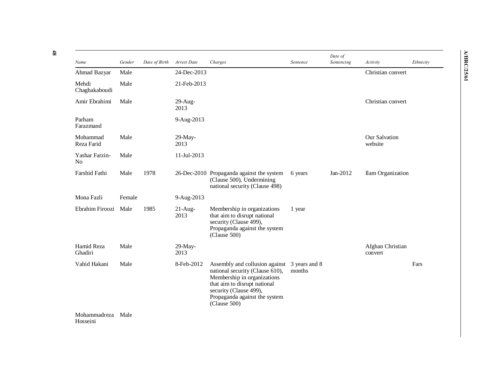| Name                             | Gender | Date of Birth | Arrest Date        | Charges                                                                                                                                                                                                     | Sentence                | Date of<br>Sentencing | Activity                    | Ethnicity |
|----------------------------------|--------|---------------|--------------------|-------------------------------------------------------------------------------------------------------------------------------------------------------------------------------------------------------------|-------------------------|-----------------------|-----------------------------|-----------|
| Ahmad Bazyar                     | Male   |               | 24-Dec-2013        |                                                                                                                                                                                                             |                         |                       | Christian convert           |           |
| Mehdi<br>Chaghakaboudi           | Male   |               | 21-Feb-2013        |                                                                                                                                                                                                             |                         |                       |                             |           |
| Amir Ebrahimi                    | Male   |               | $29$ -Aug-<br>2013 |                                                                                                                                                                                                             |                         |                       | Christian convert           |           |
| Parham<br>Farazmand              |        |               | 9-Aug-2013         |                                                                                                                                                                                                             |                         |                       |                             |           |
| Mohammad<br>Reza Farid           | Male   |               | $29-May-$<br>2013  |                                                                                                                                                                                                             |                         |                       | Our Salvation<br>website    |           |
| Yashar Farzin-<br>N <sub>0</sub> | Male   |               | 11-Jul-2013        |                                                                                                                                                                                                             |                         |                       |                             |           |
| Farshid Fathi                    | Male   | 1978          |                    | 26-Dec-2010 Propaganda against the system<br>(Clause 500), Undermining<br>national security (Clause 498)                                                                                                    | 6 years                 | Jan-2012              | Ilam Organization           |           |
| Mona Fazli                       | Female |               | 9-Aug-2013         |                                                                                                                                                                                                             |                         |                       |                             |           |
| Ebrahim Firoozi                  | Male   | 1985          | $21$ -Aug-<br>2013 | Membership in organizations<br>that aim to disrupt national<br>security (Clause 499),<br>Propaganda against the system<br>(Clause 500)                                                                      | 1 year                  |                       |                             |           |
| Hamid Reza<br>Ghadiri            | Male   |               | 29-May-<br>2013    |                                                                                                                                                                                                             |                         |                       | Afghan Christian<br>convert |           |
| Vahid Hakani                     | Male   |               | 8-Feb-2012         | Assembly and collusion against<br>national security (Clause 610),<br>Membership in organizations<br>that aim to disrupt national<br>security (Clause 499),<br>Propaganda against the system<br>(Clause 500) | 3 years and 8<br>months |                       |                             | Fars      |

Mohammadreza MaleHosseini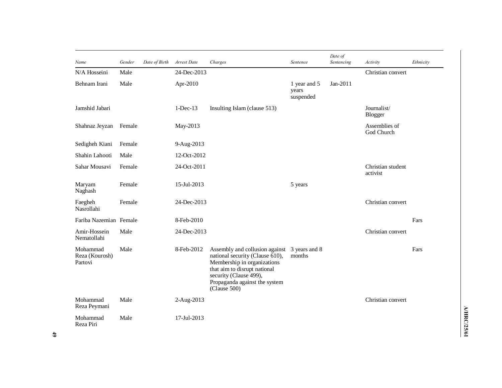| Name                                  | Gender | Date of Birth | Arrest Date | Charges                                                                                                                                                                                                     | Sentence                           | Date of<br>Sentencing | Activity                      | Ethnicity |
|---------------------------------------|--------|---------------|-------------|-------------------------------------------------------------------------------------------------------------------------------------------------------------------------------------------------------------|------------------------------------|-----------------------|-------------------------------|-----------|
| N/A Hosseini                          | Male   |               | 24-Dec-2013 |                                                                                                                                                                                                             |                                    |                       | Christian convert             |           |
| Behnam Irani                          | Male   |               | Apr-2010    |                                                                                                                                                                                                             | 1 year and 5<br>years<br>suspended | Jan-2011              |                               |           |
| Jamshid Jabari                        |        |               | $1-Dec-13$  | Insulting Islam (clause 513)                                                                                                                                                                                |                                    |                       | Journalist/<br>Blogger        |           |
| Shahnaz Jeyzan                        | Female |               | May-2013    |                                                                                                                                                                                                             |                                    |                       | Assemblies of<br>God Church   |           |
| Sedigheh Kiani                        | Female |               | 9-Aug-2013  |                                                                                                                                                                                                             |                                    |                       |                               |           |
| Shahin Lahooti                        | Male   |               | 12-Oct-2012 |                                                                                                                                                                                                             |                                    |                       |                               |           |
| Sahar Mousavi                         | Female |               | 24-Oct-2011 |                                                                                                                                                                                                             |                                    |                       | Christian student<br>activist |           |
| Maryam<br>Naghash                     | Female |               | 15-Jul-2013 |                                                                                                                                                                                                             | 5 years                            |                       |                               |           |
| Faegheh<br>Nasrollahi                 | Female |               | 24-Dec-2013 |                                                                                                                                                                                                             |                                    |                       | Christian convert             |           |
| Fariba Nazemian Female                |        |               | 8-Feb-2010  |                                                                                                                                                                                                             |                                    |                       |                               | Fars      |
| Amir-Hossein<br>Nematollahi           | Male   |               | 24-Dec-2013 |                                                                                                                                                                                                             |                                    |                       | Christian convert             |           |
| Mohammad<br>Reza (Kourosh)<br>Partovi | Male   |               | 8-Feb-2012  | Assembly and collusion against<br>national security (Clause 610),<br>Membership in organizations<br>that aim to disrupt national<br>security (Clause 499),<br>Propaganda against the system<br>(Clause 500) | 3 years and 8<br>months            |                       |                               | Fars      |
| Mohammad<br>Reza Peymani              | Male   |               | 2-Aug-2013  |                                                                                                                                                                                                             |                                    |                       | Christian convert             |           |
| Mohammad<br>Reza Piri                 | Male   |               | 17-Jul-2013 |                                                                                                                                                                                                             |                                    |                       |                               |           |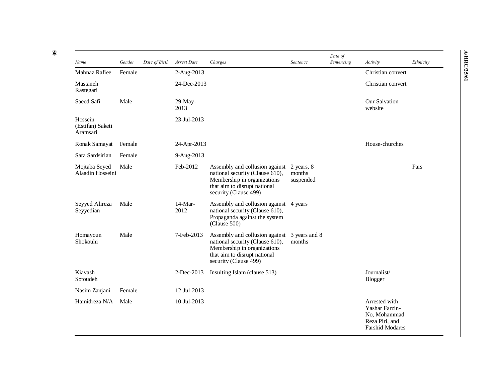| Name                                    | Gender | Date of Birth | Arrest Date        | Charges                                                                                                                                                   | Sentence                          | Date of<br>Sentencing | Activity                                                                                    | Ethnicity |
|-----------------------------------------|--------|---------------|--------------------|-----------------------------------------------------------------------------------------------------------------------------------------------------------|-----------------------------------|-----------------------|---------------------------------------------------------------------------------------------|-----------|
| Mahnaz Rafiee                           | Female |               | 2-Aug-2013         |                                                                                                                                                           |                                   |                       | Christian convert                                                                           |           |
| Mastaneh<br>Rastegari                   |        |               | 24-Dec-2013        |                                                                                                                                                           |                                   |                       | Christian convert                                                                           |           |
| Saeed Safi                              | Male   |               | $29$ -May-<br>2013 |                                                                                                                                                           |                                   |                       | Our Salvation<br>website                                                                    |           |
| Hossein<br>(Estifan) Saketi<br>Aramsari |        |               | 23-Jul-2013        |                                                                                                                                                           |                                   |                       |                                                                                             |           |
| Ronak Samayat                           | Female |               | 24-Apr-2013        |                                                                                                                                                           |                                   |                       | House-churches                                                                              |           |
| Sara Sardsirian                         | Female |               | 9-Aug-2013         |                                                                                                                                                           |                                   |                       |                                                                                             |           |
| Mojtaba Seyed<br>Alaadin Hosseini       | Male   |               | Feb-2012           | Assembly and collusion against<br>national security (Clause 610),<br>Membership in organizations<br>that aim to disrupt national<br>security (Clause 499) | 2 years, 8<br>months<br>suspended |                       |                                                                                             | Fars      |
| Seyyed Alireza<br>Seyyedian             | Male   |               | $14-Mar-$<br>2012  | Assembly and collusion against<br>national security (Clause 610),<br>Propaganda against the system<br>(Clause 500)                                        | 4 years                           |                       |                                                                                             |           |
| Homayoun<br>Shokouhi                    | Male   |               | 7-Feb-2013         | Assembly and collusion against<br>national security (Clause 610),<br>Membership in organizations<br>that aim to disrupt national<br>security (Clause 499) | 3 years and 8<br>months           |                       |                                                                                             |           |
| Kiavash<br>Sotoudeh                     |        |               | 2-Dec-2013         | Insulting Islam (clause 513)                                                                                                                              |                                   |                       | Journalist/<br>Blogger                                                                      |           |
| Nasim Zanjani                           | Female |               | 12-Jul-2013        |                                                                                                                                                           |                                   |                       |                                                                                             |           |
| Hamidreza N/A                           | Male   |               | 10-Jul-2013        |                                                                                                                                                           |                                   |                       | Arrested with<br>Yashar Farzin-<br>No, Mohammad<br>Reza Piri, and<br><b>Farshid Modares</b> |           |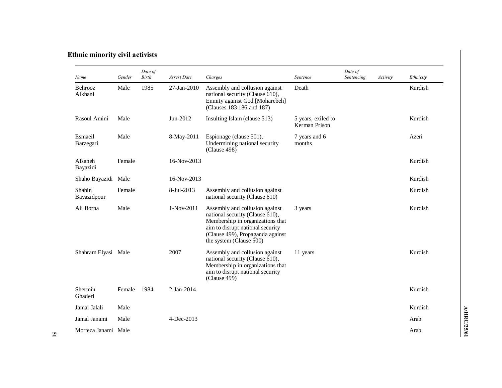# **Ethnic minority civil activists**

| Name                  | Gender | Date of<br><b>Birth</b> | Arrest Date | Charges                                                                                                                                                                                                  | Sentence                            | Date of<br>Sentencing | Activity | Ethnicity |
|-----------------------|--------|-------------------------|-------------|----------------------------------------------------------------------------------------------------------------------------------------------------------------------------------------------------------|-------------------------------------|-----------------------|----------|-----------|
| Behrooz<br>Alkhani    | Male   | 1985                    | 27-Jan-2010 | Assembly and collusion against<br>national security (Clause 610),<br>Enmity against God [Moharebeh]<br>(Clauses 183 186 and 187)                                                                         | Death                               |                       |          | Kurdish   |
| Rasoul Amini          | Male   |                         | Jun-2012    | Insulting Islam (clause 513)                                                                                                                                                                             | 5 years, exiled to<br>Kerman Prison |                       |          | Kurdish   |
| Esmaeil<br>Barzegari  | Male   |                         | 8-May-2011  | Espionage (clause 501),<br>Undermining national security<br>(Clause 498)                                                                                                                                 | 7 years and 6<br>months             |                       |          | Azeri     |
| Afsaneh<br>Bayazidi   | Female |                         | 16-Nov-2013 |                                                                                                                                                                                                          |                                     |                       |          | Kurdish   |
| Shaho Bayazidi Male   |        |                         | 16-Nov-2013 |                                                                                                                                                                                                          |                                     |                       |          | Kurdish   |
| Shahin<br>Bayazidpour | Female |                         | 8-Jul-2013  | Assembly and collusion against<br>national security (Clause 610)                                                                                                                                         |                                     |                       |          | Kurdish   |
| Ali Borna             | Male   |                         | 1-Nov-2011  | Assembly and collusion against<br>national security (Clause 610),<br>Membership in organizations that<br>aim to disrupt national security<br>(Clause 499), Propaganda against<br>the system (Clause 500) | 3 years                             |                       |          | Kurdish   |
| Shahram Elyasi Male   |        |                         | 2007        | Assembly and collusion against<br>national security (Clause 610),<br>Membership in organizations that<br>aim to disrupt national security<br>(Clause 499)                                                | 11 years                            |                       |          | Kurdish   |
| Shermin<br>Ghaderi    | Female | 1984                    | 2-Jan-2014  |                                                                                                                                                                                                          |                                     |                       |          | Kurdish   |
| Jamal Jalali          | Male   |                         |             |                                                                                                                                                                                                          |                                     |                       |          | Kurdish   |
| Jamal Janami          | Male   |                         | 4-Dec-2013  |                                                                                                                                                                                                          |                                     |                       |          | Arab      |
| Morteza Janami Male   |        |                         |             |                                                                                                                                                                                                          |                                     |                       |          | Arab      |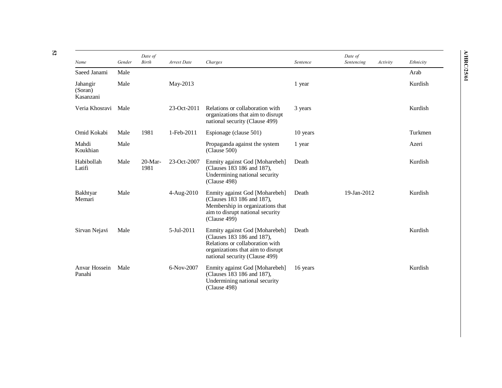| Name                             | Gender | Date of<br><b>Birth</b> | Arrest Date | Charges                                                                                                                                                                | Sentence | Date of<br>Sentencing | Activity | Ethnicity |
|----------------------------------|--------|-------------------------|-------------|------------------------------------------------------------------------------------------------------------------------------------------------------------------------|----------|-----------------------|----------|-----------|
| Saeed Janami                     | Male   |                         |             |                                                                                                                                                                        |          |                       |          | Arab      |
| Jahangir<br>(Soran)<br>Kasanzani | Male   |                         | May-2013    |                                                                                                                                                                        | 1 year   |                       |          | Kurdish   |
| Veria Khosravi                   | Male   |                         | 23-Oct-2011 | Relations or collaboration with<br>organizations that aim to disrupt<br>national security (Clause 499)                                                                 | 3 years  |                       |          | Kurdish   |
| Omid Kokabi                      | Male   | 1981                    | 1-Feb-2011  | Espionage (clause 501)                                                                                                                                                 | 10 years |                       |          | Turkmen   |
| Mahdi<br>Koukhian                | Male   |                         |             | Propaganda against the system<br>(Clause 500)                                                                                                                          | 1 year   |                       |          | Azeri     |
| Habibollah<br>Latifi             | Male   | 20-Mar-<br>1981         | 23-Oct-2007 | Enmity against God [Moharebeh]<br>(Clauses 183 186 and 187),<br>Undermining national security<br>(Clause 498)                                                          | Death    |                       |          | Kurdish   |
| Bakhtyar<br>Memari               | Male   |                         | 4-Aug-2010  | Enmity against God [Moharebeh]<br>(Clauses 183 186 and 187),<br>Membership in organizations that<br>aim to disrupt national security<br>(Clause 499)                   | Death    | 19-Jan-2012           |          | Kurdish   |
| Sirvan Nejavi                    | Male   |                         | 5-Jul-2011  | Enmity against God [Moharebeh]<br>(Clauses 183 186 and 187).<br>Relations or collaboration with<br>organizations that aim to disrupt<br>national security (Clause 499) | Death    |                       |          | Kurdish   |
| Anvar Hossein<br>Panahi          | Male   |                         | 6-Nov-2007  | Enmity against God [Moharebeh]<br>(Clauses 183 186 and 187),<br>Undermining national security<br>(Clause 498)                                                          | 16 years |                       |          | Kurdish   |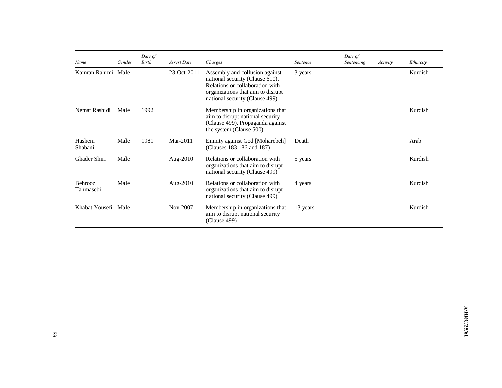| Name                 | Gender | Date of<br><b>Birth</b> | Arrest Date | Charges                                                                                                                                                                     | Sentence | Date of<br>Sentencing | Activity | Ethnicity |
|----------------------|--------|-------------------------|-------------|-----------------------------------------------------------------------------------------------------------------------------------------------------------------------------|----------|-----------------------|----------|-----------|
| Kamran Rahimi Male   |        |                         | 23-Oct-2011 | Assembly and collusion against<br>national security (Clause 610),<br>Relations or collaboration with<br>organizations that aim to disrupt<br>national security (Clause 499) | 3 years  |                       |          | Kurdish   |
| Nemat Rashidi        | Male   | 1992                    |             | Membership in organizations that<br>aim to disrupt national security<br>(Clause 499), Propaganda against<br>the system (Clause 500)                                         |          |                       |          | Kurdish   |
| Hashem<br>Shabani    | Male   | 1981                    | Mar-2011    | Enmity against God [Moharebeh]<br>(Clauses 183 186 and 187)                                                                                                                 | Death    |                       |          | Arab      |
| Ghader Shiri         | Male   |                         | Aug- $2010$ | Relations or collaboration with<br>organizations that aim to disrupt<br>national security (Clause 499)                                                                      | 5 years  |                       |          | Kurdish   |
| Behrooz<br>Tahmasebi | Male   |                         | Aug-2010    | Relations or collaboration with<br>organizations that aim to disrupt<br>national security (Clause 499)                                                                      | 4 years  |                       |          | Kurdish   |
| Khabat Yousefi Male  |        |                         | Nov-2007    | Membership in organizations that<br>aim to disrupt national security<br>(Clause 499)                                                                                        | 13 years |                       |          | Kurdish   |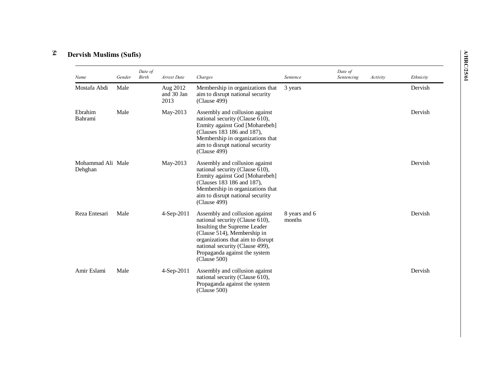#### **54 Dervish Muslims (Sufis)**

| Name                         | Gender | Date of<br>Birth | Arrest Date                    | Charges                                                                                                                                                                                                                                                   | Sentence                | Date of<br>Sentencing | Activity | Ethnicity |
|------------------------------|--------|------------------|--------------------------------|-----------------------------------------------------------------------------------------------------------------------------------------------------------------------------------------------------------------------------------------------------------|-------------------------|-----------------------|----------|-----------|
| Mostafa Abdi                 | Male   |                  | Aug 2012<br>and 30 Jan<br>2013 | Membership in organizations that<br>aim to disrupt national security<br>(Clause 499)                                                                                                                                                                      | 3 years                 |                       |          | Dervish   |
| Ebrahim<br><b>Bahrami</b>    | Male   |                  | May-2013                       | Assembly and collusion against<br>national security (Clause 610),<br>Enmity against God [Moharebeh]<br>(Clauses 183 186 and 187),<br>Membership in organizations that<br>aim to disrupt national security<br>(Clause 499)                                 |                         |                       |          | Dervish   |
| Mohammad Ali Male<br>Dehghan |        |                  | May-2013                       | Assembly and collusion against<br>national security (Clause 610),<br>Enmity against God [Moharebeh]<br>(Clauses 183 186 and 187),<br>Membership in organizations that<br>aim to disrupt national security<br>(Clause 499)                                 |                         |                       |          | Dervish   |
| Reza Entesari                | Male   |                  | 4-Sep-2011                     | Assembly and collusion against<br>national security (Clause 610),<br>Insulting the Supreme Leader<br>(Clause 514), Membership in<br>organizations that aim to disrupt<br>national security (Clause 499),<br>Propaganda against the system<br>(Clause 500) | 8 years and 6<br>months |                       |          | Dervish   |
| Amir Eslami                  | Male   |                  | $4-Sep-2011$                   | Assembly and collusion against<br>national security (Clause 610),<br>Propaganda against the system<br>(Clause 500)                                                                                                                                        |                         |                       |          | Dervish   |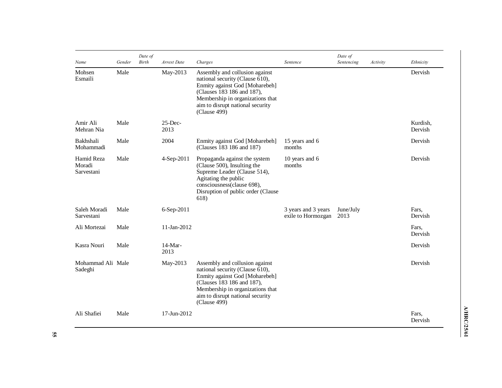| Name                               | Gender | Date of<br><b>Birth</b> | Arrest Date        | Charges                                                                                                                                                                                                                                 | Sentence                                  | Date of<br>Sentencing | Activity | Ethnicity           |
|------------------------------------|--------|-------------------------|--------------------|-----------------------------------------------------------------------------------------------------------------------------------------------------------------------------------------------------------------------------------------|-------------------------------------------|-----------------------|----------|---------------------|
| Mohsen<br>Esmaili                  | Male   |                         | May-2013           | Assembly and collusion against<br>national security (Clause $\overline{6}10$ ),<br>Enmity against God [Moharebeh]<br>(Clauses 183 186 and 187),<br>Membership in organizations that<br>aim to disrupt national security<br>(Clause 499) |                                           |                       |          | Dervish             |
| Amir Ali<br>Mehran Nia             | Male   |                         | $25$ -Dec-<br>2013 |                                                                                                                                                                                                                                         |                                           |                       |          | Kurdish,<br>Dervish |
| Bakhshali<br>Mohammadi             | Male   |                         | 2004               | Enmity against God [Moharebeh]<br>(Clauses 183 186 and 187)                                                                                                                                                                             | 15 years and 6<br>months                  |                       |          | Dervish             |
| Hamid Reza<br>Moradi<br>Sarvestani | Male   |                         | 4-Sep-2011         | Propaganda against the system<br>(Clause 500), Insulting the<br>Supreme Leader (Clause 514),<br>Agitating the public<br>consciousness(clause 698),<br>Disruption of public order (Clause<br>618)                                        | 10 years and 6<br>months                  |                       |          | Dervish             |
| Saleh Moradi<br>Sarvestani         | Male   |                         | 6-Sep-2011         |                                                                                                                                                                                                                                         | 3 years and 3 years<br>exile to Hormozgan | June/July<br>2013     |          | Fars.<br>Dervish    |
| Ali Mortezai                       | Male   |                         | 11-Jan-2012        |                                                                                                                                                                                                                                         |                                           |                       |          | Fars,<br>Dervish    |
| Kasra Nouri                        | Male   |                         | $14-Mar-$<br>2013  |                                                                                                                                                                                                                                         |                                           |                       |          | Dervish             |
| Mohammad Ali Male<br>Sadeghi       |        |                         | May-2013           | Assembly and collusion against<br>national security (Clause 610),<br>Enmity against God [Moharebeh]<br>(Clauses 183 186 and 187),<br>Membership in organizations that<br>aim to disrupt national security<br>(Clause 499)               |                                           |                       |          | Dervish             |
| Ali Shafiei                        | Male   |                         | 17-Jun-2012        |                                                                                                                                                                                                                                         |                                           |                       |          | Fars.<br>Dervish    |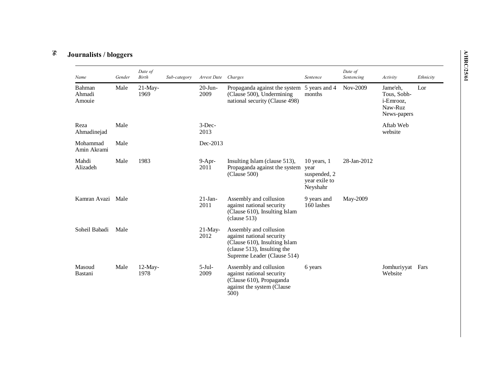### **56 Journalists / bloggers**

| Name                       | Gender | Date of<br><b>Birth</b> | Sub-category | Arrest Date        | Charges                                                                                                                                            | Sentence                                                             | Date of<br>Sentencing | Activity                                                       | Ethnicity |
|----------------------------|--------|-------------------------|--------------|--------------------|----------------------------------------------------------------------------------------------------------------------------------------------------|----------------------------------------------------------------------|-----------------------|----------------------------------------------------------------|-----------|
| Bahman<br>Ahmadi<br>Amouie | Male   | 21-May-<br>1969         |              | $20$ -Jun-<br>2009 | Propaganda against the system<br>(Clause 500), Undermining<br>national security (Clause 498)                                                       | 5 years and 4<br>months                                              | Nov-2009              | Jame'eh,<br>Tous, Sobh-<br>i-Emrooz,<br>Naw-Ruz<br>News-papers | Lor       |
| Reza<br>Ahmadinejad        | Male   |                         |              | $3$ -Dec-<br>2013  |                                                                                                                                                    |                                                                      |                       | Aftab Web<br>website                                           |           |
| Mohammad<br>Amin Akrami    | Male   |                         |              | Dec-2013           |                                                                                                                                                    |                                                                      |                       |                                                                |           |
| Mahdi<br>Alizadeh          | Male   | 1983                    |              | $9-Apr-$<br>2011   | Insulting Islam (clause 513),<br>Propaganda against the system<br>(Clause 500)                                                                     | $10$ years, $1$<br>year<br>suspended, 2<br>year exile to<br>Neyshahr | 28-Jan-2012           |                                                                |           |
| Kamran Avazi               | Male   |                         |              | $21$ -Jan-<br>2011 | Assembly and collusion<br>against national security<br>(Clause 610), Insulting Islam<br>clause 513)                                                | 9 years and<br>160 lashes                                            | May-2009              |                                                                |           |
| Soheil Babadi              | Male   |                         |              | $21$ -May-<br>2012 | Assembly and collusion<br>against national security<br>(Clause 610), Insulting Islam<br>(clause 513), Insulting the<br>Supreme Leader (Clause 514) |                                                                      |                       |                                                                |           |
| Masoud<br>Bastani          | Male   | $12$ -May-<br>1978      |              | $5-Jul-$<br>2009   | Assembly and collusion<br>against national security<br>(Clause 610), Propaganda<br>against the system (Clause<br>500)                              | 6 years                                                              |                       | Jomhuriyyat<br>Website                                         | Fars      |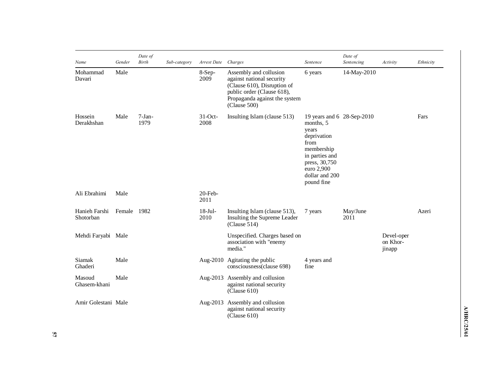| Name                       | Gender      | Date of<br><b>Birth</b> | Sub-category | Arrest Date        | Charges                                                                                                                                                           | Sentence                                                                                                                                                               | Date of<br>Sentencing | Activity                         | Ethnicity |
|----------------------------|-------------|-------------------------|--------------|--------------------|-------------------------------------------------------------------------------------------------------------------------------------------------------------------|------------------------------------------------------------------------------------------------------------------------------------------------------------------------|-----------------------|----------------------------------|-----------|
| Mohammad<br>Davari         | Male        |                         |              | $8-Sep-$<br>2009   | Assembly and collusion<br>against national security<br>(Clause 610), Disruption of<br>public order (Clause 618),<br>Propaganda against the system<br>(Clause 500) | 6 years                                                                                                                                                                | 14-May-2010           |                                  |           |
| Hossein<br>Derakhshan      | Male        | $7-Jan-$<br>1979        |              | $31-Oct$ -<br>2008 | Insulting Islam (clause 513)                                                                                                                                      | 19 years and 6 28-Sep-2010<br>months, 5<br>years<br>deprivation<br>from<br>membership<br>in parties and<br>press, 30,750<br>euro 2,900<br>dollar and 200<br>pound fine |                       |                                  | Fars      |
| Ali Ebrahimi               | Male        |                         |              | 20-Feb-<br>2011    |                                                                                                                                                                   |                                                                                                                                                                        |                       |                                  |           |
| Hanieh Farshi<br>Shotorban | Female 1982 |                         |              | $18-Jul-$<br>2010  | Insulting Islam (clause 513),<br>Insulting the Supreme Leader<br>(Clause 514)                                                                                     | 7 years                                                                                                                                                                | May/June<br>2011      |                                  | Azeri     |
| Mehdi Faryabi Male         |             |                         |              |                    | Unspecified. Charges based on<br>association with "enemy<br>media."                                                                                               |                                                                                                                                                                        |                       | Devel-oper<br>on Khor-<br>jinapp |           |
| Siamak<br>Ghaderi          | Male        |                         |              |                    | Aug-2010 Agitating the public<br>consciousness(clause 698)                                                                                                        | 4 years and<br>fine                                                                                                                                                    |                       |                                  |           |
| Masoud<br>Ghasem-khani     | Male        |                         |              |                    | Aug-2013 Assembly and collusion<br>against national security<br>(Clause 610)                                                                                      |                                                                                                                                                                        |                       |                                  |           |
| Amir Golestani Male        |             |                         |              |                    | Aug-2013 Assembly and collusion<br>against national security<br>(Clause 610)                                                                                      |                                                                                                                                                                        |                       |                                  |           |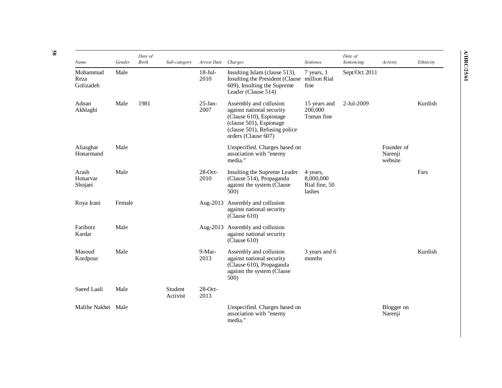|                                       | Gender | Date of<br>Birth |                     | Arrest Date       |                                                                                                                                                                   | Sentence                                         | Date of<br>Sentencing |                                  |           |
|---------------------------------------|--------|------------------|---------------------|-------------------|-------------------------------------------------------------------------------------------------------------------------------------------------------------------|--------------------------------------------------|-----------------------|----------------------------------|-----------|
| Name<br>Mohammad<br>Reza<br>Golizadeh | Male   |                  | Sub-category        | $18-Jul-$<br>2010 | Charges<br>Insulting Islam (clause 513),<br>Insulting the President (Clause million Rial<br>609), Insulting the Supreme<br>Leader (Clause 514)                    | $7$ years, $1$<br>fine                           | Sept/Oct 2011         | Activity                         | Ethnicity |
| Adnan<br>Akhlaghi                     | Male   | 1981             |                     | $25-Ian-$<br>2007 | Assembly and collusion<br>against national security<br>(Clause 610), Espionage<br>(clause 501), Espionage<br>(clause 501), Refusing police<br>orders (Clause 607) | 15 years and<br>200,000<br>Toman fine            | 2-Jul-2009            |                                  | Kurdish   |
| Aliasghar<br>Honarmand                | Male   |                  |                     |                   | Unspecified. Charges based on<br>association with "enemy<br>media."                                                                                               |                                                  |                       | Founder of<br>Narenji<br>website |           |
| Arash<br>Honarvar<br>Shojaei          | Male   |                  |                     | 28-Oct-<br>2010   | Insulting the Supreme Leader<br>(Clause 514), Propaganda<br>against the system (Clause<br>500)                                                                    | 4 years,<br>8,000,000<br>Rial fine, 50<br>lashes |                       |                                  | Fars      |
| Roya Irani                            | Female |                  |                     | Aug- $2013$       | Assembly and collusion<br>against national security<br>(Clause 610)                                                                                               |                                                  |                       |                                  |           |
| Fariborz<br>Kardar                    | Male   |                  |                     | Aug- $2013$       | Assembly and collusion<br>against national security<br>(Clause 610)                                                                                               |                                                  |                       |                                  |           |
| Masoud<br>Kordpour                    | Male   |                  |                     | 9-Mar-<br>2013    | Assembly and collusion<br>against national security<br>(Clause 610), Propaganda<br>against the system (Clause)<br>500)                                            | 3 years and 6<br>months                          |                       |                                  | Kurdish   |
| Saeed Laali                           | Male   |                  | Student<br>Activist | $28-Oct-$<br>2013 |                                                                                                                                                                   |                                                  |                       |                                  |           |
| Malihe Nakhei Male                    |        |                  |                     |                   | Unspecified. Charges based on<br>association with "enemy<br>media."                                                                                               |                                                  |                       | Blogger on<br>Narenji            |           |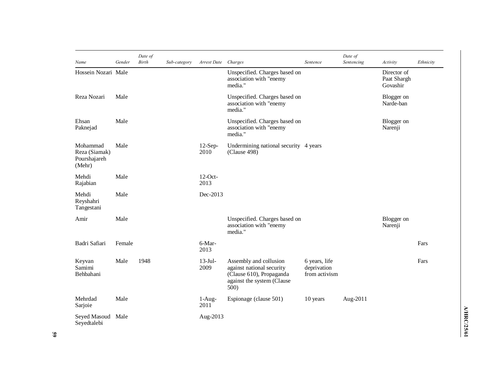| Name                                                | Gender | Date of<br><b>Birth</b> | Sub-category | Arrest Date        | Charges                                                                                                               | Sentence                                      | Date of<br>Sentencing | Activity                               | Ethnicity |
|-----------------------------------------------------|--------|-------------------------|--------------|--------------------|-----------------------------------------------------------------------------------------------------------------------|-----------------------------------------------|-----------------------|----------------------------------------|-----------|
| Hossein Nozari Male                                 |        |                         |              |                    | Unspecified. Charges based on<br>association with "enemy<br>media."                                                   |                                               |                       | Director of<br>Paat Shargh<br>Govashir |           |
| Reza Nozari                                         | Male   |                         |              |                    | Unspecified. Charges based on<br>association with "enemy<br>media."                                                   |                                               |                       | Blogger on<br>Narde-ban                |           |
| Ehsan<br>Paknejad                                   | Male   |                         |              |                    | Unspecified. Charges based on<br>association with "enemy<br>media."                                                   |                                               |                       | Blogger on<br>Narenji                  |           |
| Mohammad<br>Reza (Siamak)<br>Pourshajareh<br>(Mehr) | Male   |                         |              | $12-Sep-$<br>2010  | Undermining national security 4 years<br>(Clause 498)                                                                 |                                               |                       |                                        |           |
| Mehdi<br>Rajabian                                   | Male   |                         |              | $12$ -Oct-<br>2013 |                                                                                                                       |                                               |                       |                                        |           |
| Mehdi<br>Reyshahri<br>Tangestani                    | Male   |                         |              | Dec-2013           |                                                                                                                       |                                               |                       |                                        |           |
| Amir                                                | Male   |                         |              |                    | Unspecified. Charges based on<br>association with "enemy<br>media."                                                   |                                               |                       | Blogger on<br>Narenji                  |           |
| Badri Safiari                                       | Female |                         |              | 6-Mar-<br>2013     |                                                                                                                       |                                               |                       |                                        | Fars      |
| Keyvan<br>Samimi<br>Behbahani                       | Male   | 1948                    |              | $13-Jul-$<br>2009  | Assembly and collusion<br>against national security<br>(Clause 610), Propaganda<br>against the system (Clause<br>500) | 6 years, life<br>deprivation<br>from activism |                       |                                        | Fars      |
| Mehrdad<br>Sarjoie                                  | Male   |                         |              | $1-Aug-$<br>2011   | Espionage (clause 501)                                                                                                | 10 years                                      | Aug-2011              |                                        |           |
| Seyed Masoud Male<br>Sevedtalebi                    |        |                         |              | Aug-2013           |                                                                                                                       |                                               |                       |                                        |           |

Seyedtalebi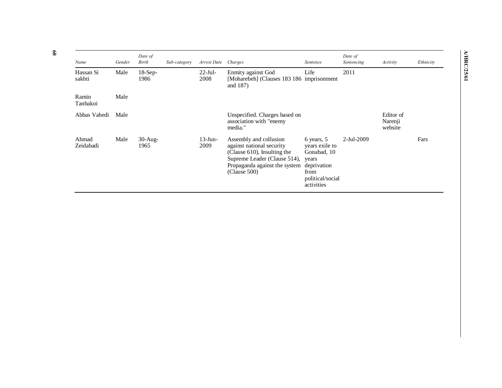| Name                | Gender | Date of<br>Birth   | Sub-category | Arrest Date        | Charges                                                                                                                                                             | Sentence                                                                                                      | Date of<br>Sentencing | Activity                        | Ethnicity |
|---------------------|--------|--------------------|--------------|--------------------|---------------------------------------------------------------------------------------------------------------------------------------------------------------------|---------------------------------------------------------------------------------------------------------------|-----------------------|---------------------------------|-----------|
| Hassan Si<br>sakhti | Male   | $18-Sep-$<br>1986  |              | $22$ -Jul-<br>2008 | Enmity against God<br>[Moharebeh] (Clauses 183 186 imprisonment<br>and $187$ )                                                                                      | Life                                                                                                          | 2011                  |                                 |           |
| Ramin<br>Tanbakoi   | Male   |                    |              |                    |                                                                                                                                                                     |                                                                                                               |                       |                                 |           |
| Abbas Vahedi        | Male   |                    |              |                    | Unspecified. Charges based on<br>association with "enemy<br>media."                                                                                                 |                                                                                                               |                       | Editor of<br>Narenji<br>website |           |
| Ahmad<br>Zeidabadi  | Male   | $30$ -Aug-<br>1965 |              | $13$ -Jun-<br>2009 | Assembly and collusion<br>against national security<br>(Clause 610), Insulting the<br>Supreme Leader (Clause 514),<br>Propaganda against the system<br>(Clause 500) | 6 years, 5<br>years exile to<br>Gonabad, 10<br>years<br>deprivation<br>from<br>political/social<br>activities | 2-Jul-2009            |                                 | Fars      |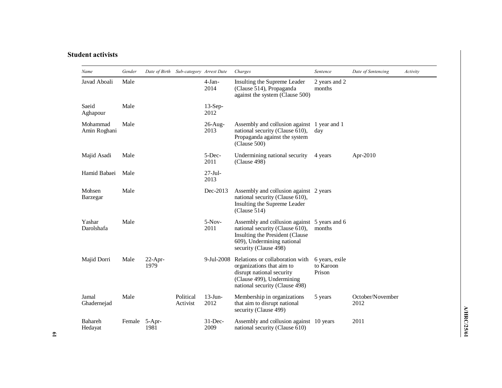## **Student activists**

| Name                      | Gender |                    | Date of Birth Sub-category Arrest Date |                    | Charges                                                                                                                                                                   | Sentence                              | Date of Sentencing       | Activity |
|---------------------------|--------|--------------------|----------------------------------------|--------------------|---------------------------------------------------------------------------------------------------------------------------------------------------------------------------|---------------------------------------|--------------------------|----------|
| Javad Aboali              | Male   |                    |                                        | $4-Jan-$<br>2014   | Insulting the Supreme Leader<br>(Clause 514), Propaganda<br>against the system (Clause 500)                                                                               | 2 years and 2<br>months               |                          |          |
| Saeid<br>Aghapour         | Male   |                    |                                        | $13-Sep-$<br>2012  |                                                                                                                                                                           |                                       |                          |          |
| Mohammad<br>Amin Roghani  | Male   |                    |                                        | $26$ -Aug-<br>2013 | Assembly and collusion against 1 year and 1<br>national security (Clause 610),<br>Propaganda against the system<br>(Clause 500)                                           | day                                   |                          |          |
| Majid Asadi               | Male   |                    |                                        | $5$ -Dec-<br>2011  | Undermining national security<br>(Clause 498)                                                                                                                             | 4 years                               | Apr-2010                 |          |
| Hamid Babaei              | Male   |                    |                                        | $27-Jul-$<br>2013  |                                                                                                                                                                           |                                       |                          |          |
| Mohsen<br>Barzegar        | Male   |                    |                                        | Dec-2013           | Assembly and collusion against 2 years<br>national security (Clause 610),<br>Insulting the Supreme Leader<br>(Clause 514)                                                 |                                       |                          |          |
| Yashar<br>Darolshafa      | Male   |                    |                                        | $5-Nov-$<br>2011   | Assembly and collusion against 5 years and 6<br>national security (Clause 610),<br>Insulting the President (Clause<br>609), Undermining national<br>security (Clause 498) | months                                |                          |          |
| Majid Dorri               | Male   | $22$ -Apr-<br>1979 |                                        | 9-Jul-2008         | Relations or collaboration with<br>organizations that aim to<br>disrupt national security<br>(Clause 499), Undermining<br>national security (Clause 498)                  | 6 years, exile<br>to Karoon<br>Prison |                          |          |
| Jamal<br>Ghadernejad      | Male   |                    | Political<br>Activist                  | $13$ -Jun-<br>2012 | Membership in organizations<br>that aim to disrupt national<br>security (Clause 499)                                                                                      | 5 years                               | October/November<br>2012 |          |
| <b>Bahareh</b><br>Hedayat | Female | $5-Apr-$<br>1981   |                                        | $31$ -Dec-<br>2009 | Assembly and collusion against 10 years<br>national security (Clause 610)                                                                                                 |                                       | 2011                     |          |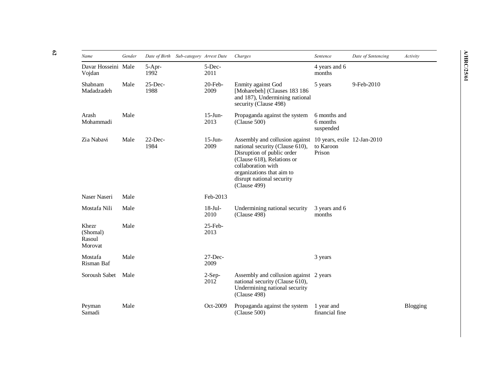| Name                                   | Gender | Date of Birth      | Sub-category Arrest Date | Charges                                                                                                                                                                                                                       | Sentence                                           | Date of Sentencing | Activity        |
|----------------------------------------|--------|--------------------|--------------------------|-------------------------------------------------------------------------------------------------------------------------------------------------------------------------------------------------------------------------------|----------------------------------------------------|--------------------|-----------------|
| Davar Hosseini Male<br>Vojdan          |        | 5-Apr-<br>1992     | 5-Dec-<br>2011           |                                                                                                                                                                                                                               | 4 years and 6<br>months                            |                    |                 |
| Shabnam<br>Madadzadeh                  | Male   | $25$ -Dec-<br>1988 | $20$ -Feb-<br>2009       | Enmity against God<br>[Moharebeh] (Clauses 183 186<br>and 187), Undermining national<br>security (Clause 498)                                                                                                                 | 5 years                                            | 9-Feb-2010         |                 |
| Arash<br>Mohammadi                     | Male   |                    | $15$ -Jun-<br>2013       | Propaganda against the system<br>(Clause 500)                                                                                                                                                                                 | 6 months and<br>6 months<br>suspended              |                    |                 |
| Zia Nabavi                             | Male   | $22$ -Dec-<br>1984 | $15$ -Jun-<br>2009       | Assembly and collusion against<br>national security (Clause 610),<br>Disruption of public order<br>(Clause 618), Relations or<br>collaboration with<br>organizations that aim to<br>disrupt national security<br>(Clause 499) | 10 years, exile 12-Jan-2010<br>to Karoon<br>Prison |                    |                 |
| Naser Naseri                           | Male   |                    | Feb-2013                 |                                                                                                                                                                                                                               |                                                    |                    |                 |
| Mostafa Nili                           | Male   |                    | $18$ -Jul-<br>2010       | Undermining national security<br>(Clause 498)                                                                                                                                                                                 | 3 years and 6<br>months                            |                    |                 |
| Khezr<br>(Shomal)<br>Rasoul<br>Morovat | Male   |                    | $25$ -Feb-<br>2013       |                                                                                                                                                                                                                               |                                                    |                    |                 |
| Mostafa<br>Risman Baf                  | Male   |                    | $27$ -Dec-<br>2009       |                                                                                                                                                                                                                               | 3 years                                            |                    |                 |
| Soroush Sabet                          | Male   |                    | $2-Sep-$<br>2012         | Assembly and collusion against 2 years<br>national security (Clause 610),<br>Undermining national security<br>(Clause 498)                                                                                                    |                                                    |                    |                 |
| Peyman<br>Samadi                       | Male   |                    | Oct-2009                 | Propaganda against the system<br>(Clause 500)                                                                                                                                                                                 | 1 year and<br>financial fine                       |                    | <b>Blogging</b> |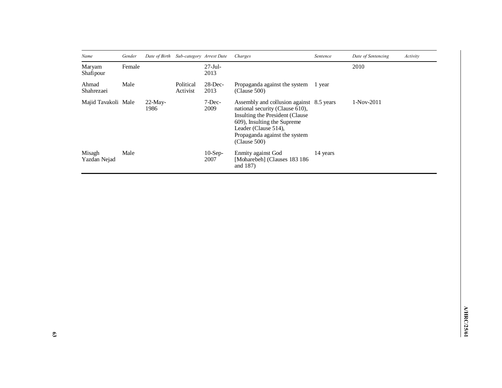| Name                   | Gender |                    | Date of Birth Sub-category Arrest Date |                    | Charges                                                                                                                                                                                                                 | Sentence | Date of Sentencing | Activity |
|------------------------|--------|--------------------|----------------------------------------|--------------------|-------------------------------------------------------------------------------------------------------------------------------------------------------------------------------------------------------------------------|----------|--------------------|----------|
| Maryam<br>Shafipour    | Female |                    |                                        | $27$ -Jul-<br>2013 |                                                                                                                                                                                                                         |          | 2010               |          |
| Ahmad<br>Shahrezaei    | Male   |                    | Political<br>Activist                  | $28$ -Dec-<br>2013 | Propaganda against the system<br>(Clause 500)                                                                                                                                                                           | 1 year   |                    |          |
| Majid Tavakoli Male    |        | $22$ -May-<br>1986 |                                        | $7$ -Dec-<br>2009  | Assembly and collusion against 8.5 years<br>national security (Clause 610),<br>Insulting the President (Clause)<br>609), Insulting the Supreme<br>Leader (Clause 514),<br>Propaganda against the system<br>(Clause 500) |          | $1-Nov-2011$       |          |
| Misagh<br>Yazdan Nejad | Male   |                    |                                        | $10$ -Sep-<br>2007 | Enmity against God<br>[Moharebeh] (Clauses 183 186<br>and 187)                                                                                                                                                          | 14 years |                    |          |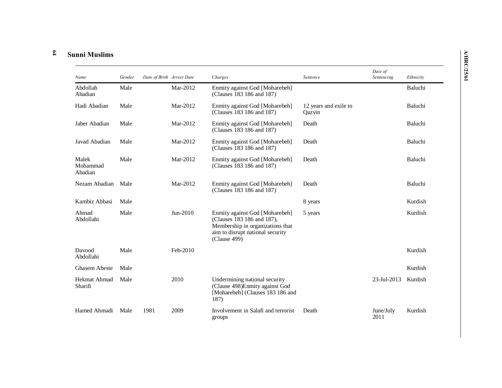#### **64 Sunni Muslims**

| Name                         | Gender | Date of Birth Arrest Date |            | Charges                                                                                                                                              | Sentence                        | Date of<br>Sentencing | Ethnicity |
|------------------------------|--------|---------------------------|------------|------------------------------------------------------------------------------------------------------------------------------------------------------|---------------------------------|-----------------------|-----------|
| Abdollah<br>Abadian          | Male   |                           | Mar-2012   | Enmity against God [Moharebeh]<br>(Clauses 183 186 and 187)                                                                                          |                                 |                       | Baluchi   |
| Hadi Abadian                 | Male   |                           | Mar-2012   | Enmity against God [Moharebeh]<br>(Clauses 183 186 and 187)                                                                                          | 12 years and exile to<br>Qazvin |                       | Baluchi   |
| Jaber Abadian                | Male   |                           | Mar-2012   | Enmity against God [Moharebeh]<br>(Clauses 183 186 and 187)                                                                                          | Death                           |                       | Baluchi   |
| Javad Abadian                | Male   |                           | Mar-2012   | Enmity against God [Moharebeh]<br>(Clauses 183 186 and 187)                                                                                          | Death                           |                       | Baluchi   |
| Malek<br>Mohammad<br>Abadian | Male   |                           | Mar-2012   | Enmity against God [Moharebeh]<br>(Clauses 183 186 and 187)                                                                                          | Death                           |                       | Baluchi   |
| Nezam Abadian                | Male   |                           | Mar-2012   | Enmity against God [Moharebeh]<br>(Clauses 183 186 and 187)                                                                                          | Death                           |                       | Baluchi   |
| Kambiz Abbasi                | Male   |                           |            |                                                                                                                                                      | 8 years                         |                       | Kurdish   |
| Ahmad<br>Abdollahi           | Male   |                           | $Jun-2010$ | Enmity against God [Moharebeh]<br>(Clauses 183 186 and 187),<br>Membership in organizations that<br>aim to disrupt national security<br>(Clause 499) | 5 years                         |                       | Kurdish   |
| Davood<br>Abdollahi          | Male   |                           | Feb-2010   |                                                                                                                                                      |                                 |                       | Kurdish   |
| <b>Ghasem Abeste</b>         | Male   |                           |            |                                                                                                                                                      |                                 |                       | Kurdish   |
| Hekmat Ahmad<br>Sharifi      | Male   |                           | 2010       | Undermining national security<br>(Clause 498) Enmity against God<br>[Moharebeh] (Clauses 183 186 and<br>187)                                         |                                 | 23-Jul-2013           | Kurdish   |
| Hamed Ahmadi                 | Male   | 1981                      | 2009       | Involvement in Salafi and terrorist<br>groups                                                                                                        | Death                           | June/July<br>2011     | Kurdish   |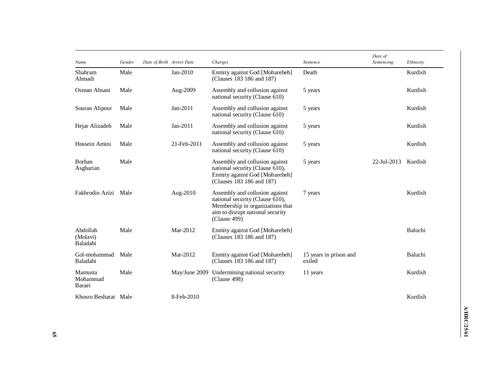| Name                             | Gender | Date of Birth Arrest Date |               | Charges                                                                                                                                                   | Sentence                         | Date of<br>Sentencing | Ethnicity |
|----------------------------------|--------|---------------------------|---------------|-----------------------------------------------------------------------------------------------------------------------------------------------------------|----------------------------------|-----------------------|-----------|
| Shahram<br>Ahmadi                | Male   |                           | Jan-2010      | Enmity against God [Moharebeh]<br>(Clauses 183 186 and 187)                                                                                               | Death                            |                       | Kurdish   |
| Osman Ahsani                     | Male   |                           | Aug-2009      | Assembly and collusion against<br>national security (Clause 610)                                                                                          | 5 years                          |                       | Kurdish   |
| Souran Alipour                   | Male   |                           | $Jan-2011$    | Assembly and collusion against<br>national security (Clause 610)                                                                                          | 5 years                          |                       | Kurdish   |
| Hejar Alizadeh                   | Male   |                           | Jan-2011      | Assembly and collusion against<br>national security (Clause 610)                                                                                          | 5 years                          |                       | Kurdish   |
| Hossein Amini                    | Male   |                           | 21-Feb-2011   | Assembly and collusion against<br>national security (Clause 610)                                                                                          | 5 years                          |                       | Kurdish   |
| Borhan<br>Asgharian              | Male   |                           |               | Assembly and collusion against<br>national security (Clause 610),<br>Enmity against God [Moharebeh]<br>(Clauses 183 186 and 187)                          | 5 years                          | 22-Jul-2013           | Kurdish   |
| Fakhrodin Azizi Male             |        |                           | Aug-2010      | Assembly and collusion against<br>national security (Clause 610),<br>Membership in organizations that<br>aim to disrupt national security<br>(Clause 499) | 7 years                          |                       | Kurdish   |
| Abdollah<br>(Molavi)<br>Baladahi | Male   |                           | Mar-2012      | Enmity against God [Moharebeh]<br>(Clauses 183 186 and 187)                                                                                               |                                  |                       | Baluchi   |
| Gol-mohammad<br>Baladahi         | Male   |                           | Mar-2012      | Enmity against God [Moharebeh]<br>(Clauses 183 186 and 187)                                                                                               | 15 years in prison and<br>exiled |                       | Baluchi   |
| Mamusta<br>Mohammad<br>Baraei    | Male   |                           | May/June 2009 | Undermining national security<br>(Clause 498)                                                                                                             | 11 years                         |                       | Kurdish   |
| Khosro Besharat Male             |        |                           | 8-Feb-2010    |                                                                                                                                                           |                                  |                       | Kurdish   |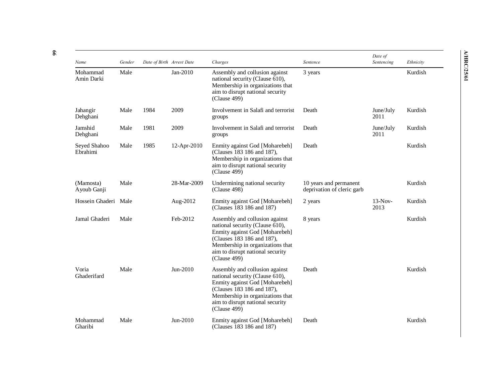| Name                     | Gender | Date of Birth Arrest Date |             | Charges                                                                                                                                                                                                                   | Sentence                                             | Date of<br>Sentencing | Ethnicity |
|--------------------------|--------|---------------------------|-------------|---------------------------------------------------------------------------------------------------------------------------------------------------------------------------------------------------------------------------|------------------------------------------------------|-----------------------|-----------|
| Mohammad<br>Amin Darki   | Male   |                           | Jan-2010    | Assembly and collusion against<br>national security (Clause 610),<br>Membership in organizations that<br>aim to disrupt national security<br>(Clause 499)                                                                 | 3 years                                              |                       | Kurdish   |
| Jahangir<br>Dehghani     | Male   | 1984                      | 2009        | Involvement in Salafi and terrorist<br>groups                                                                                                                                                                             | Death                                                | June/July<br>2011     | Kurdish   |
| Jamshid<br>Dehghani      | Male   | 1981                      | 2009        | Involvement in Salafi and terrorist<br>groups                                                                                                                                                                             | Death                                                | June/July<br>2011     | Kurdish   |
| Seyed Shahoo<br>Ebrahimi | Male   | 1985                      | 12-Apr-2010 | Enmity against God [Moharebeh]<br>(Clauses 183 186 and 187),<br>Membership in organizations that<br>aim to disrupt national security<br>(Clause 499)                                                                      | Death                                                |                       | Kurdish   |
| (Mamosta)<br>Ayoub Ganji | Male   |                           | 28-Mar-2009 | Undermining national security<br>(Clause 498)                                                                                                                                                                             | 10 years and permanent<br>deprivation of cleric garb |                       | Kurdish   |
| Hossein Ghaderi Male     |        |                           | Aug-2012    | Enmity against God [Moharebeh]<br>(Clauses 183 186 and 187)                                                                                                                                                               | 2 years                                              | $13-Nov-$<br>2013     | Kurdish   |
| Jamal Ghaderi            | Male   |                           | Feb-2012    | Assembly and collusion against<br>national security (Clause 610),<br>Enmity against God [Moharebeh]<br>(Clauses 183 186 and 187),<br>Membership in organizations that<br>aim to disrupt national security<br>(Clause 499) | 8 years                                              |                       | Kurdish   |
| Voria<br>Ghaderifard     | Male   |                           | Jun-2010    | Assembly and collusion against<br>national security (Clause 610),<br>Enmity against God [Moharebeh]<br>(Clauses 183 186 and 187),<br>Membership in organizations that<br>aim to disrupt national security<br>(Clause 499) | Death                                                |                       | Kurdish   |
| Mohammad<br>Gharibi      | Male   |                           | Jun-2010    | Enmity against God [Moharebeh]<br>(Clauses 183 186 and 187)                                                                                                                                                               | Death                                                |                       | Kurdish   |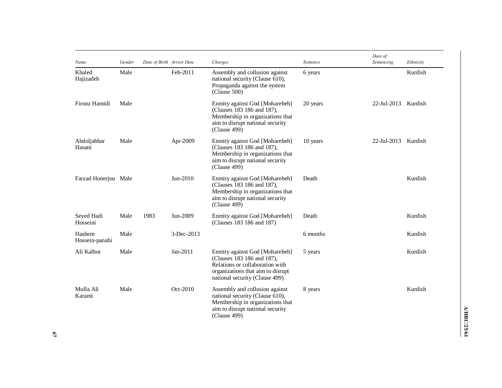| Name                     | Gender | Date of Birth Arrest Date |            | Charges                                                                                                                                                                | Sentence | Date of<br>Sentencing | Ethnicity |
|--------------------------|--------|---------------------------|------------|------------------------------------------------------------------------------------------------------------------------------------------------------------------------|----------|-----------------------|-----------|
| Khaled<br>Hajizadeh      | Male   |                           | Feb-2011   | Assembly and collusion against<br>national security (Clause 610),<br>Propaganda against the system<br>(Clause 500)                                                     | 6 years  |                       | Kurdish   |
| Firooz Hamidi            | Male   |                           |            | Enmity against God [Moharebeh]<br>(Clauses 183 186 and 187),<br>Membership in organizations that<br>aim to disrupt national security<br>(Clause 499)                   | 20 years | 22-Jul-2013           | Kurdish   |
| Abdoljabbar<br>Hasani    | Male   |                           | Apr-2009   | Enmity against God [Moharebeh]<br>(Clauses 183 186 and 187),<br>Membership in organizations that<br>aim to disrupt national security<br>(Clause 499)                   | 10 years | 22-Jul-2013           | Kurdish   |
| Farzad Honerjou Male     |        |                           | Jun-2010   | Enmity against God [Moharebeh]<br>(Clauses 183 186 and 187),<br>Membership in organizations that<br>aim to disrupt national security<br>(Clause 499)                   | Death    |                       | Kurdish   |
| Seyed Hadi<br>Hosseini   | Male   | 1983                      | Jun-2009   | Enmity against God [Moharebeh]<br>(Clauses 183 186 and 187)                                                                                                            | Death    |                       | Kurdish   |
| Hashem<br>Hossein-panahi | Male   |                           | 3-Dec-2013 |                                                                                                                                                                        | 6 months |                       | Kurdish   |
| Ali Kalhor               | Male   |                           | Jan-2011   | Enmity against God [Moharebeh]<br>(Clauses 183 186 and 187),<br>Relations or collaboration with<br>organizations that aim to disrupt<br>national security (Clause 499) | 5 years  |                       | Kurdish   |
| Mulla Ali<br>Karami      | Male   |                           | Oct-2010   | Assembly and collusion against<br>national security (Clause 610),<br>Membership in organizations that<br>aim to disrupt national security<br>(Clause 499)              | 8 years  |                       | Kurdish   |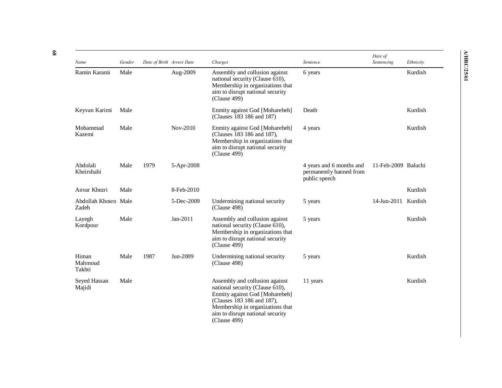| Name                          | Gender | Date of Birth Arrest Date |            | Charges                                                                                                                                                                                                                   | Sentence                                                             | Date of<br>Sentencing | Ethnicity |
|-------------------------------|--------|---------------------------|------------|---------------------------------------------------------------------------------------------------------------------------------------------------------------------------------------------------------------------------|----------------------------------------------------------------------|-----------------------|-----------|
| Ramin Karami                  | Male   |                           | Aug-2009   | Assembly and collusion against<br>national security (Clause 610),<br>Membership in organizations that<br>aim to disrupt national security<br>(Clause 499)                                                                 | 6 years                                                              |                       | Kurdish   |
| Keyvan Karimi                 | Male   |                           |            | Enmity against God [Moharebeh]<br>(Clauses 183 186 and 187)                                                                                                                                                               | Death                                                                |                       | Kurdish   |
| Mohammad<br>Kazemi            | Male   |                           | Nov-2010   | Enmity against God [Moharebeh]<br>(Clauses 183 186 and 187),<br>Membership in organizations that<br>aim to disrupt national security<br>(Clause 499)                                                                      | 4 years                                                              |                       | Kurdish   |
| Abdolali<br>Kheirshahi        | Male   | 1979                      | 5-Apr-2008 |                                                                                                                                                                                                                           | 4 years and 6 months and<br>permanently banned from<br>public speech | 11-Feb-2009 Baluchi   |           |
| Anvar Khezri                  | Male   |                           | 8-Feb-2010 |                                                                                                                                                                                                                           |                                                                      |                       | Kurdish   |
| Abdollah Khosro Male<br>Zadeh |        |                           | 5-Dec-2009 | Undermining national security<br>(Clause 498)                                                                                                                                                                             | 5 years                                                              | 14-Jun-2011           | Kurdish   |
| Layegh<br>Kordpour            | Male   |                           | Jan-2011   | Assembly and collusion against<br>national security (Clause 610),<br>Membership in organizations that<br>aim to disrupt national security<br>(Clause 499)                                                                 | 5 years                                                              |                       | Kurdish   |
| Himan<br>Mahmoud<br>Takhti    | Male   | 1987                      | Jun-2009   | Undermining national security<br>(Clause 498)                                                                                                                                                                             | 5 years                                                              |                       | Kurdish   |
| Seyed Hassan<br>Majidi        | Male   |                           |            | Assembly and collusion against<br>national security (Clause 610),<br>Enmity against God [Moharebeh]<br>(Clauses 183 186 and 187),<br>Membership in organizations that<br>aim to disrupt national security<br>(Clause 499) | 11 years                                                             |                       | Kurdish   |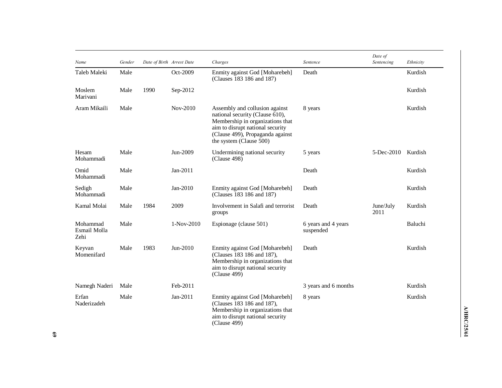| Name                             | Gender | Date of Birth Arrest Date |            | Charges                                                                                                                                                                                                  | Sentence                         | Date of<br>Sentencing | Ethnicity |
|----------------------------------|--------|---------------------------|------------|----------------------------------------------------------------------------------------------------------------------------------------------------------------------------------------------------------|----------------------------------|-----------------------|-----------|
| Taleb Maleki                     | Male   |                           | Oct-2009   | Enmity against God [Moharebeh]<br>(Clauses 183 186 and 187)                                                                                                                                              | Death                            |                       | Kurdish   |
| Moslem<br>Marivani               | Male   | 1990                      | Sep-2012   |                                                                                                                                                                                                          |                                  |                       | Kurdish   |
| Aram Mikaili                     | Male   |                           | Nov-2010   | Assembly and collusion against<br>national security (Clause 610),<br>Membership in organizations that<br>aim to disrupt national security<br>(Clause 499), Propaganda against<br>the system (Clause 500) | 8 years                          |                       | Kurdish   |
| Hesam<br>Mohammadi               | Male   |                           | Jun-2009   | Undermining national security<br>(Clause 498)                                                                                                                                                            | 5 years                          | 5-Dec-2010            | Kurdish   |
| Omid<br>Mohammadi                | Male   |                           | Jan-2011   |                                                                                                                                                                                                          | Death                            |                       | Kurdish   |
| Sedigh<br>Mohammadi              | Male   |                           | $Jan-2010$ | Enmity against God [Moharebeh]<br>(Clauses 183 186 and 187)                                                                                                                                              | Death                            |                       | Kurdish   |
| Kamal Molai                      | Male   | 1984                      | 2009       | Involvement in Salafi and terrorist<br>groups                                                                                                                                                            | Death                            | June/July<br>2011     | Kurdish   |
| Mohammad<br>Esmail Molla<br>Zehi | Male   |                           | 1-Nov-2010 | Espionage (clause 501)                                                                                                                                                                                   | 6 years and 4 years<br>suspended |                       | Baluchi   |
| Keyvan<br>Momenifard             | Male   | 1983                      | Jun-2010   | Enmity against God [Moharebeh]<br>(Clauses 183 186 and 187),<br>Membership in organizations that<br>aim to disrupt national security<br>(Clause 499)                                                     | Death                            |                       | Kurdish   |
| Namegh Naderi                    | Male   |                           | Feb-2011   |                                                                                                                                                                                                          | 3 years and 6 months             |                       | Kurdish   |
| Erfan<br>Naderizadeh             | Male   |                           | Jan-2011   | Enmity against God [Moharebeh]<br>(Clauses 183 186 and 187),<br>Membership in organizations that<br>aim to disrupt national security<br>(Clause 499)                                                     | 8 years                          |                       | Kurdish   |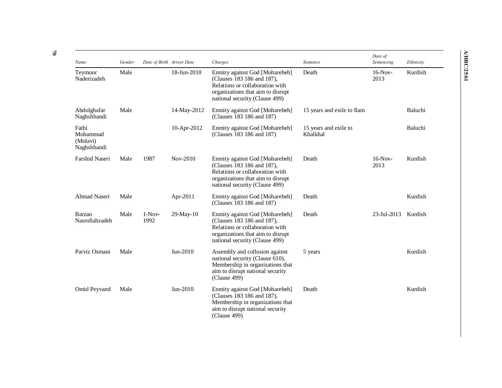| Name                                         | Gender |                  | Date of Birth Arrest Date | Charges                                                                                                                                                                | Sentence                          | Date of<br>Sentencing | Ethnicity |
|----------------------------------------------|--------|------------------|---------------------------|------------------------------------------------------------------------------------------------------------------------------------------------------------------------|-----------------------------------|-----------------------|-----------|
| Teymoor<br>Naderizadeh                       | Male   |                  | 18-Jun-2010               | Enmity against God [Moharebeh]<br>(Clauses 183 186 and 187),<br>Relations or collaboration with<br>organizations that aim to disrupt<br>national security (Clause 499) | Death                             | $16-Nov-$<br>2013     | Kurdish   |
| Abdolghafar<br>Naghshbandi                   | Male   |                  | 14-May-2012               | Enmity against God [Moharebeh]<br>(Clauses 183 186 and 187)                                                                                                            | 15 years and exile to Ilam        |                       | Baluchi   |
| Fathi<br>Mohammad<br>(Molavi)<br>Naghshbandi |        |                  | 10-Apr-2012               | Enmity against God [Moharebeh]<br>(Clauses 183 186 and 187)                                                                                                            | 15 years and exile to<br>Khalkhal |                       | Baluchi   |
| Farshid Naseri                               | Male   | 1987             | Nov-2010                  | Enmity against God [Moharebeh]<br>(Clauses 183 186 and 187),<br>Relations or collaboration with<br>organizations that aim to disrupt<br>national security (Clause 499) | Death                             | $16-Nov-$<br>2013     | Kurdish   |
| <b>Ahmad Naseri</b>                          | Male   |                  | Apr-2011                  | Enmity against God [Moharebeh]<br>(Clauses 183 186 and 187)                                                                                                            | Death                             |                       | Kurdish   |
| Barzan<br>Nasrollahzadeh                     | Male   | $1-Nov-$<br>1992 | 29-May-10                 | Enmity against God [Moharebeh]<br>(Clauses 183 186 and 187),<br>Relations or collaboration with<br>organizations that aim to disrupt<br>national security (Clause 499) | Death                             | 23-Jul-2013           | Kurdish   |
| Parviz Osmani                                | Male   |                  | Jun-2010                  | Assembly and collusion against<br>national security (Clause 610),<br>Membership in organizations that<br>aim to disrupt national security<br>(Clause 499)              | 5 years                           |                       | Kurdish   |
| Omid Peyvand                                 | Male   |                  | Jun-2010                  | Enmity against God [Moharebeh]<br>(Clauses 183 186 and 187),<br>Membership in organizations that<br>aim to disrupt national security<br>(Clause 499)                   | Death                             |                       | Kurdish   |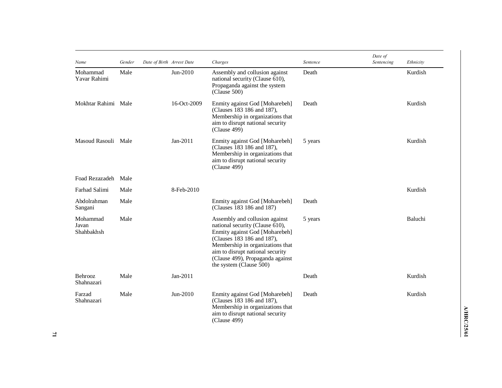| Name                            | Gender | Date of Birth Arrest Date |             | Charges                                                                                                                                                                                                                                                                  | Sentence | Date of<br>Sentencing | Ethnicity |
|---------------------------------|--------|---------------------------|-------------|--------------------------------------------------------------------------------------------------------------------------------------------------------------------------------------------------------------------------------------------------------------------------|----------|-----------------------|-----------|
| Mohammad<br>Yavar Rahimi        | Male   |                           | Jun-2010    | Assembly and collusion against<br>national security (Clause 610),<br>Propaganda against the system<br>(Clause 500)                                                                                                                                                       | Death    |                       | Kurdish   |
| Mokhtar Rahimi Male             |        |                           | 16-Oct-2009 | Enmity against God [Moharebeh]<br>(Clauses 183 186 and 187),<br>Membership in organizations that<br>aim to disrupt national security<br>(Clause 499)                                                                                                                     | Death    |                       | Kurdish   |
| Masoud Rasouli Male             |        |                           | Jan-2011    | Enmity against God [Moharebeh]<br>(Clauses 183 186 and 187),<br>Membership in organizations that<br>aim to disrupt national security<br>(Clause 499)                                                                                                                     | 5 years  |                       | Kurdish   |
| Foad Rezazadeh Male             |        |                           |             |                                                                                                                                                                                                                                                                          |          |                       |           |
| Farhad Salimi                   | Male   |                           | 8-Feb-2010  |                                                                                                                                                                                                                                                                          |          |                       | Kurdish   |
| Abdolrahman<br>Sangani          | Male   |                           |             | Enmity against God [Moharebeh]<br>(Clauses 183 186 and 187)                                                                                                                                                                                                              | Death    |                       |           |
| Mohammad<br>Javan<br>Shahbakhsh | Male   |                           |             | Assembly and collusion against<br>national security (Clause 610),<br>Enmity against God [Moharebeh]<br>(Clauses 183 186 and 187),<br>Membership in organizations that<br>aim to disrupt national security<br>(Clause 499), Propaganda against<br>the system (Clause 500) | 5 years  |                       | Baluchi   |
| Behrooz<br>Shahnazari           | Male   |                           | Jan-2011    |                                                                                                                                                                                                                                                                          | Death    |                       | Kurdish   |
| Farzad<br>Shahnazari            | Male   |                           | Jun-2010    | Enmity against God [Moharebeh]<br>(Clauses 183 186 and 187),<br>Membership in organizations that<br>aim to disrupt national security<br>(Clause 499)                                                                                                                     | Death    |                       | Kurdish   |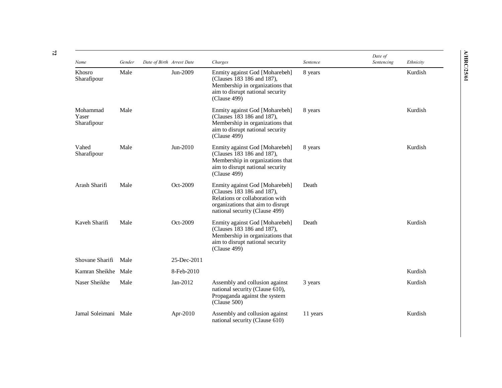| Name                             | Gender | Date of Birth Arrest Date |             | Charges                                                                                                                                                                | Sentence | Date of<br>Sentencing | Ethnicity |
|----------------------------------|--------|---------------------------|-------------|------------------------------------------------------------------------------------------------------------------------------------------------------------------------|----------|-----------------------|-----------|
| Khosro<br>Sharafipour            | Male   |                           | Jun-2009    | Enmity against God [Moharebeh]<br>(Clauses 183 186 and 187),<br>Membership in organizations that<br>aim to disrupt national security<br>(Clause 499)                   | 8 years  |                       | Kurdish   |
| Mohammad<br>Yaser<br>Sharafipour | Male   |                           |             | Enmity against God [Moharebeh]<br>(Clauses 183 186 and 187),<br>Membership in organizations that<br>aim to disrupt national security<br>(Clause 499)                   | 8 years  |                       | Kurdish   |
| Vahed<br>Sharafipour             | Male   |                           | Jun-2010    | Enmity against God [Moharebeh]<br>(Clauses 183 186 and 187),<br>Membership in organizations that<br>aim to disrupt national security<br>(Clause 499)                   | 8 years  |                       | Kurdish   |
| Arash Sharifi                    | Male   |                           | Oct-2009    | Enmity against God [Moharebeh]<br>(Clauses 183 186 and 187),<br>Relations or collaboration with<br>organizations that aim to disrupt<br>national security (Clause 499) | Death    |                       |           |
| Kaveh Sharifi                    | Male   |                           | Oct-2009    | Enmity against God [Moharebeh]<br>(Clauses 183 186 and 187),<br>Membership in organizations that<br>aim to disrupt national security<br>(Clause 499)                   | Death    |                       | Kurdish   |
| Shovane Sharifi                  | Male   |                           | 25-Dec-2011 |                                                                                                                                                                        |          |                       |           |
| Kamran Sheikhe Male              |        |                           | 8-Feb-2010  |                                                                                                                                                                        |          |                       | Kurdish   |
| Naser Sheikhe                    | Male   |                           | Jan-2012    | Assembly and collusion against<br>national security (Clause 610),<br>Propaganda against the system<br>(Clause 500)                                                     | 3 years  |                       | Kurdish   |
| Jamal Soleimani Male             |        |                           | Apr-2010    | Assembly and collusion against<br>national security (Clause 610)                                                                                                       | 11 years |                       | Kurdish   |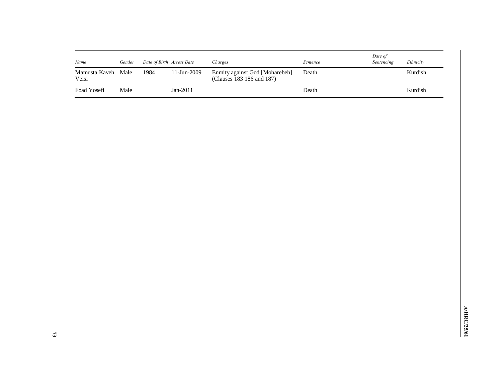| Name                   | Gender | Date of Birth Arrest Date |             | Charges                                                     | Sentence | Date of<br>Sentencing | Ethnicity |
|------------------------|--------|---------------------------|-------------|-------------------------------------------------------------|----------|-----------------------|-----------|
| Mamusta Kaveh<br>Veisi | Male   | 1984                      | 11-Jun-2009 | Enmity against God [Moharebeh]<br>(Clauses 183 186 and 187) | Death    |                       | Kurdish   |
| Foad Yosefi            | Male   |                           | $Jan-2011$  |                                                             | Death    |                       | Kurdish   |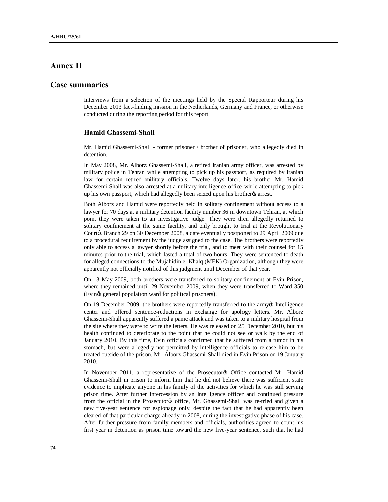# **Annex II**

# **Case summaries**

Interviews from a selection of the meetings held by the Special Rapporteur during his December 2013 fact-finding mission in the Netherlands, Germany and France, or otherwise conducted during the reporting period for this report.

## **Hamid Ghassemi-Shall**

Mr. Hamid Ghassemi-Shall - former prisoner / brother of prisoner, who allegedly died in detention.

In May 2008, Mr. Alborz Ghassemi-Shall, a retired Iranian army officer, was arrested by military police in Tehran while attempting to pick up his passport, as required by Iranian law for certain retired military officials. Twelve days later, his brother Mr. Hamid Ghassemi-Shall was also arrested at a military intelligence office while attempting to pick up his own passport, which had allegedly been seized upon his brother's arrest.

Both Alborz and Hamid were reportedly held in solitary confinement without access to a lawyer for 70 days at a military detention facility number 36 in downtown Tehran, at which point they were taken to an investigative judge. They were then allegedly returned to solitary confinement at the same facility, and only brought to trial at the Revolutionary Courtøs Branch 29 on 30 December 2008, a date eventually postponed to 29 April 2009 due to a procedural requirement by the judge assigned to the case. The brothers were reportedly only able to access a lawyer shortly before the trial, and to meet with their counsel for 15 minutes prior to the trial, which lasted a total of two hours. They were sentenced to death for alleged connections to the Mujahidin e- Khalq (MEK) Organization, although they were apparently not officially notified of this judgment until December of that year.

On 13 May 2009, both brothers were transferred to solitary confinement at Evin Prison, where they remained until 29 November 2009, when they were transferred to Ward 350 (Evings general population ward for political prisoners).

On 19 December 2009, the brothers were reportedly transferred to the army's Intelligence center and offered sentence-reductions in exchange for apology letters. Mr. Alborz Ghassemi-Shall apparently suffered a panic attack and was taken to a military hospital from the site where they were to write the letters. He was released on 25 December 2010, but his health continued to deteriorate to the point that he could not see or walk by the end of January 2010. By this time, Evin officials confirmed that he suffered from a tumor in his stomach, but were allegedly not permitted by intelligence officials to release him to be treated outside of the prison. Mr. Alborz Ghassemi-Shall died in Evin Prison on 19 January 2010.

In November 2011, a representative of the Prosecutorys Office contacted Mr. Hamid Ghassemi-Shall in prison to inform him that he did not believe there was sufficient state evidence to implicate anyone in his family of the activities for which he was still serving prison time. After further intercession by an Intelligence officer and continued pressure from the official in the Prosecutorys office, Mr. Ghassemi-Shall was re-tried and given a new five-year sentence for espionage only, despite the fact that he had apparently been cleared of that particular charge already in 2008, during the investigative phase of his case. After further pressure from family members and officials, authorities agreed to count his first year in detention as prison time toward the new five-year sentence, such that he had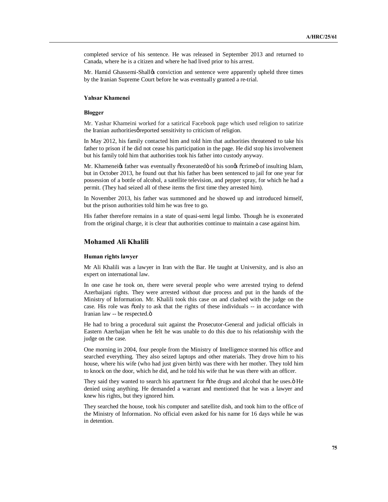completed service of his sentence. He was released in September 2013 and returned to Canada, where he is a citizen and where he had lived prior to his arrest.

Mr. Hamid Ghassemi-Shalløs conviction and sentence were apparently upheld three times by the Iranian Supreme Court before he was eventually granted a re-trial.

## **Yahsar Khamenei**

### **Blogger**

Mr. Yashar Khameini worked for a satirical Facebook page which used religion to satirize the Iranian authorities greported sensitivity to criticism of religion.

In May 2012, his family contacted him and told him that authorities threatened to take his father to prison if he did not cease his participation in the page. He did stop his involvement but his family told him that authorities took his father into custody anyway.

Mr. Khameneiøs father was eventually õexoneratedö of his sonøs õcrimeö of insulting Islam, but in October 2013, he found out that his father has been sentenced to jail for one year for possession of a bottle of alcohol, a satellite television, and pepper spray, for which he had a permit. (They had seized all of these items the first time they arrested him).

In November 2013, his father was summoned and he showed up and introduced himself, but the prison authorities told him he was free to go.

His father therefore remains in a state of quasi-semi legal limbo. Though he is exonerated from the original charge, it is clear that authorities continue to maintain a case against him.

### **Mohamed Ali Khalili**

#### **Human rights lawyer**

Mr Ali Khalili was a lawyer in Iran with the Bar. He taught at University, and is also an expert on international law.

In one case he took on, there were several people who were arrested trying to defend Azerbaijani rights. They were arrested without due process and put in the hands of the Ministry of Information. Mr. Khalili took this case on and clashed with the judge on the case. His role was oonly to ask that the rights of these individuals -- in accordance with Iranian law -- be respected.ö

He had to bring a procedural suit against the Prosecutor-General and judicial officials in Eastern Azerbaijan when he felt he was unable to do this due to his relationship with the judge on the case.

One morning in 2004, four people from the Ministry of Intelligence stormed his office and searched everything. They also seized laptops and other materials. They drove him to his house, where his wife (who had just given birth) was there with her mother. They told him to knock on the door, which he did, and he told his wife that he was there with an officer.

They said they wanted to search his apartment for  $\tilde{o}$  the drugs and alcohol that he uses. $\ddot{o}$  He denied using anything. He demanded a warrant and mentioned that he was a lawyer and knew his rights, but they ignored him.

They searched the house, took his computer and satellite dish, and took him to the office of the Ministry of Information. No official even asked for his name for 16 days while he was in detention.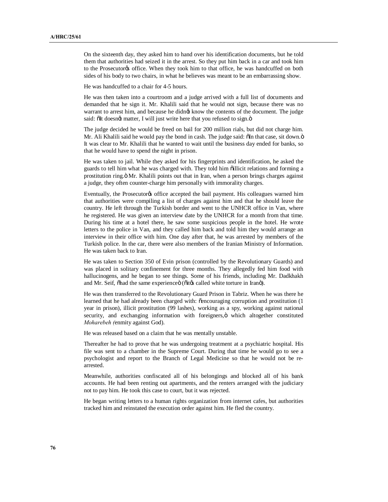On the sixteenth day, they asked him to hand over his identification documents, but he told them that authorities had seized it in the arrest. So they put him back in a car and took him to the Prosecutor<sub>of</sub> office. When they took him to that office, he was handcuffed on both sides of his body to two chairs, in what he believes was meant to be an embarrassing show.

He was handcuffed to a chair for 4-5 hours.

He was then taken into a courtroom and a judge arrived with a full list of documents and demanded that he sign it. Mr. Khalili said that he would not sign, because there was no warrant to arrest him, and because he didnøt know the contents of the document. The judge said: õlt doesngt matter, I will just write here that you refused to sign.ö

The judge decided he would be freed on bail for 200 million rials, but did not charge him. Mr. Ali Khalili said he would pay the bond in cash. The judge said:  $\delta$ In that case, sit down. $\ddot{o}$ It was clear to Mr. Khalili that he wanted to wait until the business day ended for banks, so that he would have to spend the night in prison.

He was taken to jail. While they asked for his fingerprints and identification, he asked the guards to tell him what he was charged with. They told him oillicit relations and forming a prostitution ring. "Nr. Khalili points out that in Iran, when a person brings charges against a judge, they often counter-charge him personally with immorality charges.

Eventually, the Prosecutor is office accepted the bail payment. His colleagues warned him that authorities were compiling a list of charges against him and that he should leave the country. He left through the Turkish border and went to the UNHCR office in Van, where he registered. He was given an interview date by the UNHCR for a month from that time. During his time at a hotel there, he saw some suspicious people in the hotel. He wrote letters to the police in Van, and they called him back and told him they would arrange an interview in their office with him. One day after that, he was arrested by members of the Turkish police. In the car, there were also members of the Iranian Ministry of Information. He was taken back to Iran.

He was taken to Section 350 of Evin prison (controlled by the Revolutionary Guards) and was placed in solitary confinement for three months. They allegedly fed him food with hallucinogens, and he began to see things. Some of his friends, including Mr. Dadkhakh and Mr. Seif, õhad the same experienceö (õitøs called white torture in Iranö).

He was then transferred to the Revolutionary Guard Prison in Tabriz. When he was there he learned that he had already been charged with:  $\tilde{\text{c}}$ encouraging corruption and prostitution (1) year in prison), illicit prostitution (99 lashes), working as a spy, working against national security, and exchanging information with foreigners, ö which altogether constituted *Moharebeh (*enmity against God).

He was released based on a claim that he was mentally unstable.

Thereafter he had to prove that he was undergoing treatment at a psychiatric hospital. His file was sent to a chamber in the Supreme Court. During that time he would go to see a psychologist and report to the Branch of Legal Medicine so that he would not be rearrested.

Meanwhile, authorities confiscated all of his belongings and blocked all of his bank accounts. He had been renting out apartments, and the renters arranged with the judiciary not to pay him. He took this case to court, but it was rejected.

He began writing letters to a human rights organization from internet cafes, but authorities tracked him and reinstated the execution order against him. He fled the country.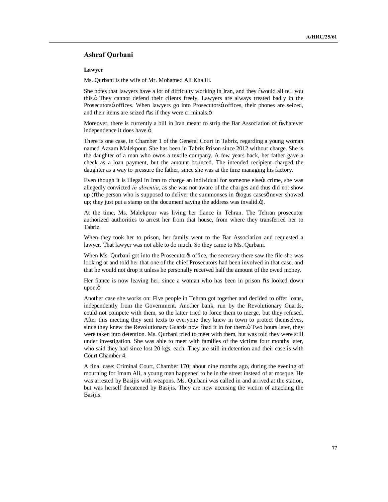### **Ashraf Qurbani**

#### **Lawyer**

Ms. Qurbani is the wife of Mr. Mohamed Ali Khalili.

She notes that lawyers have a lot of difficulty working in Iran, and they  $\tilde{\text{ow}}$  all tell you this." They cannot defend their clients freely. Lawyers are always treated badly in the Prosecutorsø offices. When lawyers go into Prosecutorsø offices, their phones are seized, and their items are seized õas if they were criminals. $\ddot{o}$ 

Moreover, there is currently a bill in Iran meant to strip the Bar Association of  $\ddot{\text{o}}$  whatever independence it does have.ö

There is one case, in Chamber 1 of the General Court in Tabriz, regarding a young woman named Azzam Malekpour. She has been in Tabriz Prison since 2012 without charge. She is the daughter of a man who owns a textile company. A few years back, her father gave a check as a loan payment, but the amount bounced. The intended recipient charged the daughter as a way to pressure the father, since she was at the time managing his factory.

Even though it is illegal in Iran to charge an individual for someone elsegs crime, she was allegedly convicted *in absentia*, as she was not aware of the charges and thus did not show up (othe person who is supposed to deliver the summonses in  $\pm$ bogus cases $\varphi$  never showed up; they just put a stamp on the document saying the address was invalid. $\ddot{o}$ ).

At the time, Ms. Malekpour was living her fiance in Tehran. The Tehran prosecutor authorized authorities to arrest her from that house, from where they transferred her to Tabriz.

When they took her to prison, her family went to the Bar Association and requested a lawyer. That lawyer was not able to do much. So they came to Ms. Qurbani.

When Ms. Qurbani got into the Prosecutor<sub>®</sub> office, the secretary there saw the file she was looking at and told her that one of the chief Prosecutors had been involved in that case, and that he would not drop it unless he personally received half the amount of the owed money.

Her fiance is now leaving her, since a woman who has been in prison  $\ddot{o}$  is looked down upon.ö

Another case she works on: Five people in Tehran got together and decided to offer loans, independently from the Government. Another bank, run by the Revolutionary Guards, could not compete with them, so the latter tried to force them to merge, but they refused. After this meeting they sent texts to everyone they knew in town to protect themselves, since they knew the Revolutionary Guards now ohad it in for them. Two hours later, they were taken into detention. Ms. Qurbani tried to meet with them, but was told they were still under investigation. She was able to meet with families of the victims four months later, who said they had since lost 20 kgs. each. They are still in detention and their case is with Court Chamber 4.

A final case: Criminal Court, Chamber 170; about nine months ago, during the evening of mourning for Imam Ali, a young man happened to be in the street instead of at mosque. He was arrested by Basijis with weapons. Ms. Qurbani was called in and arrived at the station, but was herself threatened by Basijis. They are now accusing the victim of attacking the Basijis.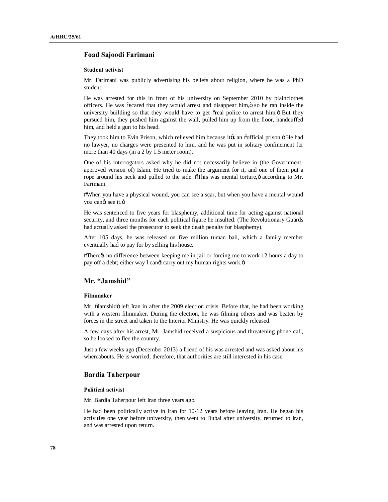## **Foad Sajoodi Farimani**

#### **Student activist**

Mr. Farimani was publicly advertising his beliefs about religion, where he was a PhD student.

He was arrested for this in front of his university on September 2010 by plainclothes officers. He was  $\tilde{\text{oscard}}$  that they would arrest and disappear him, $\ddot{\text{o}}$  so he ran inside the university building so that they would have to get oreal police to arrest him. O But they pursued him, they pushed him against the wall, pulled him up from the floor, handcuffed him, and held a gun to his head.

They took him to Evin Prison, which relieved him because it ts an osofficial prison.  $\ddot{o}$  He had no lawyer, no charges were presented to him, and he was put in solitary confinement for more than 40 days (in a 2 by 1.5 meter room).

One of his interrogators asked why he did not necessarily believe in (the Governmentapproved version of) Islam. He tried to make the argument for it, and one of them put a rope around his neck and pulled to the side. This was mental torture, ö according to Mr. Farimani.

"When you have a physical wound, you can see a scar, but when you have a mental wound you cangt see it.ö

He was sentenced to five years for blasphemy, additional time for acting against national security, and three months for each political figure he insulted. (The Revolutionary Guards had actually asked the prosecutor to seek the death penalty for blasphemy).

After 105 days, he was released on five million tuman bail, which a family member eventually had to pay for by selling his house.

 $\delta$ There $\alpha$  no difference between keeping me in jail or forcing me to work 12 hours a day to pay off a debt; either way I canged carry out my human rights work. $\ddot{o}$ 

## **Mr. "Jamshid"**

#### **Filmmaker**

Mr. õJamshidö left Iran in after the 2009 election crisis. Before that, he had been working with a western filmmaker. During the election, he was filming others and was beaten by forces in the street and taken to the Interior Ministry. He was quickly released.

A few days after his arrest, Mr. Jamshid received a suspicious and threatening phone call, so he looked to flee the country.

Just a few weeks ago (December 2013) a friend of his was arrested and was asked about his whereabouts. He is worried, therefore, that authorities are still interested in his case.

### **Bardia Taherpour**

#### **Political activist**

Mr. Bardia Taherpour left Iran three years ago.

He had been politically active in Iran for 10-12 years before leaving Iran. He began his activities one year before university, then went to Dubai after university, returned to Iran, and was arrested upon return.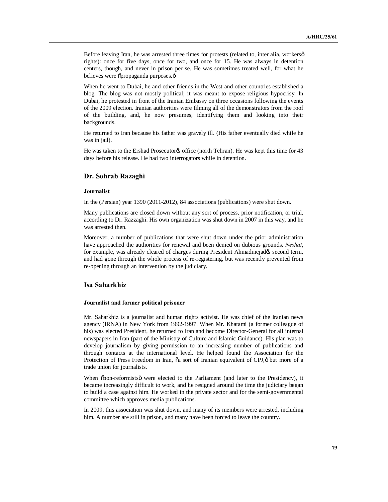Before leaving Iran, he was arrested three times for protests (related to, inter alia, workers $\varphi$ rights): once for five days, once for two, and once for 15. He was always in detention centers, though, and never in prison per se. He was sometimes treated well, for what he believes were õpropaganda purposes.ö

When he went to Dubai, he and other friends in the West and other countries established a blog. The blog was not mostly political; it was meant to expose religious hypocrisy. In Dubai, he protested in front of the Iranian Embassy on three occasions following the events of the 2009 election. Iranian authorities were filming all of the demonstrators from the roof of the building, and, he now presumes, identifying them and looking into their backgrounds.

He returned to Iran because his father was gravely ill. (His father eventually died while he was in jail).

He was taken to the Ershad Prosecutor of office (north Tehran). He was kept this time for 43 days before his release. He had two interrogators while in detention.

### **Dr. Sohrab Razaghi**

### **Journalist**

In the (Persian) year 1390 (2011-2012), 84 associations (publications) were shut down.

Many publications are closed down without any sort of process, prior notification, or trial, according to Dr. Razzaghi. His own organization was shut down in 2007 in this way, and he was arrested then.

Moreover, a number of publications that were shut down under the prior administration have approached the authorities for renewal and been denied on dubious grounds. *Neshat*, for example, was already cleared of charges during President Ahmadinejados second term, and had gone through the whole process of re-registering, but was recently prevented from re-opening through an intervention by the judiciary.

## **Isa Saharkhiz**

#### **Journalist and former political prisoner**

Mr. Saharkhiz is a journalist and human rights activist. He was chief of the Iranian news agency (IRNA) in New York from 1992-1997. When Mr. Khatami (a former colleague of his) was elected President, he returned to Iran and become Director-General for all internal newspapers in Iran (part of the Ministry of Culture and Islamic Guidance). His plan was to develop journalism by giving permission to an increasing number of publications and through contacts at the international level. He helped found the Association for the Protection of Press Freedom in Iran,  $\tilde{o}a$  sort of Iranian equivalent of CPJ, $\ddot{o}$  but more of a trade union for journalists.

When onon-reformists were elected to the Parliament (and later to the Presidency), it became increasingly difficult to work, and he resigned around the time the judiciary began to build a case against him. He worked in the private sector and for the semi-governmental committee which approves media publications.

In 2009, this association was shut down, and many of its members were arrested, including him. A number are still in prison, and many have been forced to leave the country.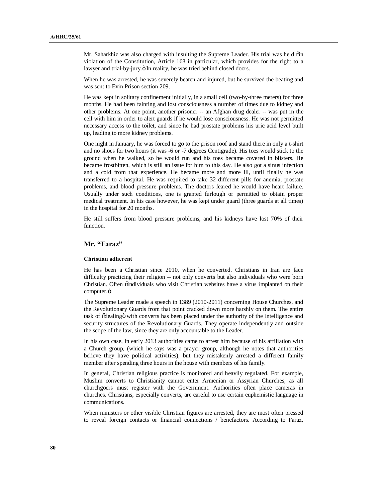Mr. Saharkhiz was also charged with insulting the Supreme Leader. His trial was held õin violation of the Constitution, Article 168 in particular, which provides for the right to a lawyer and trial-by-jury.  $\ddot{o}$  In reality, he was tried behind closed doors.

When he was arrested, he was severely beaten and injured, but he survived the beating and was sent to Evin Prison section 209.

He was kept in solitary confinement initially, in a small cell (two-by-three meters) for three months. He had been fainting and lost consciousness a number of times due to kidney and other problems. At one point, another prisoner -- an Afghan drug dealer -- was put in the cell with him in order to alert guards if he would lose consciousness. He was not permitted necessary access to the toilet, and since he had prostate problems his uric acid level built up, leading to more kidney problems.

One night in January, he was forced to go to the prison roof and stand there in only a t-shirt and no shoes for two hours (it was -6 or -7 degrees Centigrade). His toes would stick to the ground when he walked, so he would run and his toes became covered in blisters. He became frostbitten, which is still an issue for him to this day. He also got a sinus infection and a cold from that experience. He became more and more ill, until finally he was transferred to a hospital. He was required to take 32 different pills for anemia, prostate problems, and blood pressure problems. The doctors feared he would have heart failure. Usually under such conditions, one is granted furlough or permitted to obtain proper medical treatment. In his case however, he was kept under guard (three guards at all times) in the hospital for 20 months.

He still suffers from blood pressure problems, and his kidneys have lost 70% of their function.

# **Mr. "Faraz"**

#### **Christian adherent**

He has been a Christian since 2010, when he converted. Christians in Iran are face difficulty practicing their religion -- not only converts but also individuals who were born Christian. Often  $\ddot{\text{o}}$  individuals who visit Christian websites have a virus implanted on their computer.ö

The Supreme Leader made a speech in 1389 (2010-2011) concerning House Churches, and the Revolutionary Guards from that point cracked down more harshly on them. The entire task of õdealingö with converts has been placed under the authority of the Intelligence and security structures of the Revolutionary Guards. They operate independently and outside the scope of the law, since they are only accountable to the Leader.

In his own case, in early 2013 authorities came to arrest him because of his affiliation with a Church group, (which he says was a prayer group, although he notes that authorities believe they have political activities), but they mistakenly arrested a different family member after spending three hours in the house with members of his family.

In general, Christian religious practice is monitored and heavily regulated. For example, Muslim converts to Christianity cannot enter Armenian or Assyrian Churches, as all churchgoers must register with the Government. Authorities often place cameras in churches. Christians, especially converts, are careful to use certain euphemistic language in communications.

When ministers or other visible Christian figures are arrested, they are most often pressed to reveal foreign contacts or financial connections / benefactors. According to Faraz,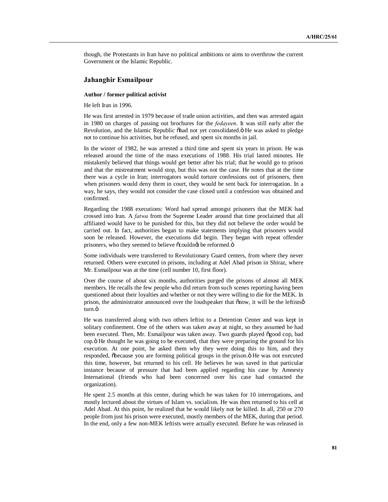though, the Protestants in Iran have no political ambitions or aims to overthrow the current Government or the Islamic Republic.

## **Jahanghir Esmailpour**

#### **Author / former political activist**

He left Iran in 1996.

He was first arrested in 1979 because of trade union activities, and then was arrested again in 1980 on charges of passing out brochures for the *fedayeen*. It was still early after the Revolution, and the Islamic Republic õhad not yet consolidated. Ö He was asked to pledge not to continue his activities, but he refused, and spent six months in jail.

In the winter of 1982, he was arrested a third time and spent six years in prison. He was released around the time of the mass executions of 1988. His trial lasted minutes. He mistakenly believed that things would get better after his trial; that he would go to prison and that the mistreatment would stop, but this was not the case. He notes that at the time there was a cycle in Iran; interrogators would torture confessions out of prisoners, then when prisoners would deny them in court, they would be sent back for interrogation. In a way, he says, they would not consider the case closed until a confession was obtained and confirmed.

Regarding the 1988 executions: Word had spread amongst prisoners that the MEK had crossed into Iran. A *fatwa* from the Supreme Leader around that time proclaimed that all affiliated would have to be punished for this, but they did not believe the order would be carried out. In fact, authorities began to make statements implying that prisoners would soon be released. However, the executions did begin. They began with repeat offender prisoners, who they seemed to believe  $\tilde{\text{o}}$ couldn $\alpha$  be reformed. $\ddot{\text{o}}$ 

Some individuals were transferred to Revolutionary Guard centers, from where they never returned. Others were executed in prisons, including at Adel Abad prison in Shiraz, where Mr. Esmailpour was at the time (cell number 10, first floor).

Over the course of about six months, authorities purged the prisons of almost all MEK members. He recalls the few people who did return from such scenes reporting having been questioned about their loyalties and whether or not they were willing to die for the MEK. In prison, the administrator announced over the loudspeaker that  $\tilde{o}$ now, it will be the leftistsø turn ö

He was transferred along with two others leftist to a Detention Center and was kept in solitary confinement. One of the others was taken away at night, so they assumed he had been executed. Then, Mr. Esmailpour was taken away. Two guards played õgood cop, bad cop." He thought he was going to be executed, that they were preparing the ground for his execution. At one point, he asked them why they were doing this to him, and they responded, õbecause you are forming political groups in the prison. Ö He was not executed this time, however, but returned to his cell. He believes he was saved in that particular instance because of pressure that had been applied regarding his case by Amnesty International (friends who had been concerned over his case had contacted the organization).

He spent 2.5 months at this center, during which he was taken for 10 interrogations, and mostly lectured about the virtues of Islam vs. socialism. He was then returned to his cell at Adel Abad. At this point, he realized that he would likely not be killed. In all, 250 or 270 people from just his prison were executed, mostly members of the MEK, during that period. In the end, only a few non-MEK leftists were actually executed. Before he was released in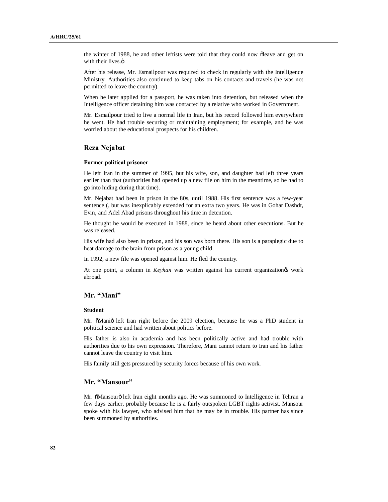the winter of 1988, he and other leftists were told that they could now õleave and get on with their lives.<sup>"</sup>

After his release, Mr. Esmailpour was required to check in regularly with the Intelligence Ministry. Authorities also continued to keep tabs on his contacts and travels (he was not permitted to leave the country).

When he later applied for a passport, he was taken into detention, but released when the Intelligence officer detaining him was contacted by a relative who worked in Government.

Mr. Esmailpour tried to live a normal life in Iran, but his record followed him everywhere he went. He had trouble securing or maintaining employment; for example, and he was worried about the educational prospects for his children.

### **Reza Nejabat**

#### **Former political prisoner**

He left Iran in the summer of 1995, but his wife, son, and daughter had left three years earlier than that (authorities had opened up a new file on him in the meantime, so he had to go into hiding during that time).

Mr. Nejabat had been in prison in the 80s, until 1988. His first sentence was a few-year sentence (, but was inexplicably extended for an extra two years. He was in Gohar Dashdt, Evin, and Adel Abad prisons throughout his time in detention.

He thought he would be executed in 1988, since he heard about other executions. But he was released.

His wife had also been in prison, and his son was born there. His son is a paraplegic due to heat damage to the brain from prison as a young child.

In 1992, a new file was opened against him. He fled the country.

At one point, a column in *Keyhan* was written against his current organization work abroad.

### **Mr. "Mani"**

#### **Student**

Mr. õManiö left Iran right before the 2009 election, because he was a PhD student in political science and had written about politics before.

His father is also in academia and has been politically active and had trouble with authorities due to his own expression. Therefore, Mani cannot return to Iran and his father cannot leave the country to visit him.

His family still gets pressured by security forces because of his own work.

### **Mr. "Mansour"**

Mr. õMansourö left Iran eight months ago. He was summoned to Intelligence in Tehran a few days earlier, probably because he is a fairly outspoken LGBT rights activist. Mansour spoke with his lawyer, who advised him that he may be in trouble. His partner has since been summoned by authorities.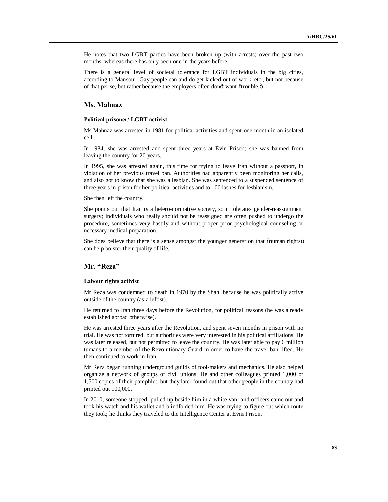He notes that two LGBT parties have been broken up (with arrests) over the past two months, whereas there has only been one in the years before.

There is a general level of societal tolerance for LGBT individuals in the big cities, according to Mansour. Gay people can and do get kicked out of work, etc., but not because of that per se, but rather because the employers often dongt want õtrouble.ö

# **Ms. Mahnaz**

#### **Political prisoner/ LGBT activist**

Ms Mahnaz was arrested in 1981 for political activities and spent one month in an isolated cell.

In 1984, she was arrested and spent three years at Evin Prison; she was banned from leaving the country for 20 years.

In 1995, she was arrested again, this time for trying to leave Iran without a passport, in violation of her previous travel ban. Authorities had apparently been monitoring her calls, and also got to know that she was a lesbian. She was sentenced to a suspended sentence of three years in prison for her political activities and to 100 lashes for lesbianism.

She then left the country.

She points out that Iran is a hetero-normative society, so it tolerates gender-reassignment surgery; individuals who really should not be reassigned are often pushed to undergo the procedure, sometimes very hastily and without proper prior psychological counseling or necessary medical preparation.

She does believe that there is a sense amongst the younger generation that  $\delta$ human rights $\ddot{o}$ can help bolster their quality of life.

# **Mr. "Reza"**

#### **Labour rights activist**

Mr Reza was condemned to death in 1970 by the Shah, because he was politically active outside of the country (as a leftist).

He returned to Iran three days before the Revolution, for political reasons (he was already established abroad otherwise).

He was arrested three years after the Revolution, and spent seven months in prison with no trial. He was not tortured, but authorities were very interested in his political affiliations. He was later released, but not permitted to leave the country. He was later able to pay 6 million tumans to a member of the Revolutionary Guard in order to have the travel ban lifted. He then continued to work in Iran.

Mr Reza began running underground guilds of tool-makers and mechanics. He also helped organize a network of groups of civil unions. He and other colleagues printed 1,000 or 1,500 copies of their pamphlet, but they later found out that other people in the country had printed out 100,000.

In 2010, someone stopped, pulled up beside him in a white van, and officers came out and took his watch and his wallet and blindfolded him. He was trying to figure out which route they took; he thinks they traveled to the Intelligence Center at Evin Prison.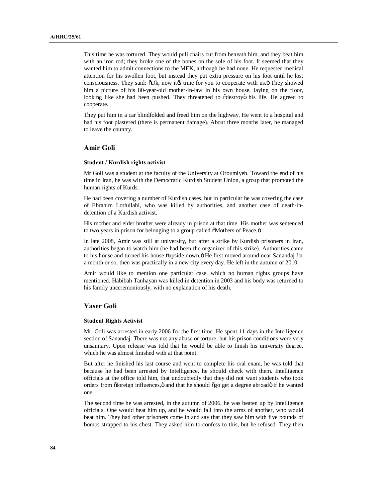This time he was tortured. They would pull chairs out from beneath him, and they beat him with an iron rod; they broke one of the bones on the sole of his foot. It seemed that they wanted him to admit connections to the MEK, although he had none. He requested medical attention for his swollen foot, but instead they put extra pressure on his foot until he lost consciousness. They said:  $\delta$ Ok, now ites time for you to cooperate with us.  $\ddot{o}$  They showed him a picture of his 80-year-old mother-in-law in his own house, laying on the floor, looking like she had been pushed. They threatened to  $\delta$ destroyo his life. He agreed to cooperate.

They put him in a car blindfolded and freed him on the highway. He went to a hospital and had his foot plastered (there is permanent damage). About three months later, he managed to leave the country.

## **Amir Goli**

#### **Student / Kurdish rights activist**

Mr Goli was a student at the faculty of the University at Oroumiyeh. Toward the end of his time in Iran, he was with the Democratic Kurdish Student Union, a group that promoted the human rights of Kurds.

He had been covering a number of Kurdish cases, but in particular he was covering the case of Ebrahim Lotfullahi, who was killed by authorities, and another case of death-indetention of a Kurdish activist.

His mother and elder brother were already in prison at that time. His mother was sentenced to two years in prison for belonging to a group called  $\delta$ Mothers of Peace. $\ddot{o}$ 

In late 2008, Amir was still at university, but after a strike by Kurdish prisoners in Iran, authorities began to watch him (he had been the organizer of this strike). Authorities came to his house and turned his house  $\ddot{\text{o}}$ upside-down. $\ddot{\text{o}}$  He first moved around near Sanandaj for a month or so, then was practically in a new city every day. He left in the autumn of 2010.

Amir would like to mention one particular case, which no human rights groups have mentioned. Habibah Tanhayan was killed in detention in 2003 and his body was returned to his family unceremoniously, with no explanation of his death.

## **Yaser Goli**

#### **Student Rights Activist**

Mr. Goli was arrested in early 2006 for the first time. He spent 11 days in the Intelligence section of Sanandaj. There was not any abuse or torture, but his prison conditions were very unsanitary. Upon release was told that he would be able to finish his university degree, which he was almost finished with at that point.

But after he finished his last course and went to complete his oral exam, he was told that because he had been arrested by Intelligence, he should check with them. Intelligence officials at the office told him, that undoubtedly that they did not want students who took orders from  $\tilde{\sigma}$ foreign influences, $\ddot{\sigma}$  and that he should  $\tilde{\sigma}$ go get a degree abroad $\ddot{\sigma}$  if he wanted one.

The second time he was arrested, in the autumn of 2006, he was beaten up by Intelligence officials. One would beat him up, and he would fall into the arms of another, who would beat him. They had other prisoners come in and say that they saw him with five pounds of bombs strapped to his chest. They asked him to confess to this, but he refused. They then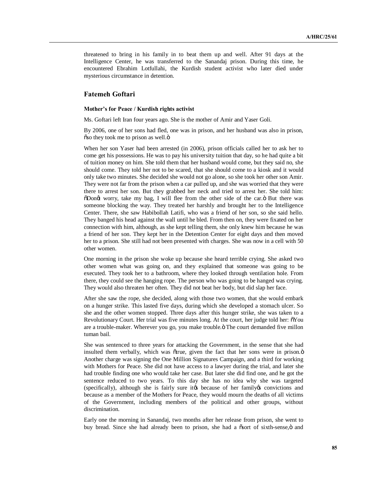threatened to bring in his family in to beat them up and well. After 91 days at the Intelligence Center, he was transferred to the Sanandaj prison. During this time, he encountered Ebrahim Lotfullahi, the Kurdish student activist who later died under mysterious circumstance in detention.

# **Fatemeh Goftari**

#### **Mother's for Peace / Kurdish rights activist**

Ms. Goftari left Iran four years ago. She is the mother of Amir and Yaser Goli.

By 2006, one of her sons had fled, one was in prison, and her husband was also in prison,  $\delta$  so they took me to prison as well. $\ddot{\text{o}}$ 

When her son Yaser had been arrested (in 2006), prison officials called her to ask her to come get his possessions. He was to pay his university tuition that day, so he had quite a bit of tuition money on him. She told them that her husband would come, but they said no, she should come. They told her not to be scared, that she should come to a kiosk and it would only take two minutes. She decided she would not go alone, so she took her other son Amir. They were not far from the prison when a car pulled up, and she was worried that they were there to arrest her son. But they grabbed her neck and tried to arrest her. She told him:  $\delta$ Dongt worry, take my bag, I will flee from the other side of the car. $\ddot{o}$  But there was someone blocking the way. They treated her harshly and brought her to the Intelligence Center. There, she saw Habibollah Latifi, who was a friend of her son, so she said hello. They banged his head against the wall until he bled. From then on, they were fixated on her connection with him, although, as she kept telling them, she only knew him because he was a friend of her son. They kept her in the Detention Center for eight days and then moved her to a prison. She still had not been presented with charges. She was now in a cell with 50 other women.

One morning in the prison she woke up because she heard terrible crying. She asked two other women what was going on, and they explained that someone was going to be executed. They took her to a bathroom, where they looked through ventilation hole. From there, they could see the hanging rope. The person who was going to be hanged was crying. They would also threaten her often. They did not beat her body, but did slap her face.

After she saw the rope, she decided, along with those two women, that she would embark on a hunger strike. This lasted five days, during which she developed a stomach ulcer. So she and the other women stopped. Three days after this hunger strike, she was taken to a Revolutionary Court. Her trial was five minutes long. At the court, her judge told her:  $\delta$ You are a trouble-maker. Wherever you go, you make trouble. The court demanded five millon tuman bail.

She was sentenced to three years for attacking the Government, in the sense that she had insulted them verbally, which was õtrue, given the fact that her sons were in prison.ö Another charge was signing the One Million Signatures Campaign, and a third for working with Mothers for Peace. She did not have access to a lawyer during the trial, and later she had trouble finding one who would take her case. But later she did find one, and he got the sentence reduced to two years. To this day she has no idea why she was targeted (specifically), although she is fairly sure its because of her family is convictions and because as a member of the Mothers for Peace, they would mourn the deaths of all victims of the Government, including members of the political and other groups, without discrimination.

Early one the morning in Sanandaj, two months after her release from prison, she went to buy bread. Since she had already been to prison, she had a osort of sixth-sense,  $\ddot{o}$  and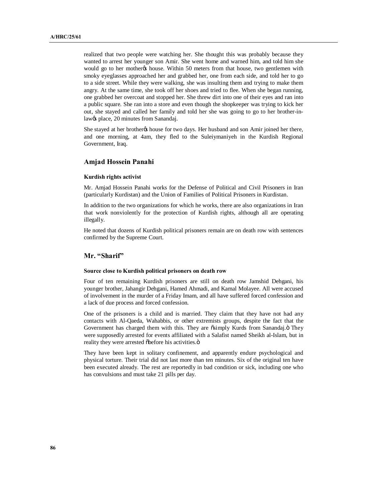realized that two people were watching her. She thought this was probably because they wanted to arrest her younger son Amir. She went home and warned him, and told him she would go to her mother thouse. Within 50 meters from that house, two gentlemen with smoky eyeglasses approached her and grabbed her, one from each side, and told her to go to a side street. While they were walking, she was insulting them and trying to make them angry. At the same time, she took off her shoes and tried to flee. When she began running, one grabbed her overcoat and stopped her. She threw dirt into one of their eyes and ran into a public square. She ran into a store and even though the shopkeeper was trying to kick her out, she stayed and called her family and told her she was going to go to her brother-inlaw $\alpha$ s place, 20 minutes from Sanandaj.

She stayed at her brotherøs house for two days. Her husband and son Amir joined her there, and one morning, at 4am, they fled to the Suleiymaniyeh in the Kurdish Regional Government, Iraq.

### **Amjad Hossein Panahi**

### **Kurdish rights activist**

Mr. Amjad Hossein Panahi works for the Defense of Political and Civil Prisoners in Iran (particularly Kurdistan) and the Union of Families of Political Prisoners in Kurdistan.

In addition to the two organizations for which he works, there are also organizations in Iran that work nonviolently for the protection of Kurdish rights, although all are operating illegally.

He noted that dozens of Kurdish political prisoners remain are on death row with sentences confirmed by the Supreme Court.

# **Mr. "Sharif"**

### **Source close to Kurdish political prisoners on death row**

Four of ten remaining Kurdish prisoners are still on death row Jamshid Dehgani, his younger brother, Jahangir Dehgani, Hamed Ahmadi, and Kamal Molayee. All were accused of involvement in the murder of a Friday Imam, and all have suffered forced confession and a lack of due process and forced confession.

One of the prisoners is a child and is married. They claim that they have not had any contacts with Al-Qaeda, Wahabbis, or other extremists groups, despite the fact that the Government has charged them with this. They are õsimply Kurds from Sanandaj.ö They were supposedly arrested for events affiliated with a Salafist named Sheikh al-Islam, but in reality they were arrested õbefore his activities.ö

They have been kept in solitary confinement, and apparently endure psychological and physical torture. Their trial did not last more than ten minutes. Six of the original ten have been executed already. The rest are reportedly in bad condition or sick, including one who has convulsions and must take 21 pills per day.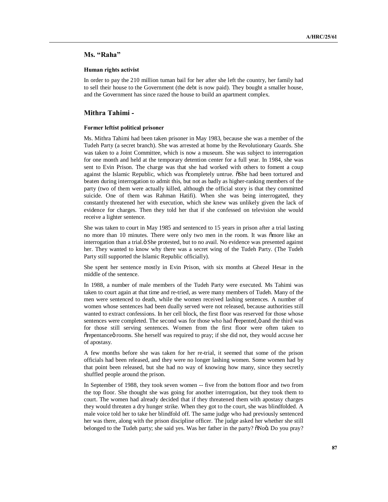# **Ms. "Raha"**

### **Human rights activist**

In order to pay the 210 million tuman bail for her after she left the country, her family had to sell their house to the Government (the debt is now paid). They bought a smaller house, and the Government has since razed the house to build an apartment complex.

## **Mithra Tahimi -**

### **Former leftist political prisoner**

Ms. Mithra Tahimi had been taken prisoner in May 1983, because she was a member of the Tudeh Party (a secret branch). She was arrested at home by the Revolutionary Guards. She was taken to a Joint Committee, which is now a museum. She was subject to interrogation for one month and held at the temporary detention center for a full year. In 1984, she was sent to Evin Prison. The charge was that she had worked with others to foment a coup against the Islamic Republic, which was ocompletely untrue. OShe had been tortured and beaten during interrogation to admit this, but not as badly as higher-ranking members of the party (two of them were actually killed, although the official story is that they committed suicide. One of them was Rahman Hatifi). When she was being interrogated, they constantly threatened her with execution, which she knew was unlikely given the lack of evidence for charges. Then they told her that if she confessed on television she would receive a lighter sentence.

She was taken to court in May 1985 and sentenced to 15 years in prison after a trial lasting no more than 10 minutes. There were only two men in the room. It was omore like an interrogation than a trial. $\ddot{o}$  She protested, but to no avail. No evidence was presented against her. They wanted to know why there was a secret wing of the Tudeh Party. (The Tudeh Party still supported the Islamic Republic officially).

She spent her sentence mostly in Evin Prison, with six months at Ghezel Hesar in the middle of the sentence.

In 1988, a number of male members of the Tudeh Party were executed. Ms Tahimi was taken to court again at that time and re-tried, as were many members of Tudeh. Many of the men were sentenced to death, while the women received lashing sentences. A number of women whose sentences had been dually served were not released, because authorities still wanted to extract confessions. In her cell block, the first floor was reserved for those whose sentences were completed. The second was for those who had õrepented,  $\ddot{o}$  and the third was for those still serving sentences. Women from the first floor were often taken to  $\tilde{c}$  repentance örooms. She herself was required to pray; if she did not, they would accuse her of apostasy.

A few months before she was taken for her re-trial, it seemed that some of the prison officials had been released, and they were no longer lashing women. Some women had by that point been released, but she had no way of knowing how many, since they secretly shuffled people around the prison.

In September of 1988, they took seven women -- five from the bottom floor and two from the top floor. She thought she was going for another interrogation, but they took them to court. The women had already decided that if they threatened them with apostasy charges they would threaten a dry hunger strike. When they got to the court, she was blindfolded. A male voice told her to take her blindfold off. The same judge who had previously sentenced her was there, along with the prison discipline officer. The judge asked her whether she still belonged to the Tudeh party; she said yes. Was her father in the party?  $\delta$ Noö. Do you pray?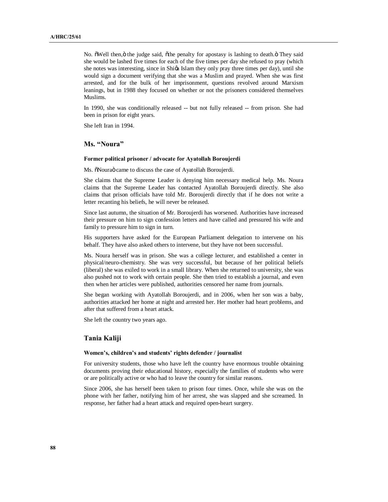No.  $\delta$ Well then,  $\ddot{o}$  the judge said,  $\ddot{o}$  the penalty for apostasy is lashing to death. $\ddot{o}$  They said she would be lashed five times for each of the five times per day she refused to pray (which she notes was interesting, since in Shi $\alpha$  Islam they only pray three times per day), until she would sign a document verifying that she was a Muslim and prayed. When she was first arrested, and for the bulk of her imprisonment, questions revolved around Marxism leanings, but in 1988 they focused on whether or not the prisoners considered themselves Muslims.

In 1990, she was conditionally released -- but not fully released -- from prison. She had been in prison for eight years.

She left Iran in 1994.

# **Ms. "Noura"**

#### **Former political prisoner / advocate for Ayatollah Boroujerdi**

Ms.  $\delta$ Nouraö came to discuss the case of Ayatollah Boroujerdi.

She claims that the Supreme Leader is denying him necessary medical help. Ms. Noura claims that the Supreme Leader has contacted Ayatollah Boroujerdi directly. She also claims that prison officials have told Mr. Boroujerdi directly that if he does not write a letter recanting his beliefs, he will never be released.

Since last autumn, the situation of Mr. Boroujerdi has worsened. Authorities have increased their pressure on him to sign confession letters and have called and pressured his wife and family to pressure him to sign in turn.

His supporters have asked for the European Parliament delegation to intervene on his behalf. They have also asked others to intervene, but they have not been successful.

Ms. Noura herself was in prison. She was a college lecturer, and established a center in physical/neuro-chemistry. She was very successful, but because of her political beliefs (liberal) she was exiled to work in a small library. When she returned to university, she was also pushed not to work with certain people. She then tried to establish a journal, and even then when her articles were published, authorities censored her name from journals.

She began working with Ayatollah Boroujerdi, and in 2006, when her son was a baby, authorities attacked her home at night and arrested her. Her mother had heart problems, and after that suffered from a heart attack.

She left the country two years ago.

# **Tania Kaliji**

#### **Women's, children's and students' rights defender / journalist**

For university students, those who have left the country have enormous trouble obtaining documents proving their educational history, especially the families of students who were or are politically active or who had to leave the country for similar reasons.

Since 2006, she has herself been taken to prison four times. Once, while she was on the phone with her father, notifying him of her arrest, she was slapped and she screamed. In response, her father had a heart attack and required open-heart surgery.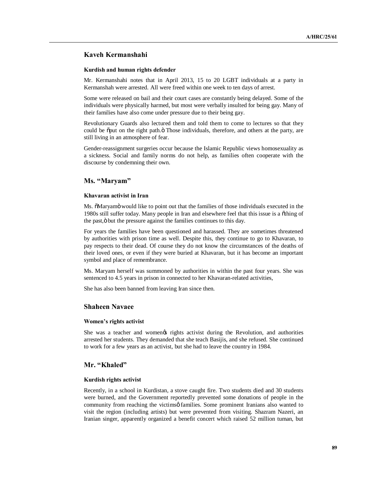### **Kaveh Kermanshahi**

### **Kurdish and human rights defender**

Mr. Kermanshahi notes that in April 2013, 15 to 20 LGBT individuals at a party in Kermanshah were arrested. All were freed within one week to ten days of arrest.

Some were released on bail and their court cases are constantly being delayed. Some of the individuals were physically harmed, but most were verbally insulted for being gay. Many of their families have also come under pressure due to their being gay.

Revolutionary Guards also lectured them and told them to come to lectures so that they could be  $\ddot{\text{opt}}$  on the right path. $\ddot{\text{o}}$  Those individuals, therefore, and others at the party, are still living in an atmosphere of fear.

Gender-reassignment surgeries occur because the Islamic Republic views homosexuality as a sickness. Social and family norms do not help, as families often cooperate with the discourse by condemning their own.

## **Ms. "Maryam"**

### **Khavaran activist in Iran**

Ms.  $\delta$ Maryamö would like to point out that the families of those individuals executed in the 1980s still suffer today. Many people in Iran and elsewhere feel that this issue is a "thing of the past,  $\ddot{o}$  but the pressure against the families continues to this day.

For years the families have been questioned and harassed. They are sometimes threatened by authorities with prison time as well. Despite this, they continue to go to Khavaran, to pay respects to their dead. Of course they do not know the circumstances of the deaths of their loved ones, or even if they were buried at Khavaran, but it has become an important symbol and place of remembrance.

Ms. Maryam herself was summoned by authorities in within the past four years. She was sentenced to 4.5 years in prison in connected to her Khavaran-related activities,

She has also been banned from leaving Iran since then.

## **Shaheen Navaee**

#### **Women's rights activist**

She was a teacher and women trights activist during the Revolution, and authorities arrested her students. They demanded that she teach Basijis, and she refused. She continued to work for a few years as an activist, but she had to leave the country in 1984.

### **Mr. "Khaled"**

#### **Kurdish rights activist**

Recently, in a school in Kurdistan, a stove caught fire. Two students died and 30 students were burned, and the Government reportedly prevented some donations of people in the community from reaching the victimsø families. Some prominent Iranians also wanted to visit the region (including artists) but were prevented from visiting. Shazram Nazeri, an Iranian singer, apparently organized a benefit concert which raised 52 million tuman, but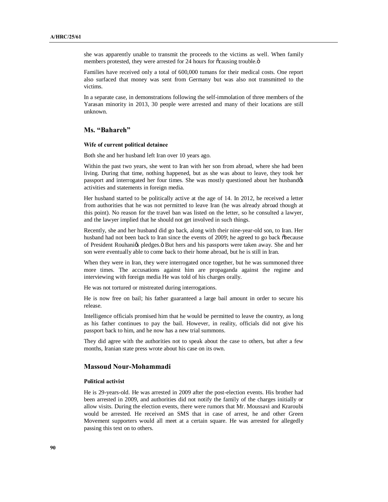she was apparently unable to transmit the proceeds to the victims as well. When family members protested, they were arrested for 24 hours for  $\tilde{\text{o}}$  causing trouble. $\ddot{\text{o}}$ 

Families have received only a total of 600,000 tumans for their medical costs. One report also surfaced that money was sent from Germany but was also not transmitted to the victims.

In a separate case, in demonstrations following the self-immolation of three members of the Yarasan minority in 2013, 30 people were arrested and many of their locations are still unknown.

# **Ms. "Bahareh"**

### **Wife of current political detainee**

Both she and her husband left Iran over 10 years ago.

Within the past two years, she went to Iran with her son from abroad, where she had been living. During that time, nothing happened, but as she was about to leave, they took her passport and interrogated her four times. She was mostly questioned about her husbandos activities and statements in foreign media.

Her husband started to be politically active at the age of 14. In 2012, he received a letter from authorities that he was not permitted to leave Iran (he was already abroad though at this point). No reason for the travel ban was listed on the letter, so he consulted a lawyer, and the lawyer implied that he should not get involved in such things.

Recently, she and her husband did go back, along with their nine-year-old son, to Iran. Her husband had not been back to Iran since the events of 2009; he agreed to go back õbecause of President Rouhaniøs pledges. Ö But hers and his passports were taken away. She and her son were eventually able to come back to their home abroad, but he is still in Iran.

When they were in Iran, they were interrogated once together, but he was summoned three more times. The accusations against him are propaganda against the regime and interviewing with foreign media He was told of his charges orally.

He was not tortured or mistreated during interrogations.

He is now free on bail; his father guaranteed a large bail amount in order to secure his release.

Intelligence officials promised him that he would be permitted to leave the country, as long as his father continues to pay the bail. However, in reality, officials did not give his passport back to him, and he now has a new trial summons.

They did agree with the authorities not to speak about the case to others, but after a few months, Iranian state press wrote about his case on its own.

### **Massoud Nour-Mohammadi**

#### **Political activist**

He is 29-years-old. He was arrested in 2009 after the post-election events. His brother had been arrested in 2009, and authorities did not notify the family of the charges initially or allow visits. During the election events, there were rumors that Mr. Moussavi and Kraroubi would be arrested. He received an SMS that in case of arrest, he and other Green Movement supporters would all meet at a certain square. He was arrested for allegedly passing this text on to others.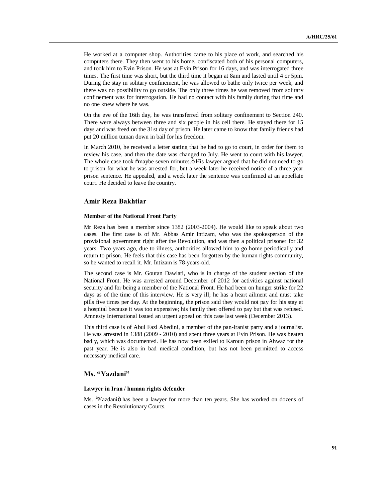He worked at a computer shop. Authorities came to his place of work, and searched his computers there. They then went to his home, confiscated both of his personal computers, and took him to Evin Prison. He was at Evin Prison for 16 days, and was interrogated three times. The first time was short, but the third time it began at 8am and lasted until 4 or 5pm. During the stay in solitary confinement, he was allowed to bathe only twice per week, and there was no possibility to go outside. The only three times he was removed from solitary confinement was for interrogation. He had no contact with his family during that time and no one knew where he was.

On the eve of the 16th day, he was transferred from solitary confinement to Section 240. There were always between three and six people in his cell there. He stayed there for 15 days and was freed on the 31st day of prison. He later came to know that family friends had put 20 million tuman down in bail for his freedom.

In March 2010, he received a letter stating that he had to go to court, in order for them to review his case, and then the date was changed to July. He went to court with his lawyer. The whole case took  $\tilde{\text{om}}$  aybe seven minutes.  $\ddot{\text{o}}$  His lawyer argued that he did not need to go to prison for what he was arrested for, but a week later he received notice of a three-year prison sentence. He appealed, and a week later the sentence was confirmed at an appellate court. He decided to leave the country.

### **Amir Reza Bakhtiar**

#### **Member of the National Front Party**

Mr Reza has been a member since 1382 (2003-2004). He would like to speak about two cases. The first case is of Mr. Abbas Amir Intizam, who was the spokesperson of the provisional government right after the Revolution, and was then a political prisoner for 32 years. Two years ago, due to illness, authorities allowed him to go home periodically and return to prison. He feels that this case has been forgotten by the human rights community, so he wanted to recall it. Mr. Intizam is 78-years-old.

The second case is Mr. Goutan Dawlati, who is in charge of the student section of the National Front. He was arrested around December of 2012 for activities against national security and for being a member of the National Front. He had been on hunger strike for 22 days as of the time of this interview. He is very ill; he has a heart ailment and must take pills five times per day. At the beginning, the prison said they would not pay for his stay at a hospital because it was too expensive; his family then offered to pay but that was refused. Amnesty International issued an urgent appeal on this case last week (December 2013).

This third case is of Abul Fazl Abedini, a member of the pan-Iranist party and a journalist. He was arrested in 1388 (2009 - 2010) and spent three years at Evin Prison. He was beaten badly, which was documented. He has now been exiled to Karoun prison in Ahwaz for the past year. He is also in bad medical condition, but has not been permitted to access necessary medical care.

# **Ms. "Yazdani"**

#### **Lawyer in Iran / human rights defender**

Ms.  $\tilde{\text{o}}$ Yazdani $\ddot{\text{o}}$  has been a lawyer for more than ten years. She has worked on dozens of cases in the Revolutionary Courts.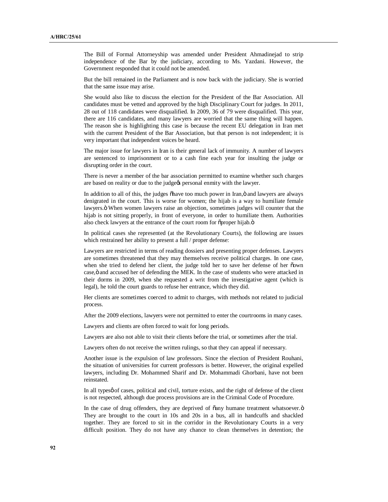The Bill of Formal Attorneyship was amended under President Ahmadinejad to strip independence of the Bar by the judiciary, according to Ms. Yazdani. However, the Government responded that it could not be amended.

But the bill remained in the Parliament and is now back with the judiciary. She is worried that the same issue may arise.

She would also like to discuss the election for the President of the Bar Association. All candidates must be vetted and approved by the high Disciplinary Court for judges. In 2011, 28 out of 118 candidates were disqualified. In 2009, 36 of 79 were disqualified. This year, there are 116 candidates, and many lawyers are worried that the same thing will happen. The reason she is highlighting this case is because the recent EU delegation in Iran met with the current President of the Bar Association, but that person is not independent; it is very important that independent voices be heard.

The major issue for lawyers in Iran is their general lack of immunity. A number of lawyers are sentenced to imprisonment or to a cash fine each year for insulting the judge or disrupting order in the court.

There is never a member of the bar association permitted to examine whether such charges are based on reality or due to the judge $\alpha$  personal enmity with the lawyer.

In addition to all of this, the judges  $\delta$  have too much power in Iran, $\ddot{o}$  and lawyers are always denigrated in the court. This is worse for women; the hijab is a way to humiliate female lawyers. Ö When women lawyers raise an objection, sometimes judges will counter that the hijab is not sitting properly, in front of everyone, in order to humiliate them. Authorities also check lawyers at the entrance of the court room for  $\tilde{p}$  proper hijab. $\ddot{o}$ 

In political cases she represented (at the Revolutionary Courts), the following are issues which restrained her ability to present a full / proper defense:

Lawyers are restricted in terms of reading dossiers and presenting proper defenses. Lawyers are sometimes threatened that they may themselves receive political charges. In one case, when she tried to defend her client, the judge told her to save her defense of her õown case, ö and accused her of defending the MEK. In the case of students who were attacked in their dorms in 2009, when she requested a writ from the investigative agent (which is legal), he told the court guards to refuse her entrance, which they did.

Her clients are sometimes coerced to admit to charges, with methods not related to judicial process.

After the 2009 elections, lawyers were not permitted to enter the courtrooms in many cases.

Lawyers and clients are often forced to wait for long periods.

Lawyers are also not able to visit their clients before the trial, or sometimes after the trial.

Lawyers often do not receive the written rulings, so that they can appeal if necessary.

Another issue is the expulsion of law professors. Since the election of President Rouhani, the situation of universities for current professors is better. However, the original expelled lawyers, including Dr. Mohammed Sharif and Dr. Mohammadi Ghorbani, have not been reinstated.

In all typesø of cases, political and civil, torture exists, and the right of defense of the client is not respected, although due process provisions are in the Criminal Code of Procedure.

In the case of drug offenders, they are deprived of  $\tilde{o}$ any humane treatment whatsoever. $\ddot{o}$ They are brought to the court in 10s and 20s in a bus, all in handcuffs and shackled together. They are forced to sit in the corridor in the Revolutionary Courts in a very difficult position. They do not have any chance to clean themselves in detention; the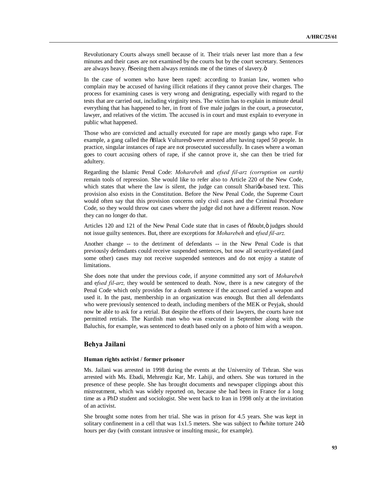Revolutionary Courts always smell because of it. Their trials never last more than a few minutes and their cases are not examined by the courts but by the court secretary. Sentences are always heavy.  $\delta$ Seeing them always reminds me of the times of slavery. $\ddot{o}$ 

In the case of women who have been raped: according to Iranian law, women who complain may be accused of having illicit relations if they cannot prove their charges. The process for examining cases is very wrong and denigrating, especially with regard to the tests that are carried out, including virginity tests. The victim has to explain in minute detail everything that has happened to her, in front of five male judges in the court, a prosecutor, lawyer, and relatives of the victim. The accused is in court and must explain to everyone in public what happened.

Those who are convicted and actually executed for rape are mostly gangs who rape. For example, a gang called the  $\delta$ Black Vultures $\ddot{\text{o}}$  were arrested after having raped 50 people. In practice, singular instances of rape are not prosecuted successfully. In cases where a woman goes to court accusing others of rape, if she cannot prove it, she can then be tried for adultery.

Regarding the Islamic Penal Code: *Moharebeh* and *efsed fil-arz (corruption on earth)* remain tools of repression. She would like to refer also to Article 220 of the New Code, which states that where the law is silent, the judge can consult Shariga-based text. This provision also exists in the Constitution. Before the New Penal Code, the Supreme Court would often say that this provision concerns only civil cases and the Criminal Procedure Code, so they would throw out cases where the judge did not have a different reason. Now they can no longer do that.

Articles 120 and 121 of the New Penal Code state that in cases of  $\ddot{\text{o}}$ doubt, $\ddot{\text{o}}$  judges should not issue guilty sentences. But, there are exceptions for *Moharebeh* and e*fsed fil-arz.*

Another change -- to the detriment of defendants -- in the New Penal Code is that previously defendants could receive suspended sentences, but now all security-related (and some other) cases may not receive suspended sentences and do not enjoy a statute of limitations.

She does note that under the previous code, if anyone committed any sort of *Moharebeh* and e*fsed fil-arz,* they would be sentenced to death. Now, there is a new category of the Penal Code which only provides for a death sentence if the accused carried a weapon and used it. In the past, membership in an organization was enough. But then all defendants who were previously sentenced to death, including members of the MEK or Peyjak, should now be able to ask for a retrial. But despite the efforts of their lawyers, the courts have not permitted retrials. The Kurdish man who was executed in September along with the Baluchis, for example, was sentenced to death based only on a photo of him with a weapon.

# **Behya Jailani**

#### **Human rights activist / former prisoner**

Ms. Jailani was arrested in 1998 during the events at the University of Tehran. She was arrested with Ms. Ebadi, Mehrengiz Kar, Mr. Lahiji, and others. She was tortured in the presence of these people. She has brought documents and newspaper clippings about this mistreatment, which was widely reported on, because she had been in France for a long time as a PhD student and sociologist. She went back to Iran in 1998 only at the invitation of an activist.

She brought some notes from her trial. She was in prison for 4.5 years. She was kept in solitary confinement in a cell that was  $1x1.5$  meters. She was subject to  $\ddot{\text{ow}}$  bite torture 24 $\ddot{\text{o}}$ hours per day (with constant intrusive or insulting music, for example).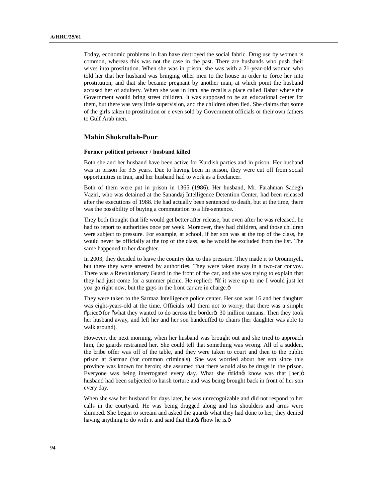Today, economic problems in Iran have destroyed the social fabric. Drug use by women is common, whereas this was not the case in the past. There are husbands who push their wives into prostitution. When she was in prison, she was with a 21-year-old woman who told her that her husband was bringing other men to the house in order to force her into prostitution, and that she became pregnant by another man, at which point the husband accused her of adultery. When she was in Iran, she recalls a place called Bahar where the Government would bring street children. It was supposed to be an educational center for them, but there was very little supervision, and the children often fled. She claims that some of the girls taken to prostitution or e even sold by Government officials or their own fathers to Gulf Arab men.

## **Mahin Shokrullah-Pour**

#### **Former political prisoner / husband killed**

Both she and her husband have been active for Kurdish parties and in prison. Her husband was in prison for 3.5 years. Due to having been in prison, they were cut off from social opportunities in Iran, and her husband had to work as a freelancer.

Both of them were put in prison in 1365 (1986). Her husband, Mr. Farahman Sadegh Vaziri, who was detained at the Sanandaj Intelligence Detention Center, had been released after the executions of 1988. He had actually been sentenced to death, but at the time, there was the possibility of buying a commutation to a life-sentence.

They both thought that life would get better after release, but even after he was released, he had to report to authorities once per week. Moreover, they had children, and those children were subject to pressure. For example, at school, if her son was at the top of the class, he would never be officially at the top of the class, as he would be excluded from the list. The same happened to her daughter.

In 2003, they decided to leave the country due to this pressure. They made it to Oroumiyeh, but there they were arrested by authorities. They were taken away in a two-car convoy. There was a Revolutionary Guard in the front of the car, and she was trying to explain that they had just come for a summer picnic. He replied:  $\delta$ If it were up to me I would just let you go right now, but the guys in the front car are in charge. $\ddot{o}$ 

They were taken to the Sarmaz Intelligence police center. Her son was 16 and her daughter was eight-years-old at the time. Officials told them not to worry; that there was a simple  $\delta$ price of  $\delta$  for  $\delta$  what they wanted to do across the border $\delta$ : 30 million tumans. Then they took her husband away, and left her and her son handcuffed to chairs (her daughter was able to walk around).

However, the next morning, when her husband was brought out and she tried to approach him, the guards restrained her. She could tell that something was wrong. All of a sudden, the bribe offer was off of the table, and they were taken to court and then to the public prison at Sarmaz (for common criminals). She was worried about her son since this province was known for heroin; she assumed that there would also be drugs in the prison. Everyone was being interrogated every day. What she õdidnøt know was that [her]ö husband had been subjected to harsh torture and was being brought back in front of her son every day.

When she saw her husband for days later, he was unrecognizable and did not respond to her calls in the courtyard. He was being dragged along and his shoulders and arms were slumped. She began to scream and asked the guards what they had done to her; they denied having anything to do with it and said that that the solow he is. $\ddot{o}$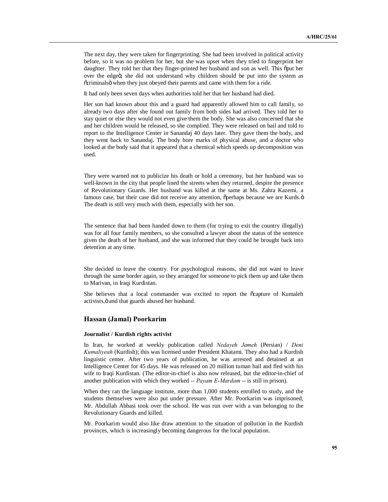The next day, they were taken for fingerprinting. She had been involved in political activity before, so it was no problem for her, but she was upset when they tried to fingerprint her daughter. They told her that they finger-printed her husband and son as well. This  $\delta$ put her over the edgeö; she did not understand why children should be put into the system as  $\tilde{c}$  criminals  $\ddot{o}$  when they just obeyed their parents and came with them for a ride.

It had only been seven days when authorities told her that her husband had died.

Her son had known about this and a guard had apparently allowed him to call family, so already two days after she found out family from both sides had arrived. They told her to stay quiet or else they would not even give them the body. She was also concerned that she and her children would be released, so she complied. They were released on bail and told to report to the Intelligence Center in Sanandaj 40 days later. They gave them the body, and they went back to Sanandaj. The body bore marks of physical abuse, and a doctor who looked at the body said that it appeared that a chemical which speeds up decomposition was used.

They were warned not to publicize his death or hold a ceremony, but her husband was so well-known in the city that people lined the streets when they returned, despite the presence of Revolutionary Guards. Her husband was killed at the same at Ms. Zahra Kazemi, a famous case, but their case did not receive any attention,  $\ddot{\text{operhaps}}$  because we are Kurds. $\ddot{\text{o}}$ The death is still very much with them, especially with her son.

The sentence that had been handed down to them (for trying to exit the country illegally) was for all four family members, so she consulted a lawyer about the status of the sentence given the death of her husband, and she was informed that they could be brought back into detention at any time.

She decided to leave the country. For psychological reasons, she did not want to leave through the same border again, so they arranged for someone to pick them up and take them to Marivan, in Iraqi Kurdistan.

She believes that a local commander was excited to report the  $\tilde{c}$  capture of Kumaleh activists,  $\ddot{o}$  and that guards abused her husband.

### **Hassan (Jamal) Poorkarim**

#### **Journalist / Kurdish rights activist**

In Iran, he worked at weekly publication called *Nedayeh Jameh* (Persian) / *Deni Kumaliyeah* (Kurdish); this was licensed under President Khatami. They also had a Kurdish linguistic center. After two years of publication, he was arrested and detained at an Intelligence Center for 45 days. He was released on 20 million tuman bail and fled with his wife to Iraqi Kurdistan. (The editor-in-chief is also now released, but the editor-in-chief of another publication with which they worked -- *Payam E-Mardam* -- is still in prison).

When they ran the language institute, more than 1,000 students enrolled to study, and the students themselves were also put under pressure. After Mr. Poorkarim was imprisoned, Mr. Abdullah Abbasi took over the school. He was run over with a van belonging to the Revolutionary Guards and killed.

Mr. Poorkarim would also like draw attention to the situation of pollution in the Kurdish provinces, which is increasingly becoming dangerous for the local population.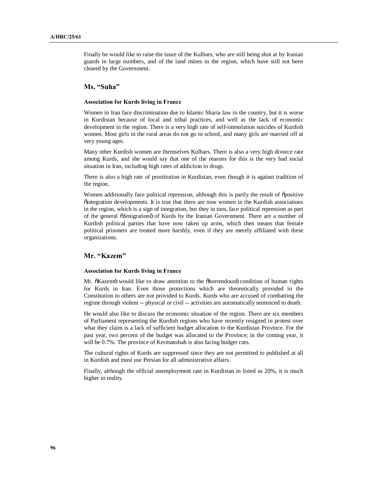Finally he would like to raise the issue of the Kulbars, who are still being shot at by Iranian guards in large numbers, and of the land mines in the region, which have still not been cleared by the Government.

# **Ms. "Suha"**

#### **Association for Kurds living in France**

Women in Iran face discrimination due to Islamic Sharia law in the country, but it is worse in Kurdistan because of local and tribal practices, and well as the lack of economic development in the region. There is a very high rate of self-immolation suicides of Kurdish women. Most girls in the rural areas do not go to school, and many girls are married off at very young ages.

Many other Kurdish women are themselves Kulbars. There is also a very high divorce rate among Kurds, and she would say that one of the reasons for this is the very bad social situation in Iran, including high rates of addiction to drugs.

There is also a high rate of prostitution in Kurdistan, even though it is against tradition of the region.

Women additionally face political repression, although this is partly the result of õpositive "integration developments. It is true that there are now women in the Kurdish associations in the region, which is a sign of integration, but they in turn, face political repression as part of the general õdenigrationö of Kurds by the Iranian Government. There are a number of Kurdish political parties that have now taken up arms, which then means that female political prisoners are treated more harshly, even if they are merely affiliated with these organizations.

# **Mr. "Kazem"**

### **Association for Kurds living in France**

Mr.  $\delta$ Kazemö would like to draw attention to the  $\delta$ horrendous $\ddot{o}$  condition of human rights for Kurds in Iran. Even those protections which are theoretically provided in the Constitution to others are not provided to Kurds. Kurds who are accused of combatting the regime through violent -- physical or civil -- activities are automatically sentenced to death.

He would also like to discuss the economic situation of the region. There are six members of Parliament representing the Kurdish regions who have recently resigned in protest over what they claim is a lack of sufficient budget allocation to the Kurdistan Province. For the past year, two percent of the budget was allocated to the Province; in the coming year, it will be 0.7%. The province of Kermanshah is also facing budget cuts.

The cultural rights of Kurds are suppressed since they are not permitted to published at all in Kurdish and must use Persian for all administrative affairs.

Finally, although the official unemployment rate in Kurdistan in listed as 20%, it is much higher in reality.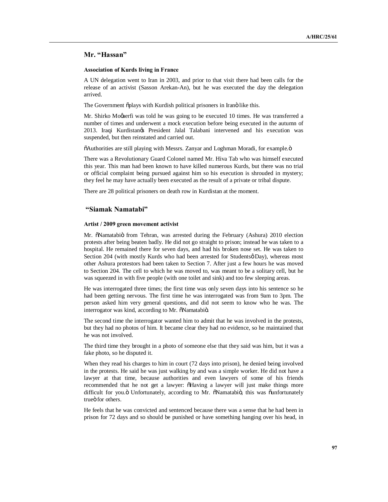# **Mr. "Hassan"**

### **Association of Kurds living in France**

A UN delegation went to Iran in 2003, and prior to that visit there had been calls for the release of an activist (Sasson Arekan-An), but he was executed the day the delegation arrived.

The Government õplays with Kurdish political prisoners in Iranö like this.

Mr. Shirko Mogaerfi was told he was going to be executed 10 times. He was transferred a number of times and underwent a mock execution before being executed in the autumn of 2013. Iraqi Kurdistan's President Jalal Talabani intervened and his execution was suspended, but then reinstated and carried out.

 $\delta$ Authorities are still playing with Messrs. Zanyar and Loghman Moradi, for example. $\delta$ 

There was a Revolutionary Guard Colonel named Mr. Hiva Tab who was himself executed this year. This man had been known to have killed numerous Kurds, but there was no trial or official complaint being pursued against him so his execution is shrouded in mystery; they feel he may have actually been executed as the result of a private or tribal dispute.

There are 28 political prisoners on death row in Kurdistan at the moment.

### **"Siamak Namatabi"**

### **Artist / 2009 green movement activist**

Mr.  $\ddot{\text{o}}$ Namatabiö from Tehran, was arrested during the February (Ashura) 2010 election protests after being beaten badly. He did not go straight to prison; instead he was taken to a hospital. He remained there for seven days, and had his broken nose set. He was taken to Section 204 (with mostly Kurds who had been arrested for Studentsø Day), whereas most other Ashura protestors had been taken to Section 7. After just a few hours he was moved to Section 204. The cell to which he was moved to, was meant to be a solitary cell, but he was squeezed in with five people (with one toilet and sink) and too few sleeping areas.

He was interrogated three times; the first time was only seven days into his sentence so he had been getting nervous. The first time he was interrogated was from 9am to 3pm. The person asked him very general questions, and did not seem to know who he was. The interrogator was kind, according to Mr. õNamatabiö.

The second time the interrogator wanted him to admit that he was involved in the protests, but they had no photos of him. It became clear they had no evidence, so he maintained that he was not involved.

The third time they brought in a photo of someone else that they said was him, but it was a fake photo, so he disputed it.

When they read his charges to him in court (72 days into prison), he denied being involved in the protests. He said he was just walking by and was a simple worker. He did not have a lawyer at that time, because authorities and even lawyers of some of his friends recommended that he not get a lawyer:  $\tilde{o}$ Having a lawyer will just make things more difficult for you.ö Unfortunately, according to Mr. õNamatabiö, this was õunfortunately trueö for others

He feels that he was convicted and sentenced because there was a sense that he had been in prison for 72 days and so should be punished or have something hanging over his head, in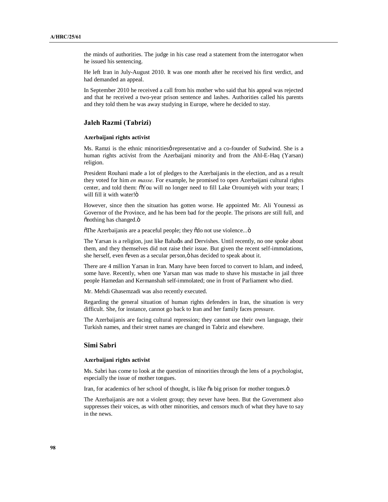the minds of authorities. The judge in his case read a statement from the interrogator when he issued his sentencing.

He left Iran in July-August 2010. It was one month after he received his first verdict, and had demanded an appeal.

In September 2010 he received a call from his mother who said that his appeal was rejected and that he received a two-year prison sentence and lashes. Authorities called his parents and they told them he was away studying in Europe, where he decided to stay.

# **Jaleh Razmi (Tabrizi)**

### **Azerbaijani rights activist**

Ms. Ramzi is the ethnic minorities *p* representative and a co-founder of Sudwind. She is a human rights activist from the Azerbaijani minority and from the Ahl-E-Haq (Yarsan) religion.

President Rouhani made a lot of pledges to the Azerbaijanis in the election, and as a result they voted for him *en masse*. For example, he promised to open Azerbaijani cultural rights center, and told them:  $\tilde{o} You$  will no longer need to fill Lake Oroumiyeh with your tears; I will fill it with water!ö

However, since then the situation has gotten worse. He appointed Mr. Ali Younessi as Governor of the Province, and he has been bad for the people. The prisons are still full, and õnothing has changed.ö

 $\tilde{\text{o}}$ The Azerbaijanis are a peaceful people; they  $\tilde{\text{o}}$ do not use violence... $\tilde{\text{o}}$ 

The Yarsan is a religion, just like Bahaas and Dervishes. Until recently, no one spoke about them, and they themselves did not raise their issue. But given the recent self-immolations, she herself, even õeven as a secular person, ö has decided to speak about it.

There are 4 million Yarsan in Iran. Many have been forced to convert to Islam, and indeed, some have. Recently, when one Yarsan man was made to shave his mustache in jail three people Hamedan and Kermanshah self-immolated; one in front of Parliament who died.

Mr. Mehdi Ghasemzadi was also recently executed.

Regarding the general situation of human rights defenders in Iran, the situation is very difficult. She, for instance, cannot go back to Iran and her family faces pressure.

The Azerbaijanis are facing cultural repression; they cannot use their own language, their Turkish names, and their street names are changed in Tabriz and elsewhere.

## **Simi Sabri**

#### **Azerbaijani rights activist**

Ms. Sabri has come to look at the question of minorities through the lens of a psychologist, especially the issue of mother tongues.

Iran, for academics of her school of thought, is like  $\tilde{o}a$  big prison for mother tongues. $\tilde{o}$ 

The Azerbaijanis are not a violent group; they never have been. But the Government also suppresses their voices, as with other minorities, and censors much of what they have to say in the news.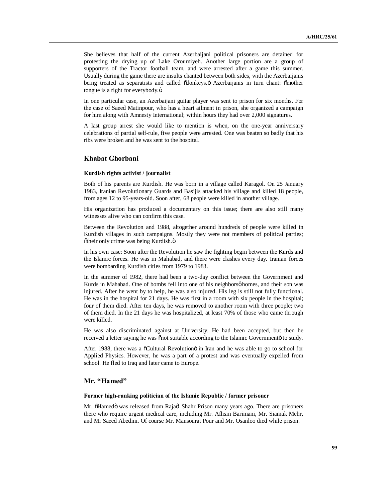She believes that half of the current Azerbaijani political prisoners are detained for protesting the drying up of Lake Oroumiyeh. Another large portion are a group of supporters of the Tractor football team, and were arrested after a game this summer. Usually during the game there are insults chanted between both sides, with the Azerbaijanis being treated as separatists and called õdonkeys. Ä Azerbaijanis in turn chant: õmother tongue is a right for everybody.ö

In one particular case, an Azerbaijani guitar player was sent to prison for six months. For the case of Saeed Matinpour, who has a heart ailment in prison, she organized a campaign for him along with Amnesty International; within hours they had over 2,000 signatures.

A last group arrest she would like to mention is when, on the one-year anniversary celebrations of partial self-rule, five people were arrested. One was beaten so badly that his ribs were broken and he was sent to the hospital.

## **Khabat Ghorbani**

### **Kurdish rights activist / journalist**

Both of his parents are Kurdish. He was born in a village called Karagol. On 25 January 1983, Iranian Revolutionary Guards and Basijis attacked his village and killed 18 people, from ages 12 to 95-years-old. Soon after, 68 people were killed in another village.

His organization has produced a documentary on this issue; there are also still many witnesses alive who can confirm this case.

Between the Revolution and 1988, altogether around hundreds of people were killed in Kurdish villages in such campaigns. Mostly they were not members of political parties; õtheir only crime was being Kurdish.ö

In his own case: Soon after the Revolution he saw the fighting begin between the Kurds and the Islamic forces. He was in Mahabad, and there were clashes every day. Iranian forces were bombarding Kurdish cities from 1979 to 1983.

In the summer of 1982, there had been a two-day conflict between the Government and Kurds in Mahabad. One of bombs fell into one of his neighborsø homes, and their son was injured. After he went by to help, he was also injured. His leg is still not fully functional. He was in the hospital for 21 days. He was first in a room with six people in the hospital; four of them died. After ten days, he was removed to another room with three people; two of them died. In the 21 days he was hospitalized, at least 70% of those who came through were killed.

He was also discriminated against at University. He had been accepted, but then he received a letter saying he was onot suitable according to the Islamic Governmento to study.

After 1988, there was a  $\tilde{o}$ Cultural Revolution $\tilde{o}$  in Iran and he was able to go to school for Applied Physics. However, he was a part of a protest and was eventually expelled from school. He fled to Iraq and later came to Europe.

## **Mr. "Hamed"**

#### **Former high-ranking politician of the Islamic Republic / former prisoner**

Mr. õHamedö was released from Raja $\phi$  Shahr Prison many years ago. There are prisoners there who require urgent medical care, including Mr. Afhsin Barimani, Mr. Siamak Mehr, and Mr Saeed Abedini. Of course Mr. Mansourat Pour and Mr. Osanloo died while prison.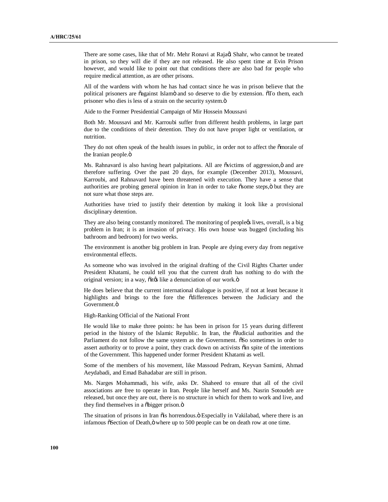There are some cases, like that of Mr. Mehr Ronavi at Raja $\alpha$  Shahr, who cannot be treated in prison, so they will die if they are not released. He also spent time at Evin Prison however, and would like to point out that conditions there are also bad for people who require medical attention, as are other prisons.

All of the wardens with whom he has had contact since he was in prison believe that the political prisoners are õagainst Islamö and so deserve to die by extension. To them, each prisoner who dies is less of a strain on the security system. $\ddot{o}$ 

Aide to the Former Presidential Campaign of Mir Hossein Moussavi

Both Mr. Moussavi and Mr. Karroubi suffer from different health problems, in large part due to the conditions of their detention. They do not have proper light or ventilation, or nutrition.

They do not often speak of the health issues in public, in order not to affect the  $\ddot{\text{omor}}$ ale of the Iranian people.ö

Ms. Rahnavard is also having heart palpitations. All are ovictims of aggression,  $\ddot{o}$  and are therefore suffering. Over the past 20 days, for example (December 2013), Moussavi, Karroubi, and Rahnavard have been threatened with execution. They have a sense that authorities are probing general opinion in Iran in order to take osome steps, o but they are not sure what those steps are.

Authorities have tried to justify their detention by making it look like a provisional disciplinary detention.

They are also being constantly monitored. The monitoring of peoplegs lives, overall, is a big problem in Iran; it is an invasion of privacy. His own house was bugged (including his bathroom and bedroom) for two weeks.

The environment is another big problem in Iran. People are dying every day from negative environmental effects.

As someone who was involved in the original drafting of the Civil Rights Charter under President Khatami, he could tell you that the current draft has nothing to do with the original version; in a way,  $\tilde{o}$  ites like a denunciation of our work. $\ddot{o}$ 

He does believe that the current international dialogue is positive, if not at least because it highlights and brings to the fore the odifferences between the Judiciary and the Government.ö

High-Ranking Official of the National Front

He would like to make three points: he has been in prison for 15 years during different period in the history of the Islamic Republic. In Iran, the "Judicial authorities and the Parliament do not follow the same system as the Government.  $\tilde{0}$ So sometimes in order to assert authority or to prove a point, they crack down on activists  $\ddot{o}$  in spite of the intentions of the Government. This happened under former President Khatami as well.

Some of the members of his movement, like Massoud Pedram, Keyvan Samimi, Ahmad Aeydabadi, and Emad Bahadabar are still in prison.

Ms. Narges Mohammadi, his wife, asks Dr. Shaheed to ensure that all of the civil associations are free to operate in Iran. People like herself and Ms. Nasrin Sotoudeh are released, but once they are out, there is no structure in which for them to work and live, and they find themselves in a õbigger prison.ö

The situation of prisons in Iran õis horrendous. Ö Especially in Vakilabad, where there is an infamous  $\delta$ Section of Death, $\ddot{\text{o}}$  where up to 500 people can be on death row at one time.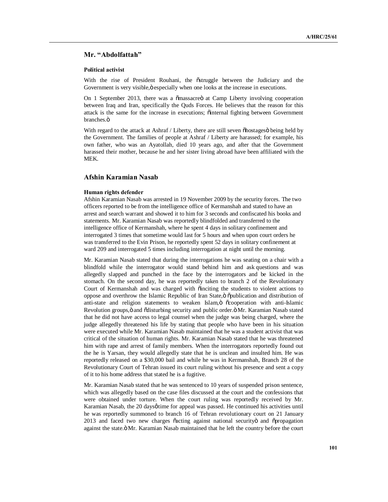## **Mr. "Abdolfattah"**

### **Political activist**

With the rise of President Rouhani, the  $\tilde{o}$ struggle between the Judiciary and the Government is very visible, ö especially when one looks at the increase in executions.

On 1 September 2013, there was a  $\tilde{\text{S}}$  at Camp Liberty involving cooperation between Iraq and Iran, specifically the Quds Forces. He believes that the reason for this attack is the same for the increase in executions;  $\ddot{\text{o}}$  internal fighting between Government branches.<sub>Ö</sub>

With regard to the attack at Ashraf / Liberty, there are still seven  $\delta$ hostages being held by the Government. The families of people at Ashraf / Liberty are harassed; for example, his own father, who was an Ayatollah, died 10 years ago, and after that the Government harassed their mother, because he and her sister living abroad have been affiliated with the MEK.

# **Afshin Karamian Nasab**

#### **Human rights defender**

Afshin Karamian Nasab was arrested in 19 November 2009 by the security forces. The two officers reported to be from the intelligence office of Kermanshah and stated to have an arrest and search warrant and showed it to him for 3 seconds and confiscated his books and statements. Mr. Karamian Nasab was reportedly blindfolded and transferred to the intelligence office of Kermanshah, where he spent 4 days in solitary confinement and interrogated 3 times that sometime would last for 5 hours and when upon court orders he was transferred to the Evin Prison, he reportedly spent 52 days in solitary confinement at ward 209 and interrogated 5 times including interrogation at night until the morning.

Mr. Karamian Nasab stated that during the interrogations he was seating on a chair with a blindfold while the interrogator would stand behind him and ask questions and was allegedly slapped and punched in the face by the interrogators and be kicked in the stomach. On the second day, he was reportedly taken to branch 2 of the Revolutionary Court of Kermanshah and was charged with õinciting the students to violent actions to oppose and overthrow the Islamic Republic of Iran State, ö õpublication and distribution of anti-state and religion statements to weaken Islam, ö  $\tilde{\text{o}}$ cooperation with anti-Islamic Revolution groups, ö and õdisturbing security and public order. Ö Mr. Karamian Nasab stated that he did not have access to legal counsel when the judge was being charged, where the judge allegedly threatened his life by stating that people who have been in his situation were executed while Mr. Karamian Nasab maintained that he was a student activist that was critical of the situation of human rights. Mr. Karamian Nasab stated that he was threatened him with rape and arrest of family members. When the interrogators reportedly found out the he is Yarsan, they would allegedly state that he is unclean and insulted him. He was reportedly released on a \$30,000 bail and while he was in Kermanshah, Branch 28 of the Revolutionary Court of Tehran issued its court ruling without his presence and sent a copy of it to his home address that stated he is a fugitive.

Mr. Karamian Nasab stated that he was sentenced to 10 years of suspended prison sentence, which was allegedly based on the case files discussed at the court and the confessions that were obtained under torture. When the court ruling was reportedly received by Mr. Karamian Nasab, the 20 days  $\phi$  time for appeal was passed. He continued his activities until he was reportedly summoned to branch 16 of Tehran revolutionary court on 21 January 2013 and faced two new charges õacting against national securityö and õpropagation against the state. "Mr. Karamian Nasab maintained that he left the country before the court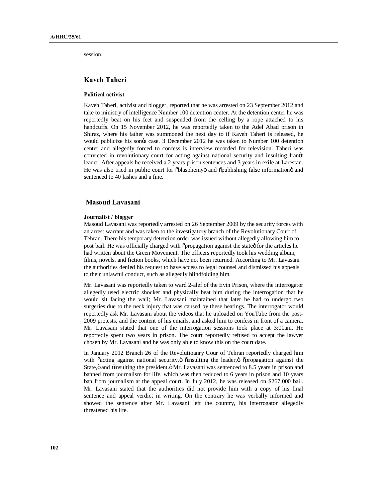session.

# **Kaveh Taheri**

## **Political activist**

Kaveh Taheri, activist and blogger, reported that he was arrested on 23 September 2012 and take to ministry of intelligence Number 100 detention center. At the detention center he was reportedly beat on his feet and suspended from the celling by a rope attached to his handcuffs. On 15 November 2012, he was reportedly taken to the Adel Abad prison in Shiraz, where his father was summoned the next day to if Kaveh Taheri is released, he would publicize his songs case. 3 December 2012 he was taken to Number 100 detention center and allegedly forced to confess is interview recorded for television. Taheri was convicted in revolutionary court for acting against national security and insulting Irangs leader. After appeals he received a 2 years prison sentences and 3 years in exile at Larestan. He was also tried in public court for  $\delta$ blasphemyö and  $\delta$ publishing false information and sentenced to 40 lashes and a fine.

# **Masoud Lavasani**

#### **Journalist / blogger**

Masoud Lavasani was reportedly arrested on 26 September 2009 by the security forces with an arrest warrant and was taken to the investigatory branch of the Revolutionary Court of Tehran. There his temporary detention order was issued without allegedly allowing him to post bail. He was officially charged with  $\delta$ propagation against the state  $\delta$  for the articles he had written about the Green Movement. The officers reportedly took his wedding album, films, novels, and fiction books, which have not been returned. According to Mr. Lavasani the authorities denied his request to have access to legal counsel and dismissed his appeals to their unlawful conduct, such as allegedly blindfolding him.

Mr. Lavasani was reportedly taken to ward 2-alef of the Evin Prison, where the interrogator allegedly used electric shocker and physically beat him during the interrogation that he would sit facing the wall; Mr. Lavasani maintained that later he had to undergo two surgeries due to the neck injury that was caused by these beatings. The interrogator would reportedly ask Mr. Lavasani about the videos that he uploaded on YouTube from the post-2009 protests, and the content of his emails, and asked him to confess in front of a camera. Mr. Lavasani stated that one of the interrogation sessions took place at 3:00am. He reportedly spent two years in prison. The court reportedly refused to accept the lawyer chosen by Mr. Lavasani and he was only able to know this on the court date.

In January 2012 Branch 26 of the Revolutioanry Cour of Tehran reportedly charged him with õacting against national security, ö õinsulting the leader, ö õpropagation against the State, ö and õinsulting the president. Ö Mr. Lavasani was sentenced to 8.5 years in prison and banned from journalism for life, which was then reduced to 6 years in prison and 10 years ban from journalism at the appeal court. In July 2012, he was released on \$267,000 bail. Mr. Lavasani stated that the authorities did not provide him with a copy of his final sentence and appeal verdict in writing. On the contrary he was verbally informed and showed the sentence after Mr. Lavasani left the country, his interrogator allegedly threatened his life.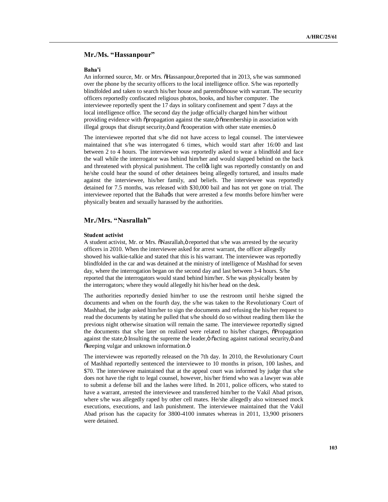# **Mr./Ms. "Hassanpour"**

#### **Baha'i**

An informed source, Mr. or Mrs.  $\delta$ Hassanpour, $\ddot{\text{o}}$  reported that in 2013, s/he was summoned over the phone by the security officers to the local intelligence office. S/he was reportedly blindfolded and taken to search his/her house and parentsø house with warrant. The security officers reportedly confiscated religious photos, books, and his/her computer. The interviewee reportedly spent the 17 days in solitary confinement and spent 7 days at the local intelligence office. The second day the judge officially charged him/her without providing evidence with  $\tilde{\text{op}}$  propagation against the state, $\ddot{\text{o}}$  "membership in association with illegal groups that disrupt security,  $\ddot{o}$  and  $\ddot{o}$  cooperation with other state enemies.  $\ddot{o}$ 

The interviewee reported that s/he did not have access to legal counsel. The interviewee maintained that s/he was interrogated 6 times, which would start after 16:00 and last between 2 to 4 hours. The interviewee was reportedly asked to wear a blindfold and face the wall while the interrogator was behind him/her and would slapped behind on the back and threatened with physical punishment. The celløs light was reportedly constantly on and he/she could hear the sound of other detainees being allegedly tortured, and insults made against the interviewee, his/her family, and beliefs. The interviewee was reportedly detained for 7.5 months, was released with \$30,000 bail and has not yet gone on trial. The interviewee reported that the Bahaøis that were arrested a few months before him/her were physically beaten and sexually harassed by the authorities.

# **Mr./Mrs. "Nasrallah"**

### **Student activist**

A student activist, Mr. or Mrs.  $\delta$ Nasrallah, ö reported that s/he was arrested by the security officers in 2010. When the interviewee asked for arrest warrant, the officer allegedly showed his walkie-talkie and stated that this is his warrant. The interviewee was reportedly blindfolded in the car and was detained at the ministry of intelligence of Mashhad for seven day, where the interrogation began on the second day and last between 3-4 hours. S/he reported that the interrogators would stand behind him/her. S/he was physically beaten by the interrogators; where they would allegedly hit his/her head on the desk.

The authorities reportedly denied him/her to use the restroom until he/she signed the documents and when on the fourth day, the s/he was taken to the Revolutionary Court of Mashhad, the judge asked him/her to sign the documents and refusing the his/her request to read the documents by stating he pulled that s/he should do so without reading them like the previous night otherwise situation will remain the same. The interviewee reportedly signed the documents that s/he later on realized were related to his/her charges,  $\ddot{o}$ Propagation against the state, ö Insulting the supreme the leader, ö  $\tilde{o}$  acting against national security, ö and õkeeping vulgar and unknown information.ö

The interviewee was reportedly released on the 7th day. In 2010, the Revolutionary Court of Mashhad reportedly sentenced the interviewee to 10 months in prison, 100 lashes, and \$70. The interviewee maintained that at the appeal court was informed by judge that s/he does not have the right to legal counsel, however, his/her friend who was a lawyer was able to submit a defense bill and the lashes were lifted. In 2011, police officers, who stated to have a warrant, arrested the interviewee and transferred him/her to the Vakil Abad prison, where s/he was allegedly raped by other cell mates. He/she allegedly also witnessed mock executions, executions, and lash punishment. The interviewee maintained that the Vakil Abad prison has the capacity for 3800-4100 inmates whereas in 2011, 13,900 prisoners were detained.